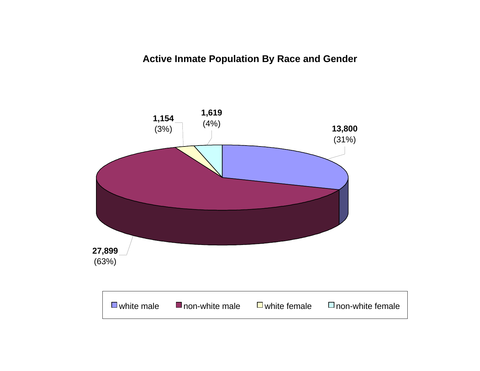# **Active Inmate Population By Race and Gender**

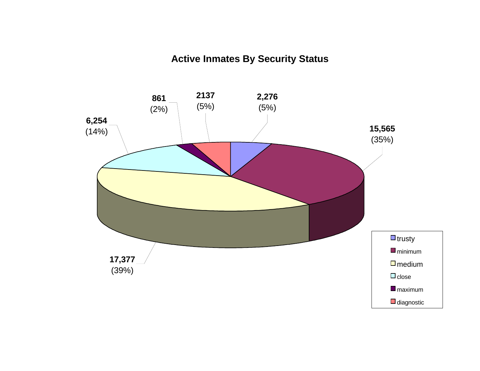# **Active Inmates By Security Status**

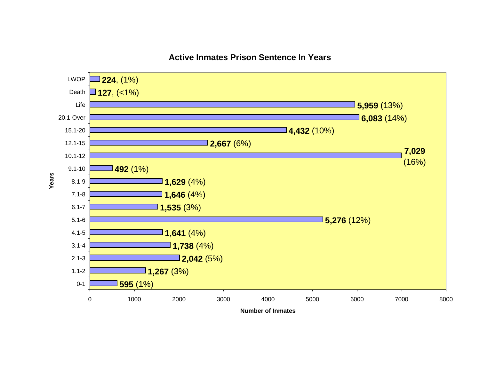

# **Active Inmates Prison Sentence In Years**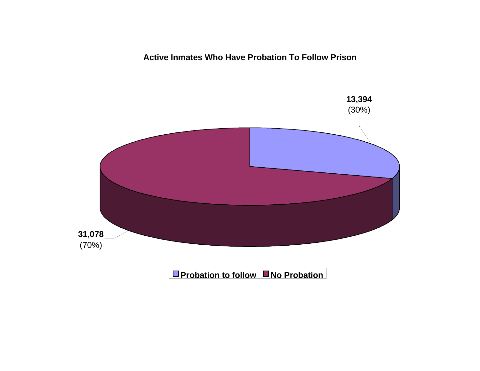**Active Inmates Who Have Probation To Follow Prison**

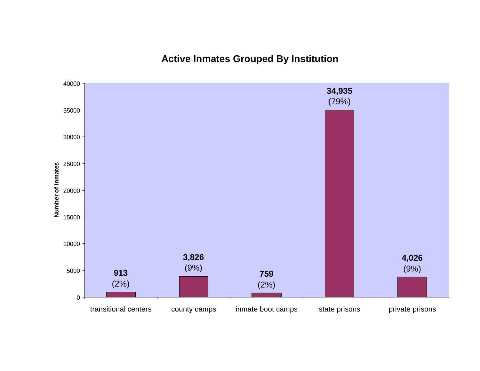**Active Inmates Grouped By Institution**

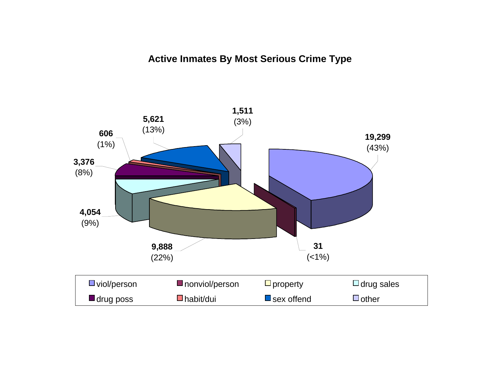# **Active Inmates By Most Serious Crime Type**

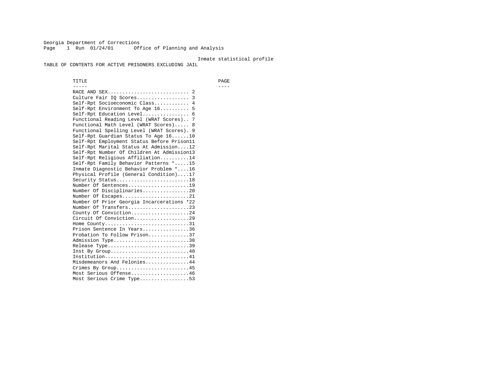Georgia Department of Corrections Page 1 Run 01/24/01 Office of Planning and Analysis

#### Inmate statistical profile

TABLE OF CONTENTS FOR ACTIVE PRISONERS EXCLUDING JAIL

 TITLE PAGE ----- ---- RACE AND SEX............................ 2 Culture Fair IQ Scores.................. 3 Self-Rpt Socioeconomic Class............ 4 Self-Rpt Environment To Age 16.......... 5 Self-Rpt Education Level................ 6 Functional Reading Level (WRAT Scores).. 7 Functional Math Level (WRAT Scores)..... 8 Functional Spelling Level (WRAT Scores). 9 Self-Rpt Guardian Status To Age 16......10 Self-Rpt Employment Status Before Prison11 Self-Rpt Marital Status At Admission....12 Self-Rpt Number Of Children At Admission13 Self-Rpt Religious Affiliation..........14 Self-Rpt Family Behavior Patterns \*.....15 Inmate Diagnostic Behavior Problem \*....16 Physical Profile (General Condition)....17 Security Status...........................18 Number Of Sentences.....................19 Number Of Disciplinaries................20 Number Of Escapes........................21 Number Of Prior Georgia Incarcerations \*22 Number Of Transfers.....................23 County Of Conviction....................24 Circuit Of Conviction...................29 Home County.............................31 Prison Sentence In Years................36 Probation To Follow Prison..............37Admission Type.............................38 Release Type...............................39 Inst By Group.............................40 Institution.............................41 Misdemeanors And Felonies...............44 Crimes By Group.........................45 Most Serious Offense....................46 Most Serious Crime Type.................53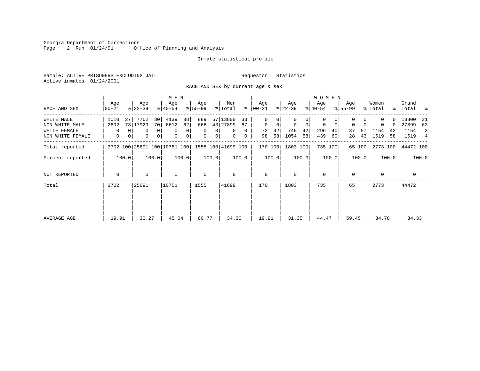Georgia Department of Corrections<br>Page 2 Run 01/24/01 0ff Office of Planning and Analysis

# Inmate statistical profile

Sample: ACTIVE PRISONERS EXCLUDING JAIL **Requestor:** Statistics Active inmates 01/24/2001

RACE AND SEX by current age & sex

|                                                                  |                               |                                                                           | M E N                                                  |                                                                     |                                                             |                                                                     |                                                    | <b>WOMEN</b>                                                  |                                                  |                                                  |                                                        |
|------------------------------------------------------------------|-------------------------------|---------------------------------------------------------------------------|--------------------------------------------------------|---------------------------------------------------------------------|-------------------------------------------------------------|---------------------------------------------------------------------|----------------------------------------------------|---------------------------------------------------------------|--------------------------------------------------|--------------------------------------------------|--------------------------------------------------------|
| RACE AND SEX                                                     | Age<br>00-21                  | Age<br>$ 22-39 $                                                          | Age<br>$ 40-54 $                                       | Age<br>$8 55-99$                                                    | Men<br>% Total                                              | Age<br>$8   00 - 21$                                                | Age<br>$ 22-39 $                                   | Age<br>$ 40-54 $                                              | Age<br>$8 55-99$                                 | Women<br>% Total                                 | Grand<br>%   Total %                                   |
| WHITE MALE<br>NON WHITE MALE<br>WHITE FEMALE<br>NON WHITE FEMALE | 1010<br>2692<br>$\Omega$<br>0 | 7762<br>30<br>27<br>73 17929<br>70<br>$\Omega$<br>$\Omega$<br>0<br>0<br>0 | 4139<br>38<br>6612<br>62<br>0<br>0<br>$\mathbf 0$<br>0 | 889<br>666<br>$\Omega$<br>$\Omega$<br>$\mathbf 0$<br>0 <sup>1</sup> | 57 13800<br>33<br>43 27899<br>67<br>$\Omega$<br>0<br>0<br>0 | $\Omega$<br>0<br>$\mathbf 0$<br>$\mathbf 0$<br>42<br>72<br>58<br>98 | $\mathbf 0$<br>$\Omega$<br>749<br>42<br>1054<br>58 | $\Omega$<br>$\mathbf 0$<br>$\Omega$<br>296<br>40<br>439<br>60 | $\mathbf 0$<br>$\Omega$<br>57<br>37<br>43 <br>28 | $\Omega$<br>$\Omega$<br>1154<br>42<br>1619<br>58 | 13800<br>- 31<br>27899<br>63<br>1154<br>3<br>1619<br>4 |
| Total reported                                                   |                               | 3702 100 25691 100 10751 100 1555 100 41699 100                           |                                                        |                                                                     |                                                             | 170 100                                                             | 1803 100                                           | 735 100                                                       | 65 100                                           | 2773 100                                         | 44472 100                                              |
| Percent reported                                                 | 100.0                         | 100.0                                                                     | 100.0                                                  | 100.0                                                               | 100.0                                                       | 100.0                                                               | 100.0                                              | 100.0                                                         | 100.0                                            | 100.0                                            | 100.0                                                  |
| NOT REPORTED                                                     | 0                             | 0                                                                         | $\mathbf 0$                                            | $\mathbf 0$                                                         | 0                                                           | $\mathbf 0$                                                         | $\Omega$                                           | 0                                                             | $\Omega$                                         | $\Omega$                                         | $\mathbf 0$                                            |
| Total                                                            | 3702                          | 25691                                                                     | 10751                                                  | 1555                                                                | 41699                                                       | 170                                                                 | 1803                                               | 735                                                           | 65                                               | 2773                                             | 44472                                                  |
| AVERAGE AGE                                                      | 19.91                         | 30.27                                                                     | 45.04                                                  | 60.77                                                               | 34.30                                                       | 19.91                                                               | 31.35                                              | 44.47                                                         | 59.45                                            | 34.78                                            | 34.33                                                  |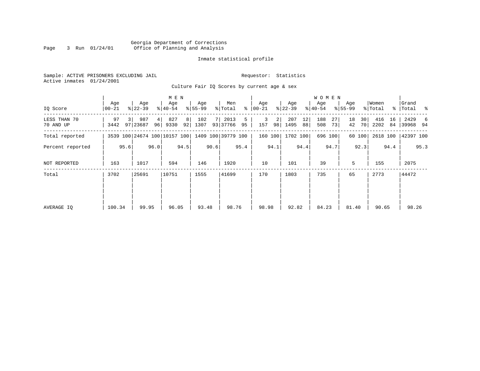#### Georgia Department of Corrections Page 3 Run 01/24/01 Office of Planning and Analysis

# Inmate statistical profile

| Sample: ACTIVE PRISONERS EXCLUDING JAIL | Requestor: Statistics |  |
|-----------------------------------------|-----------------------|--|
| Active inmates 01/24/2001               |                       |  |

Culture Fair IQ Scores by current age & sex

|                           |                  |      |                  | M E N    |                  |                |                  |      |                                                 |         |                  |         |                  | <b>WOMEN</b> |                  |          |                    |          |                  |          |                      |      |
|---------------------------|------------------|------|------------------|----------|------------------|----------------|------------------|------|-------------------------------------------------|---------|------------------|---------|------------------|--------------|------------------|----------|--------------------|----------|------------------|----------|----------------------|------|
| IQ Score                  | Age<br>$00 - 21$ |      | Age<br>$ 22-39 $ |          | Age<br>$ 40-54 $ |                | Age<br>$ 55-99 $ |      | Men<br>% Total                                  | ွေ      | Age<br>$00 - 21$ |         | Age<br>$ 22-39 $ |              | Age<br>$ 40-54 $ |          | Age<br>$8155 - 99$ |          | Women<br>% Total |          | Grand<br>%   Total % |      |
| LESS THAN 70<br>70 AND UP | 97<br>3442       |      | 987<br>97 23687  | 4 <br>96 | 827<br>9330      | 8 <sup>1</sup> | 102<br>92 1307   |      | 2013<br>93 37766                                | 5<br>95 | 3<br>157         | 2<br>98 | 207<br>1495      | 12<br>88     | 188<br>508       | 27<br>73 | 18<br>42           | 30<br>70 | 416<br>2202      | 16<br>84 | 2429<br>39968 94     | -6   |
| Total reported            |                  |      |                  |          |                  |                |                  |      | 3539 100 24674 100 10157 100 1409 100 39779 100 |         | 160 100          |         | 1702 100         |              |                  | 696 100  |                    | 60 100   | 2618 100         |          | 42397 100            |      |
| Percent reported          |                  | 95.6 |                  | 96.0     |                  | 94.5           |                  | 90.6 |                                                 | 95.4    |                  | 94.1    |                  | 94.4         |                  | 94.7     |                    | 92.3     |                  | 94.4     |                      | 95.3 |
| NOT REPORTED              | 163              |      | 1017             |          | 594              |                | 146              |      | 1920                                            |         | 10               |         | 101              |              | 39               |          | 5                  |          | 155              |          | 2075                 |      |
| Total                     | 3702             |      | 25691            |          | 10751            |                | 1555             |      | 41699                                           |         | 170              |         | 1803             |              | 735              |          | 65                 |          | 2773             |          | 44472                |      |
|                           |                  |      |                  |          |                  |                |                  |      |                                                 |         |                  |         |                  |              |                  |          |                    |          |                  |          |                      |      |
| AVERAGE IQ                | 100.34           |      | 99.95            |          | 96.05            |                | 93.48            |      | 98.76                                           |         | 98.98            |         | 92.82            |              | 84.23            |          | 81.40              |          | 90.65            |          | 98.26                |      |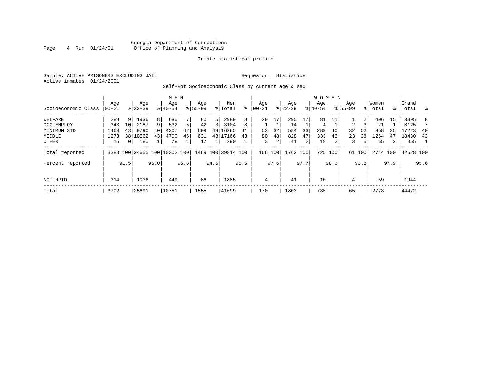# Georgia Department of Corrections<br>4 Run 01/24/01 Office of Planning and Analysis Page 4 Run 01/24/01 Office of Planning and Analysis

# Inmate statistical profile

Sample: ACTIVE PRISONERS EXCLUDING JAIL **Requestor:** Statistics Active inmates 01/24/2001

# Self-Rpt Socioeconomic Class by current age & sex

| Socioeconomic Class | Age<br>$ 00-21$ |                 | Age<br>$8 22-39$ |                | M E N<br>Age<br>$8 40-54$    |      | Age<br>$8155 - 99$ |      | Men<br>% Total     | ៖    | Age<br>$ 00 - 21$ |                | Age<br>$8$   22-39 |      | W O M E N<br>Age<br>$8 40-54$ |         | Age<br>$8155 - 99$ |        | Women<br>% Total |      | Grand<br>%   Total | - %  |
|---------------------|-----------------|-----------------|------------------|----------------|------------------------------|------|--------------------|------|--------------------|------|-------------------|----------------|--------------------|------|-------------------------------|---------|--------------------|--------|------------------|------|--------------------|------|
| WELFARE             | 288             | 9 <sup>1</sup>  | 1936             | 8 <sup>1</sup> | 685                          |      | 80                 | 5    | 2989               | 8    | 29                | 17             | 295                | 17   | 81                            | 11      |                    | 2      | 406              | 15   | 3395               | 8    |
| OCC EMPLOY          | 343             | 10 <sup>°</sup> | 2187             | 9 <sup>1</sup> | 532                          | 5    | 42                 | 3    | 3104               | 8    |                   |                | 14                 |      | 4                             |         | 2                  |        | 21               |      | 3125               |      |
| MINIMUM STD         | 1469            | 43              | 9790             | 40             | 4307                         | 42   | 699                | 48   | 16265              | 41   | 53                | 32             | 584                | 33   | 289                           | 40      | 32                 | 52     | 958              | 35   | 17223              | -40  |
| MIDDLE              | 1273            |                 | 38 10562         | 43             | 4700                         | 46   | 631                |      | 43 17166           | 43   | 80                | 48             | 828                | 47   | 333                           | 46      | 23                 | 38     | 1264             | 47   | 18430              | 43   |
| OTHER               | 15              | 0 <sup>1</sup>  | 180              | 1              | 78                           |      | 17                 |      | 290                |      | 3                 | $\overline{2}$ | 41                 | 21   | 18                            | 2       | 3                  |        | 65               | 2    | 355                |      |
| Total reported      |                 |                 |                  |                | 3388 100 24655 100 10302 100 |      |                    |      | 1469 100 39814 100 |      | 166 100           |                | 1762 100           |      |                               | 725 100 |                    | 61 100 | 2714 100         |      | 42528 100          |      |
| Percent reported    |                 | 91.5            |                  | 96.0           |                              | 95.8 |                    | 94.5 |                    | 95.5 |                   | 97.6           |                    | 97.7 |                               | 98.6    |                    | 93.8   |                  | 97.9 |                    | 95.6 |
| NOT RPTD            | 314             |                 | 1036             |                | 449                          |      | 86                 |      | 1885               |      | 4                 |                | 41                 |      | 10                            |         | 4                  |        | 59               |      | 1944               |      |
| Total               | 3702            |                 | 25691            |                | 10751                        |      | 1555               |      | 41699              |      | 170               |                | 1803               |      | 735                           |         | 65                 |        | 2773             |      | 44472              |      |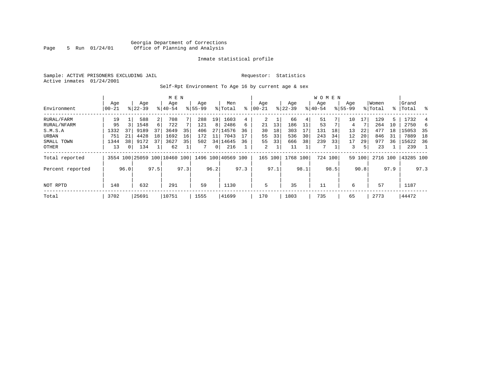# Georgia Department of Corrections Page 5 Run 01/24/01 Office of Planning and Analysis

# Inmate statistical profile

Sample: ACTIVE PRISONERS EXCLUDING JAIL **Requestor:** Statistics Active inmates 01/24/2001

Self-Rpt Environment To Age 16 by current age & sex

|                  |                  |                |                    |                |                              |      | <b>WOMEN</b>       |                 |                    |      |                  |      |                  |      |                  |      |                    |        |                  |      |                |      |
|------------------|------------------|----------------|--------------------|----------------|------------------------------|------|--------------------|-----------------|--------------------|------|------------------|------|------------------|------|------------------|------|--------------------|--------|------------------|------|----------------|------|
| Environment      | Age<br>$00 - 21$ |                | Age<br>$8122 - 39$ |                | Age<br>$8140 - 54$           |      | Age<br>$8155 - 99$ |                 | Men<br>% Total     | ႜ    | Age<br>$00 - 21$ |      | Age<br>$ 22-39 $ |      | Age<br>$8 40-54$ |      | Age<br>$8155 - 99$ |        | Women<br>% Total | ႜႂ   | Grand<br>Total | ွေ   |
| RURAL/FARM       | 19               |                | 588                | $\overline{2}$ | 708                          |      | 288                | 19 <sup>1</sup> | 1603               | 4    |                  |      | 66               | 4    | 51               |      | 10                 | 17     | 129              | 5.   | 1732           |      |
| RURAL/NFARM      | 95               |                | 1548               | $6 \mid$       | 722                          |      | 121                | 8               | 2486               | 6    | 21               | 13   | 186              |      | 53               |      | 4                  |        | 264              | 10   | 2750           | 6    |
| S.M.S.A          | 1332             | 37             | 9189               | 37             | 3649                         | 35   | 406                |                 | 27   14576         | 36   | 30               | 18   | 303              | 17   | 131              | 18   | 13                 | 22     | 477              | 18   | 15053          | -35  |
| URBAN            | 751              | 21             | 4428               | 18             | 1692                         | 16   | 172                | 11              | 7043               | 17   | 55               | 33   | 536              | 30   | 243              | 34   | 12                 | 20     | 846              | 31   | 7889           | 18   |
| SMALL TOWN       | 1344             | 38             | 9172               | 37             | 3627                         | 35   | 502                |                 | 34 14645           | 36   | 55               | 33   | 666              | 38   | 239              | 33   | 17                 | 29     | 977              | 36   | 15622          | 36   |
| OTHER            | 13               | 0 <sup>1</sup> | 134                |                | 62                           |      |                    | 0 <sup>1</sup>  | 216                |      | 2                |      | 11               |      | 7                |      | 3                  | 51     | 23               |      | 239            |      |
| Total reported   |                  |                |                    |                | 3554 100 25059 100 10460 100 |      |                    |                 | 1496 100 40569 100 |      | 165              | 100  | 1768             | 100  | 724 100          |      |                    | 59 100 | 2716 100         |      | 43285 100      |      |
| Percent reported |                  | 96.0           |                    | 97.5           |                              | 97.3 |                    | 96.2            |                    | 97.3 |                  | 97.1 |                  | 98.1 |                  | 98.5 |                    | 90.8   |                  | 97.9 |                | 97.3 |
| NOT RPTD         | 148              |                | 632                |                | 291                          |      | 59                 |                 | 1130               |      | 5                |      | 35               |      | 11               |      | 6                  |        | 57               |      | 1187           |      |
| Total            | 3702             |                | 25691              |                | 10751                        |      | 1555               |                 | 41699              |      | 170              |      | 1803             |      | 735              |      | 65                 |        | 2773             |      | 44472          |      |
|                  |                  |                |                    |                |                              |      |                    |                 |                    |      |                  |      |                  |      |                  |      |                    |        |                  |      |                |      |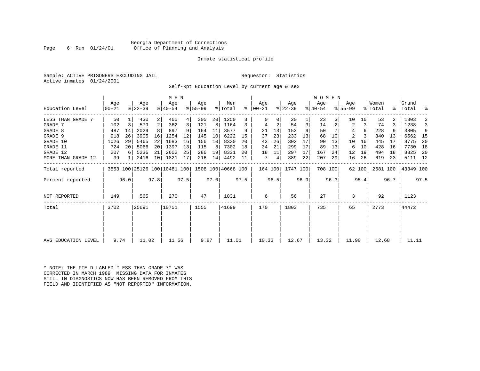# Georgia Department of Corrections Page 6 Run 01/24/01 Office of Planning and Analysis

# Inmate statistical profile

Sample: ACTIVE PRISONERS EXCLUDING JAIL **Requestor:** Statistics Active inmates 01/24/2001

Self-Rpt Education Level by current age & sex

|                     | Age   |      | Age                          |                 | M E N<br>Age |      | Age       |      | Men                |      | Age           |      | Age       |      | W O M E N<br>Age |         | Age       |        | Women    |      | Grand     |      |
|---------------------|-------|------|------------------------------|-----------------|--------------|------|-----------|------|--------------------|------|---------------|------|-----------|------|------------------|---------|-----------|--------|----------|------|-----------|------|
| Education Level     | 00-21 |      | $ 22-39 $                    |                 | $8140 - 54$  |      | $8 55-99$ |      | % Total            |      | $8   00 - 21$ |      | $ 22-39 $ |      | $ 40-54 $        |         | $8 55-99$ |        | % Total  |      | %   Total | ್ಠಿ  |
| LESS THAN GRADE 7   | 50    |      | 430                          | $\overline{2}$  | 465          | 4    | 305       | 20   | 1250               | 3    |               | 0    | 20        |      | 23               | 3       | 10        | 16     | 53       |      | 1303      |      |
| GRADE 7             | 102   | 3    | 579                          | 2               | 362          | 3    | 121       | 8    | 1164               | 3    |               | 2    | 54        | 3    | 14               |         | 2         | 3      | 74       |      | 1238      | 3    |
| GRADE 8             | 487   | 14   | 2029                         |                 | 897          |      | 164       | 11   | 3577               | 9    | 21            | 13   | 153       | 9    | 50               |         | 4         |        | 228      |      | 3805      | 9    |
| GRADE 9             | 918   | 26   | 3905                         | 16              | 1254         | 12   | 145       | 10   | 6222               | 15   | 37            | 23   | 233       | 13   | 68               | 10      | 2         |        | 340      | 13   | 6562      | 15   |
| GRADE 10            | 1026  | 29   | 5465                         | 22              | 1683         | 16   | 156       | 10   | 8330               | 20   | 43            | 26   | 302       | 17   | 90               | 13      | 10        | 16     | 445      | 17   | 8775      | 20   |
| GRADE 11            | 724   | 20   | 5066                         | 20 <sup>1</sup> | 1397         | 13   | 115       | 8    | 7302               | 18   | 34            | 21   | 299       | 17   | 89               | 13      | 6         | 10     | 428      | 16   | 7730      | 18   |
| GRADE 12            | 207   | 6    | 5236                         | 21              | 2602         | 25   | 286       | 19   | 8331               | 20   | 18            | 11   | 297       | 17   | 167              | 24      | 12        | 19     | 494      | 18   | 8825      | 20   |
| MORE THAN GRADE 12  | 39    |      | 2416                         | 10 <sup>1</sup> | 1821         | 17   | 216       | 14   | 4492               | 11   | 7             | 4    | 389       | 22   | 207              | 29      | 16        | 26     | 619      | 23   | 5111 12   |      |
| Total reported      |       |      | 3553 100 25126 100 10481 100 |                 |              |      |           |      | 1508 100 40668 100 |      | 164 100       |      | 1747 100  |      |                  | 708 100 |           | 62 100 | 2681 100 |      | 43349 100 |      |
| Percent reported    |       | 96.0 |                              | 97.8            |              | 97.5 |           | 97.0 |                    | 97.5 |               | 96.5 |           | 96.9 |                  | 96.3    |           | 95.4   |          | 96.7 |           | 97.5 |
| NOT REPORTED        | 149   |      | 565                          |                 | 270          |      | 47        |      | 1031               |      | 6             |      | 56        |      | 27               |         | 3         |        | 92       |      | 1123      |      |
| Total               | 3702  |      | 25691                        |                 | 10751        |      | 1555      |      | 41699              |      | 170           |      | 1803      |      | 735              |         | 65        |        | 2773     |      | 44472     |      |
|                     |       |      |                              |                 |              |      |           |      |                    |      |               |      |           |      |                  |         |           |        |          |      |           |      |
| AVG EDUCATION LEVEL | 9.74  |      | 11.02                        |                 | 11.56        |      | 9.87      |      | 11.01              |      | 10.33         |      | 12.67     |      | 13.32            |         | 11.90     |        | 12.68    |      | 11.11     |      |

\* NOTE: THE FIELD LABLED "LESS THAN GRADE 7" WAS CORRECTED IN MARCH 1989: MISSING DATA FOR INMATES STILL IN DIAGNOSTICS NOW HAS BEEN REMOVED FROM THIS FIELD AND IDENTIFIED AS "NOT REPORTED" INFORMATION.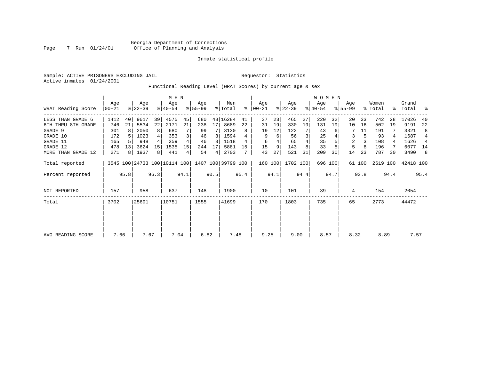Sample: ACTIVE PRISONERS EXCLUDING JAIL **Requestor:** Statistics Active inmates 01/24/2001

Functional Reading Level (WRAT Scores) by current age & sex

|                    |                |      |                                                 |      | M E N            |      |                 |      |                |           |                    |      |                  |      | <b>WOMEN</b>     |         |                    |        |                  |      |                    |                |
|--------------------|----------------|------|-------------------------------------------------|------|------------------|------|-----------------|------|----------------|-----------|--------------------|------|------------------|------|------------------|---------|--------------------|--------|------------------|------|--------------------|----------------|
| WRAT Reading Score | Age<br>  00-21 |      | Age<br>$ 22-39 $                                |      | Age<br>$ 40-54 $ |      | Age<br>$ 55-99$ |      | Men<br>% Total | $\approx$ | Age<br>$ 00 - 21 $ |      | Age<br>$ 22-39 $ |      | Age<br>$ 40-54 $ |         | Age<br>$8155 - 99$ |        | Women<br>% Total |      | Grand<br>%   Total | ್ಠಿ            |
| LESS THAN GRADE 6  | 1412           | 40   | 9617                                            | 39   | 4575             | 45   | 680             |      | 48 16284       | 41        | 37                 | 23   | 465              | 27   | 220              | 32      | 20                 | 33     | 742              | 28   | 17026              | 40             |
| 6TH THRU 8TH GRADE | 746            | 21   | 5534                                            | 22   | 2171             | 21   | 238             | 17   | 8689           | 22        | 31                 | 19   | 330              | 19   | 131              | 19      | 10                 | 16     | 502              | 19   | 9191               | 22             |
| GRADE 9            | 301            | 8    | 2050                                            | 8    | 680              |      | 99              |      | 3130           | 8         | 19                 | 12   | 122              |      | 43               |         |                    | 11     | 191              |      | 3321               | 8              |
| GRADE 10           | 172            |      | 1023                                            | 4    | 353              |      | 46              | 3    | 1594           |           | 9                  | 6    | 56               | 3    | 25               |         | 3                  |        | 93               |      | 1687               | $\overline{4}$ |
| GRADE 11           | 165            |      | 948                                             |      | 359              |      | 46              | 3    | 1518           |           | 6                  |      | 65               |      | 35               |         | $\overline{2}$     |        | 108              |      | 1626               | $\overline{4}$ |
| GRADE 12           | 478            | 13   | 3624                                            | 15   | 1535             | 15   | 244             | 17   | 5881           | 15        | 15                 | 9    | 143              |      | 33               |         | 5                  |        | 196              |      | 6077               | 14             |
| MORE THAN GRADE 12 | 271            | 8    | 1937                                            | 8    | 441              | 4    | 54              | 4    | 2703           |           | 43                 | 27   | 521              | 31   | 209              | 30      | 14                 | 23     | 787              | 30   | 3490               | 8              |
| Total reported     |                |      | 3545 100 24733 100 10114 100 1407 100 39799 100 |      |                  |      |                 |      |                |           | 160 100            |      | 1702 100         |      |                  | 696 100 |                    | 61 100 | 2619 100         |      | 42418 100          |                |
| Percent reported   |                | 95.8 |                                                 | 96.3 |                  | 94.1 |                 | 90.5 |                | 95.4      |                    | 94.1 |                  | 94.4 |                  | 94.7    |                    | 93.8   |                  | 94.4 |                    | 95.4           |
| NOT REPORTED       | 157            |      | 958                                             |      | 637              |      | 148             |      | 1900           |           | 10                 |      | 101              |      | 39               |         | 4                  |        | 154              |      | 2054               |                |
| Total              | 3702           |      | 25691                                           |      | 10751            |      | 1555            |      | 41699          |           | 170                |      | 1803             |      | 735              |         | 65                 |        | 2773             |      | 44472              |                |
|                    |                |      |                                                 |      |                  |      |                 |      |                |           |                    |      |                  |      |                  |         |                    |        |                  |      |                    |                |
| AVG READING SCORE  | 7.66           |      | 7.67                                            |      | 7.04             |      | 6.82            |      | 7.48           |           | 9.25               |      | 9.00             |      | 8.57             |         | 8.32               |        | 8.89             |      | 7.57               |                |
|                    |                |      |                                                 |      |                  |      |                 |      |                |           |                    |      |                  |      |                  |         |                    |        |                  |      |                    |                |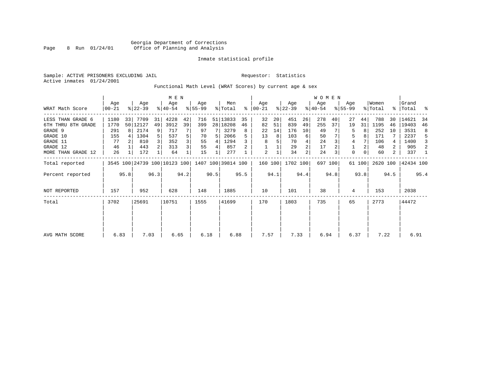Sample: ACTIVE PRISONERS EXCLUDING JAIL **Requestor:** Statistics Active inmates 01/24/2001

Functional Math Level (WRAT Scores) by current age & sex

| WRAT Math Score                                                                                              | Age<br>$00 - 21$                             |         | Age<br>$ 22-39 $                                      |                                                   | M E N<br>Age<br>$ 40-54 $                      |                         | Age<br>$ 55-99 $                         |             | Men<br>% Total                                             | ႜ             | Age<br>$ 00-21 $               |                     | Age<br>$ 22-39 $                           |                          | W O M E N<br>Age<br>$ 40-54 $            |                 | Age<br>$8155 - 99$                     |                | Women<br>% Total                             |                               | Grand<br>%   Total                                   | ႜ                            |
|--------------------------------------------------------------------------------------------------------------|----------------------------------------------|---------|-------------------------------------------------------|---------------------------------------------------|------------------------------------------------|-------------------------|------------------------------------------|-------------|------------------------------------------------------------|---------------|--------------------------------|---------------------|--------------------------------------------|--------------------------|------------------------------------------|-----------------|----------------------------------------|----------------|----------------------------------------------|-------------------------------|------------------------------------------------------|------------------------------|
| LESS THAN GRADE 6<br>6TH THRU 8TH GRADE<br>GRADE 9<br>GRADE 10<br>GRADE 11<br>GRADE 12<br>MORE THAN GRADE 12 | 1180<br>1770<br>291<br>155<br>77<br>46<br>26 | 33<br>8 | 7709<br>50 12127<br>2174<br>1304<br>810<br>443<br>172 | 31<br>49<br>9<br>5 <sup>1</sup><br>$\overline{3}$ | 4228<br>3912<br>717<br>537<br>352<br>313<br>64 | 42<br>39<br>5<br>3<br>3 | 716<br>399<br>97<br>70<br>55<br>55<br>15 | 5<br>4<br>4 | 51 13833<br>28 18208<br>3279<br>2066<br>1294<br>857<br>277 | 35<br>46<br>8 | 32<br>82<br>22<br>13<br>8<br>2 | 20<br>51<br>14<br>8 | 451<br>839<br>176<br>103<br>70<br>29<br>34 | 26<br>49<br>10<br>6<br>2 | 278<br>255<br>49<br>50<br>24<br>17<br>24 | 40<br>37        | 27<br>19<br>5<br>5<br>4<br>$\mathbf 0$ | 44<br>31<br>0  | 788<br>1195<br>252<br>171<br>106<br>48<br>60 | 30<br>46<br>10<br>4<br>2<br>2 | 14621<br>19403<br>3531<br>2237<br>1400<br>905<br>337 | 34<br>46<br>8<br>5<br>3<br>2 |
| Total reported<br>Percent reported                                                                           |                                              | 95.8    | 3545 100 24739 100 10123 100 1407 100 39814 100       | 96.3                                              |                                                | 94.2                    |                                          | 90.5        |                                                            | 95.5          | 160 100                        | 94.1                | 1702 100                                   | 94.4                     |                                          | 697 100<br>94.8 |                                        | 61 100<br>93.8 | 2620 100                                     | 94.5                          | 42434 100                                            | 95.4                         |
| NOT REPORTED                                                                                                 | 157                                          |         | 952                                                   |                                                   | 628                                            |                         | 148                                      |             | 1885                                                       |               | 10                             |                     | 101                                        |                          | 38                                       |                 | 4                                      |                | 153                                          |                               | 2038                                                 |                              |
| Total                                                                                                        | 3702                                         |         | 25691                                                 |                                                   | 10751                                          |                         | 1555                                     |             | 41699                                                      |               | 170                            |                     | 1803                                       |                          | 735                                      |                 | 65                                     |                | 2773                                         |                               | 44472                                                |                              |
| AVG MATH SCORE                                                                                               | 6.83                                         |         | 7.03                                                  |                                                   | 6.65                                           |                         | 6.18                                     |             | 6.88                                                       |               | 7.57                           |                     | 7.33                                       |                          | 6.94                                     |                 | 6.37                                   |                | 7.22                                         |                               | 6.91                                                 |                              |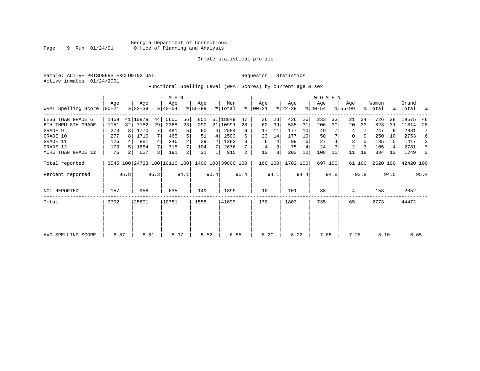Sample: ACTIVE PRISONERS EXCLUDING JAIL **Requestor:** Statistics Active inmates 01/24/2001

# Functional Spelling Level (WRAT Scores) by current age & sex

|                             |      |                |                              |                | M E N            |                |                  |      |                    |      |                  |      |                  |      | WOMEN            |         |                    |        |                  |      |                    |      |
|-----------------------------|------|----------------|------------------------------|----------------|------------------|----------------|------------------|------|--------------------|------|------------------|------|------------------|------|------------------|---------|--------------------|--------|------------------|------|--------------------|------|
| WRAT Spelling Score   00-21 | Age  |                | Age<br>$ 22-39 $             |                | Age<br>$ 40-54 $ |                | Aqe<br>$ 55-99 $ |      | Men<br>% Total     | ፠    | Age<br>$ 00-21 $ |      | Age<br>$ 22-39 $ |      | Age<br>$ 40-54 $ |         | Aqe<br>$8155 - 99$ |        | Women<br>% Total |      | Grand<br>%   Total |      |
| LESS THAN GRADE 6           | 1469 |                | 41   10879                   | 44             | 5650             | 56             | 851              | 61   | 18849              | 47   | 36               | 23   | 436              | 26   | 233              | 33      | 21                 | 34     | 726              | 28   | 19575              | 46   |
| 6TH THRU 8TH GRADE          | 1151 | 32             | 7182                         | 29             | 2368             | 23             | 290              | 21   | 10991              | 28   | 62               | 39   | 535              | 31   | 206              | 30      | 20                 | 33     | 823              | 31   | 11814              | 28   |
| GRADE 9                     | 273  |                | 1770                         |                | 481              | 5              | 60               | 4    | 2584               | 6    | 17               | 11   | 177              | 10   | 49               |         | 4                  |        | 247              |      | 2831               | 7    |
| GRADE 10                    | 277  |                | 1710                         | 7 <sup>1</sup> | 465              | 5              | 51               | 4    | 2503               | 6    | 23               | 14   | 177              | 10   | 50               |         | 0                  |        | 250              | 10   | 2753               | 6    |
| GRADE 11                    | 126  |                | 881                          | 4 <sup>1</sup> | 246              | $\overline{a}$ | 29               | 2    | 1282               |      | 6                |      | 99               | 6    | 27               |         | 3                  |        | 135              |      | 1417               | 3    |
| GRADE 12                    | 173  |                | 1684                         | 7              | 715              |                | 104              |      | 2676               |      | 4                |      | 75               |      | 24               |         | 2                  |        | 105              |      | 2781               | 7    |
| MORE THAN GRADE 12          | 76   | 2 <sup>1</sup> | 627                          | 3              | 191              | 2              | 21               |      | 915                | 2    | 12               | 8    | 203              | 12   | 108              | 15      | 11                 | 18     | 334              | 13   | 1249               | 3    |
| Total reported              |      |                | 3545 100 24733 100 10116 100 |                |                  |                |                  |      | 1406 100 39800 100 |      | 160 100          |      | 1702 100         |      |                  | 697 100 |                    | 61 100 | 2620 100         |      | 42420 100          |      |
| Percent reported            |      | 95.8           |                              | 96.3           |                  | 94.1           |                  | 90.4 |                    | 95.4 |                  | 94.1 |                  | 94.4 |                  | 94.8    |                    | 93.8   |                  | 94.5 |                    | 95.4 |
| <b>NOT REPORTED</b>         | 157  |                | 958                          |                | 635              |                | 149              |      | 1899               |      | 10               |      | 101              |      | 38               |         | 4                  |        | 153              |      | 2052               |      |
| Total                       | 3702 |                | 25691                        |                | 10751            |                | 1555             |      | 41699              |      | 170              |      | 1803             |      | 735              |         | 65                 |        | 2773             |      | 44472              |      |
|                             |      |                |                              |                |                  |                |                  |      |                    |      |                  |      |                  |      |                  |         |                    |        |                  |      |                    |      |
|                             |      |                |                              |                |                  |                |                  |      |                    |      |                  |      |                  |      |                  |         |                    |        |                  |      |                    |      |
| AVG SPELLING SCORE          | 6.87 |                | 6.81                         |                | 5.97             |                | 5.52             |      | 6.55               |      | 8.20             |      | 8.22             |      | 7.85             |         | 7.28               |        | 8.10             |      | 6.65               |      |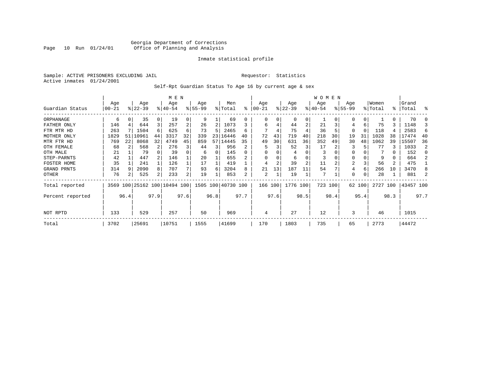# Georgia Department of Corrections Page 10 Run 01/24/01 Office of Planning and Analysis

# Inmate statistical profile

Sample: ACTIVE PRISONERS EXCLUDING JAIL **Requestor:** Statistics Active inmates 01/24/2001

Self-Rpt Guardian Status To Age 16 by current age & sex

|                  |           |      |           |                | M E N                        |                |           |      |                    |          |           |      |           |                | <b>WOMEN</b> |      |                |          |          |           |           |      |
|------------------|-----------|------|-----------|----------------|------------------------------|----------------|-----------|------|--------------------|----------|-----------|------|-----------|----------------|--------------|------|----------------|----------|----------|-----------|-----------|------|
|                  | Age       |      | Age       |                | Age                          |                | Age       |      | Men                |          | Age       |      | Age       |                | Age          |      | Age            |          | Women    |           | Grand     |      |
| Guardian Status  | $00 - 21$ |      | $ 22-39 $ |                | $8 40-54$                    |                | $8 55-99$ |      | % Total            | ႜ        | $00 - 21$ |      | $ 22-39 $ |                | $ 40-54 $    |      | $8155 - 99$    |          | % Total  | $\approx$ | Total     | る    |
| ORPHANAGE        | 6         |      | 35        | 0              | 19                           | 0              | 9         |      | 69                 | $^{(1)}$ | 0         | O    | $\Omega$  | 0              |              |      |                | 0        |          | 0         | 70        |      |
| FATHER ONLY      | 146       |      | 644       | 3              | 257                          | 2              | 26        | 2    | 1073               |          | 6         |      | 44        | 2              | 21           |      |                | 6        | 75       | 3         | 1148      |      |
| FTR MTR HD       | 263       |      | 1504      | 6              | 625                          | 6              | 73        | 5    | 2465               | б        |           | 4    | 75        |                | 36           |      | O              | $\Omega$ | 118      | 4         | 2583      | 6    |
| MOTHER ONLY      | 1829      | 51   | 10961     | 44             | 3317                         | 32             | 339       |      | 23 16446           | 40       | 72        | 43   | 719       | 40             | 218          | 30   | 19             | 31       | 1028     | 38        | 17474     | 40   |
| MTR FTR HD       | 769       | 22   | 8068      | 32             | 4749                         | 45             | 859       |      | 57 14445           | 35       | 49        | 30   | 631       | 36             | 352          | 49   | 30             | 48       | 1062     | 39        | 15507     | 36   |
| OTH FEMALE       | 68        |      | 568       |                | 276                          | 3              | 44        | 3    | 956                | 2        |           |      | 52        | 3              | 17           |      | 3              |          | 77       | 3         | 1033      |      |
| OTH MALE         | 21        |      | 79        |                | 39                           |                | 6         | 0    | 145                | 0        | $\Omega$  |      | 4         |                | 3            |      | $\Omega$       |          |          | 0         | 152       |      |
| STEP-PARNTS      | 42        |      | 447       |                | 146                          |                | 20        |      | 655                |          | 0         |      | 6         |                | 3            |      | 0              |          | 9        | 0         | 664       |      |
| FOSTER HOME      | 35        |      | 241       |                | 126                          |                | 17        |      | 419                |          |           | 2    | 39        | $\overline{2}$ | 11           |      | $\overline{2}$ |          | 56       | 2         | 475       |      |
| GRAND PRNTS      | 314       |      | 2090      | 8              | 707                          |                | 93        | 6    | 3204               | 8        | 21        | 13   | 187       | 11             | 54           |      | 4              | 6        | 266      | 10        | 3470      |      |
| OTHER            | 76        |      | 525       | 2 <sub>1</sub> | 233                          | 2 <sub>1</sub> | 19        |      | 853                | 2        | 2         | 1    | 19        |                | 7            |      | $\Omega$       |          | 28       |           | 881       |      |
| Total reported   |           |      |           |                | 3569 100 25162 100 10494 100 |                |           |      | 1505 100 40730 100 |          | 166 100   |      | 1776 100  |                | 723 100      |      |                | 62 100   | 2727 100 |           | 43457 100 |      |
| Percent reported |           | 96.4 |           | 97.9           |                              | 97.6           |           | 96.8 |                    | 97.7     |           | 97.6 |           | 98.5           |              | 98.4 |                | 95.4     |          | 98.3      |           | 97.7 |
| NOT RPTD         | 133       |      | 529       |                | 257                          |                | 50        |      | 969                |          | 4         |      | 27        |                | 12           |      | 3              |          | 46       |           | 1015      |      |
| Total            | 3702      |      | 25691     |                | 10751                        |                | 1555      |      | 41699              |          | 170       |      | 1803      |                | 735          |      | 65             |          | 2773     |           | 44472     |      |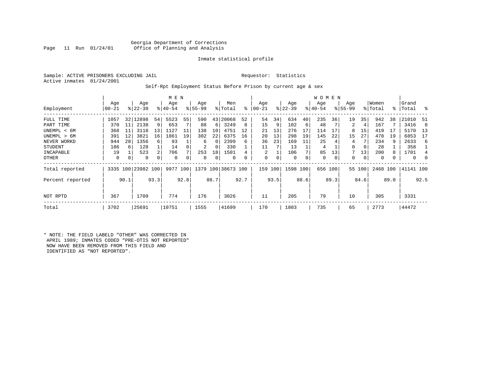# Georgia Department of Corrections<br>Page 11 Run 01/24/01 office of Planning and Analysis Office of Planning and Analysis

# Inmate statistical profile

Sample: ACTIVE PRISONERS EXCLUDING JAIL **Requestor:** Statistics Active inmates 01/24/2001

# Self-Rpt Employment Status Before Prison by current age & sex

|                  |           |      |                    |      | M E N     |      |           |               |                    |          |                |      |           |      | <b>WOMEN</b> |      |             |          |          |      |           |          |
|------------------|-----------|------|--------------------|------|-----------|------|-----------|---------------|--------------------|----------|----------------|------|-----------|------|--------------|------|-------------|----------|----------|------|-----------|----------|
|                  | Age       |      | Age                |      | Age       |      | Age       |               | Men                |          | Age            |      | Age       |      | Age          |      | Age         |          | Women    |      | Grand     |          |
| Employment       | $00 - 21$ |      | $ 22-39 $          |      | $8 40-54$ |      | $8 55-99$ | $\frac{1}{6}$ | Total              | ႜ        | $00 - 21$      |      | $ 22-39 $ |      | $ 40-54 $    |      | $8155 - 99$ |          | % Total  |      | %   Total | ႜ        |
| FULL TIME        | 1057      | 32   | 12898              | 54   | 5523      | 55   | 590       | 43            | 20068              | 52       | 54             | 34   | 634       | 40   | 235          | 36   | 19          | 35       | 942      | 38   | 21010     | -51      |
| PART TIME        | 370       | 11   | 2138               | 9    | 653       |      | 88        | 6             | 3249               | 8        | 15             | 9    | 102       | 6    | 48           |      | 2           | 4        | 167      |      | 3416      | -8       |
| UNEMPL < 6M      | 368       | 11   | 3118               | 13   | 1127      | 11   | 138       | 10            | 4751               | 12       | 21             | 13   | 276       | 17   | 114          | 17   | 8           | 15       | 419      | -17  | 5170      | 13       |
| UNEMPL > 6M      | 391       | 12   | 3821               | 16   | 1861      | 19   | 302       | 22            | 6375               | 16       | 20             | 13   | 298       | 19   | 145          | 22   | 15          | 27       | 478      | 19   | 6853      | 17       |
| NEVER WORKD      | 944       | 28   | 1356               | 6    | 93        |      | 6         | $\Omega$      | 2399               | 6        | 36             | 23   | 169       | 11   | 25           |      | 4           |          | 234      |      | 2633      | 6        |
| <b>STUDENT</b>   | 186       | 6    | 128                |      | 14        |      | 2         | 0             | 330                |          | 11             |      | 13        |      | 4            |      | 0           | $\Omega$ | 28       |      | 358       |          |
| INCAPABLE        | 19        |      | 523                | 2    | 706       |      | 253       | 18            | 1501               |          | $\mathfrak{D}$ |      | 106       |      | 85           | 13   | 7           | 13       | 200      |      | 1701      | 4        |
| OTHER            | 0         | 0    | 0                  | 0    | 0         |      | 0         | 0             | $\Omega$           | $\Omega$ | 0              | 0    | 0         | 0    | 0            | 0    | 0           | 0        | $\Omega$ |      | $\Omega$  | $\Omega$ |
| Total reported   |           |      | 3335 100 23982 100 |      | 9977      | 100  |           |               | 1379 100 38673 100 |          | 159 100        |      | 1598 100  |      | 656 100      |      |             | 55 100   | 2468 100 |      | 41141 100 |          |
| Percent reported |           | 90.1 |                    | 93.3 |           | 92.8 |           | 88.7          |                    | 92.7     |                | 93.5 |           | 88.6 |              | 89.3 |             | 84.6     |          | 89.0 |           | 92.5     |
| NOT RPTD         | 367       |      | 1709               |      | 774       |      | 176       |               | 3026               |          | 11             |      | 205       |      | 79           |      | 10          |          | 305      |      | 3331      |          |
| Total            | 3702      |      | 25691              |      | 10751     |      | 1555      |               | 41699              |          | 170            |      | 1803      |      | 735          |      | 65          |          | 2773     |      | 44472     |          |

\* NOTE: THE FIELD LABELD "OTHER" WAS CORRECTED IN APRIL 1989; INMATES CODED "PRE-OTIS NOT REPORTED" NOW HAVE BEEN REMOVED FROM THIS FIELD AND IDENTIFIED AS "NOT REPORTED".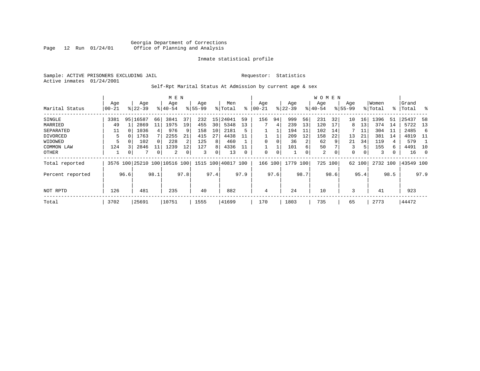Sample: ACTIVE PRISONERS EXCLUDING JAIL **Requestor:** Statistics Active inmates 01/24/2001

# Self-Rpt Marital Status At Admission by current age & sex

|                  |           |      |                                                 |      | M E N     |      |          |                 |         |           |          |          |           |      | <b>WOMEN</b> |                |             |        |          |      |           |      |
|------------------|-----------|------|-------------------------------------------------|------|-----------|------|----------|-----------------|---------|-----------|----------|----------|-----------|------|--------------|----------------|-------------|--------|----------|------|-----------|------|
|                  | Age       |      | Age                                             |      | Age       |      | Age      |                 | Men     |           | Age      |          | Age       |      | Age          |                | Age         |        | Women    |      | Grand     |      |
| Marital Status   | $00 - 21$ |      | $ 22-39 $                                       |      | $8 40-54$ |      | $ 55-99$ |                 | % Total | $\approx$ | 00-21    |          | $ 22-39 $ |      | $ 40-54$     |                | $8155 - 99$ |        | % Total  |      | %   Total | - 옹  |
| SINGLE           | 3381      | 95   | 16587                                           | 66   | 3841      | 37   | 232      | 15              | 24041   | 59        | 156      | 94       | 999       | 56   | 231          | 32             | 10          | 16     | 1396     | 51   | 25437     | 58   |
| MARRIED          | 49        |      | 2869                                            | 11   | 1975      | 19   | 455      | 30 <sup>1</sup> | 5348    | 13        |          | 4        | 239       | 13   | 120          | 17             | 8           | 13     | 374      | 14   | 5722      | -13  |
| SEPARATED        | 11        |      | 1036                                            | 4    | 976       |      | 158      | 10              | 2181    | 5         |          |          | 194       | 11   | 102          | 14             |             | 11     | 304      | ᆚᆚ   | 2485      | -6   |
| DIVORCED         | 5         |      | 1763                                            |      | 2255      | 21   | 415      | 27              | 4438    | 11        |          |          | 209       | 12   | 158          | 22             | 13          | 21     | 381      | 14   | 4819      | -11  |
| WIDOWED          |           |      | 102                                             |      | 228       |      | 125      | 8               | 460     |           |          |          | 36        | 2    | 62           | 9              | 21          | 34     | 119      | 4    | 579       |      |
| COMMON LAW       | 124       |      | 2846                                            |      | 1239      | 12   | 127      | 8               | 4336    |           |          |          | 101       | 6    | 50           |                | 3           | .5     | 155      | 6.   | 4491      | -10  |
| OTHER            |           | 0    |                                                 | 0    | 2         |      | 3        | 0               | 13      |           | $\Omega$ | $\Omega$ |           | 0    | 2            | $\overline{0}$ | 0           | 0      | 3        |      | 16        | - 0  |
| Total reported   |           |      | 3576 100 25210 100 10516 100 1515 100 40817 100 |      |           |      |          |                 |         |           | 166      | 100      | 1779      | 100  | 725 100      |                |             | 62 100 | 2732 100 |      | 43549 100 |      |
| Percent reported |           | 96.6 |                                                 | 98.1 |           | 97.8 |          | 97.4            |         | 97.9      |          | 97.6     |           | 98.7 |              | 98.6           |             | 95.4   |          | 98.5 |           | 97.9 |
|                  |           |      |                                                 |      |           |      |          |                 |         |           |          |          |           |      |              |                |             |        |          |      |           |      |
| NOT RPTD         | 126       |      | 481                                             |      | 235       |      | 40       |                 | 882     |           | 4        |          | 24        |      | 10           |                | 3           |        | 41       |      | 923       |      |
| Total            | 3702      |      | 25691                                           |      | 10751     |      | 1555     |                 | 41699   |           | 170      |          | 1803      |      | 735          |                | 65          |        | 2773     |      | 44472     |      |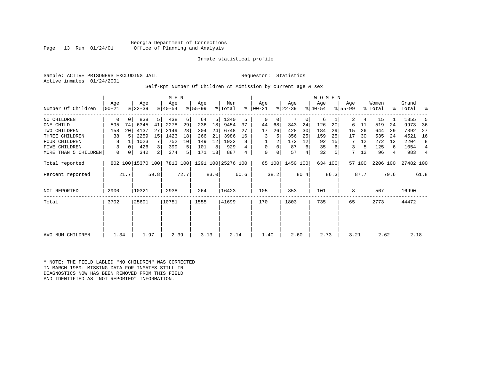Georgia Department of Corrections Office of Planning and Analysis

# Inmate statistical profile

Sample: ACTIVE PRISONERS EXCLUDING JAIL **Requestor:** Statistics Active inmates 01/24/2001

Self-Rpt Number Of Children At Admission by current age & sex

| Number Of Children   | Age<br>$ 00-21 $ |          | Age<br>$ 22-39 $  |      | M E N<br>Age<br>$ 40-54 $ |      | Age<br>$8 55-99$ |      | Men<br>% Total              | ႜ    | Age<br>$ 00-21 $ |      | Age<br>$ 22-39 $ |                | WOMEN<br>Age<br>$ 40-54 $ |         | Age<br>$8 55-99$ |        | Women<br>% Total | ႜ    | Grand<br>Total | ႜ    |
|----------------------|------------------|----------|-------------------|------|---------------------------|------|------------------|------|-----------------------------|------|------------------|------|------------------|----------------|---------------------------|---------|------------------|--------|------------------|------|----------------|------|
|                      |                  |          |                   |      |                           |      |                  |      |                             |      |                  |      |                  |                |                           |         |                  |        |                  |      |                |      |
| NO CHILDREN          | 0                | $\Omega$ | 838               | 5    | 438                       | 6    | 64               | 5    | 1340                        | 5    | $\Omega$         | 0    |                  | 0 <sup>1</sup> | 6                         |         | 2                | 4      | 15               |      | 1355           |      |
| ONE CHILD            | 595              | 74       | 6345              | 41   | 2278                      | 29   | 236              | 18   | 9454                        | 37   | 44               | 68   | 343              | 24             | 126                       | 20      | 6                | 11     | 519              | 24   | 9973           | -36  |
| TWO CHILDREN         | 158              | 20       | 4137              | 27   | 2149                      | 28   | 304              | 24   | 6748                        | 27   | 17               | 26   | 428              | 30             | 184                       | 29      | 15               | 26     | 644              | 29   | 7392           | 27   |
| THREE CHILDREN       | 38               | 5        | 2259              | 15   | 1423                      | 18   | 266              | 21   | 3986                        | 16   | 3                | 5    | 356              | 25             | 159                       | 25      | 17               | 30     | 535              | 24   | 4521           | 16   |
| <b>FOUR CHILDREN</b> | 8                |          | 1023              | 7    | 752                       | 10   | 149              | 12   | 1932                        | 8    |                  | 2    | 172              | 12             | 92                        | 15      |                  | 12     | 272              | 12   | 2204           | 8    |
| FIVE CHILDREN        | 3                | $\Omega$ | 426               |      | 399                       | 5    | 101              | 8    | 929                         |      | $\Omega$         | 0    | 87               | 6              | 35                        |         | 3                | 5      | 125              | 6    | 1054           | 4    |
| MORE THAN 5 CHILDREN | 0                | 0        | 342               |      | 374                       | 5    | 171              | 13   | 887                         | 4    | 0                | 0    | 57               | 4              | 32                        |         | 7                | 12     | 96               | 4    | 983            | 4    |
| Total reported       |                  |          | 802 100 15370 100 |      |                           |      |                  |      | 7813 100 1291 100 25276 100 |      |                  |      | 65 100 1450 100  |                |                           | 634 100 |                  | 57 100 | 2206 100         |      | 27482 100      |      |
| Percent reported     |                  | 21.7     |                   | 59.8 |                           | 72.7 |                  | 83.0 |                             | 60.6 |                  | 38.2 |                  | 80.4           |                           | 86.3    |                  | 87.7   |                  | 79.6 |                | 61.8 |
| <b>NOT REPORTED</b>  | 2900             |          | 10321             |      | 2938                      |      | 264              |      | 16423                       |      | 105              |      | 353              |                | 101                       |         | 8                |        | 567              |      | 16990          |      |
| Total                | 3702             |          | 25691             |      | 10751                     |      | 1555             |      | 41699                       |      | 170              |      | 1803             |                | 735                       |         | 65               |        | 2773             |      | 44472          |      |
|                      |                  |          |                   |      |                           |      |                  |      |                             |      |                  |      |                  |                |                           |         |                  |        |                  |      |                |      |
| AVG NUM CHILDREN     | 1.34             |          | 1.97              |      | 2.39                      |      | 3.13             |      | 2.14                        |      | 1.40             |      | 2.60             |                | 2.73                      |         | 3.21             |        | 2.62             |      | 2.18           |      |
|                      |                  |          |                   |      |                           |      |                  |      |                             |      |                  |      |                  |                |                           |         |                  |        |                  |      |                |      |

\* NOTE: THE FIELD LABLED "NO CHILDREN" WAS CORRECTED IN MARCH 1989: MISSING DATA FOR INMATES STILL IN DIAGNOSTICS NOW HAS BEEN REMOVED FROM THIS FIELD AND IDENTIFIED AS "NOT REPORTED" INFORMATION.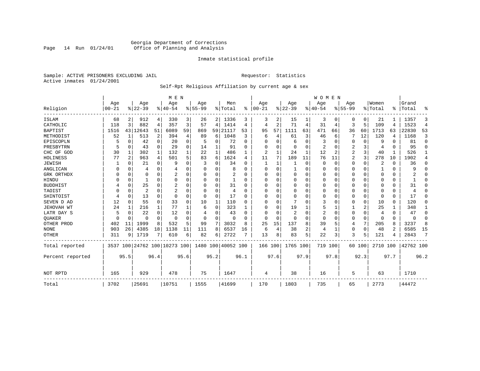# Georgia Department of Corrections Page 14 Run 01/24/01 Office of Planning and Analysis

# Inmate statistical profile

Sample: ACTIVE PRISONERS EXCLUDING JAIL **Requestor:** Statistics Active inmates 01/24/2001

# Self-Rpt Religious Affiliation by current age & sex

|                  |           |                |                         |             | M E N          |          |           |          |                    |              |          |          |          |      | <b>WOMEN</b> |          |           |             |          |          |           |                |
|------------------|-----------|----------------|-------------------------|-------------|----------------|----------|-----------|----------|--------------------|--------------|----------|----------|----------|------|--------------|----------|-----------|-------------|----------|----------|-----------|----------------|
|                  | Age       |                | Age                     |             | Age            |          | Age       |          | Men                |              | Age      |          | Age      |      | Aqe          |          | Age       |             | Women    |          | Grand     |                |
| Religion         | $00 - 21$ |                | $ 22-39 $               |             | $ 40-54$       |          | $8 55-99$ |          | % Total            | %            | $ 00-21$ |          | $ 22-39$ |      | $ 40-54$     |          | $8 55-99$ |             | % Total  | ፠        | Total     | ዱ              |
| ISLAM            | 68        | 2              | 912                     | 4           | 330            | 3        | 26        |          | 2 1336             | 3            | 3        | 2        | 15       |      | 3            | 0        | 0         | 0           | 21       |          | 1357      | 3              |
| CATHOLIC         | 118       | 3              | 882                     | 4           | 357            | 3        | 57        | 4        | 1414               | 4            | 4        | 2        | 71       | 4    | 31           | 4        | 3         | 5           | 109      | 4        | 1523      | $\overline{4}$ |
| <b>BAPTIST</b>   | 1516      | 43             | 12643                   | 51          | 6089           | 59       | 869       | 59       | 21117              | 53           | 95       | 57       | 1111     | 63   | 471          | 66       | 36        | 60          | 1713     | 63       | 22830     | 53             |
| METHODIST        | 52        | 1              | 513                     | 2           | 394            | 4        | 89        | 6        | 1048               | 3            | 6        | 4        | 61       | 3    | 46           | 6        |           | 12          | 120      | 4        | 1168      | 3              |
| EPISCOPLN        |           | 0              | 42                      | $\mathbf 0$ | 20             | 0        | 5         | 0        | 72                 | $\Omega$     | U        | O        | 6        | 0    | 3            | 0        | 0         | 0           | 9        | $\Omega$ | 81        | 0              |
| PRESBYTRN        | 5         | $\Omega$       | 43                      | $\Omega$    | 29             | $\Omega$ | 14        | 1        | 91                 | U            | 0        | U        | 0        | 0    | 2            | 0        | 2         | 3           | 4        | $\Omega$ | 95        | $\Omega$       |
| CHC OF GOD       | 30        | 1              | 302                     | 1           | 132            |          | 22        | 1        | 486                |              | 2        |          | 24       | 1    | 12           | 2        | 2         | 3           | 40       |          | 526       | 1              |
| HOLINESS         | 77        | $\overline{c}$ | 963                     | 4           | 501            | 5        | 83        | 6        | 1624               | 4            | 11       | 7        | 189      | 11   | 76           | 11       | 2         | 3           | 278      | 10       | 1902      | 4              |
| <b>JEWISH</b>    |           | $\Omega$       | 21                      | $\Omega$    | 9              | $\Omega$ |           | U        | 34                 | O            |          |          |          | 0    | $\Omega$     | $\Omega$ | 0         | 0           | 2        | $\Omega$ | 36        | 0              |
| ANGLICAN         |           | 0              | 4                       | $\Omega$    |                |          |           | 0        | 8                  |              | $\Omega$ | 0        |          | 0    | 0            | $\Omega$ | 0         | $\Omega$    |          | $\Omega$ | 9         | $\Omega$       |
| GRK ORTHDX       |           | $\Omega$       | 0                       | $\Omega$    |                | O        | n         | 0        | 2                  | U            | U        | U        | $\Omega$ | 0    | $\Omega$     | 0        | 0         | $\Omega$    | $\Omega$ | $\Omega$ |           | $\Omega$       |
| HINDU            |           | $\Omega$       |                         | $\Omega$    | $\Omega$       | $\Omega$ |           | 0        | 1                  | <sup>0</sup> | U        |          | 0        | U    | $\Omega$     | $\Omega$ | 0         | $\Omega$    | O        | $\Omega$ | ำ         | $\Omega$       |
| <b>BUDDHIST</b>  |           | 0              | 25                      | $\Omega$    | 2              | O        |           | 0        | 31                 | U            | $\Omega$ |          | $\Omega$ | O    | $\Omega$     | $\Omega$ | Ω         | $\Omega$    | $\Omega$ | $\Omega$ | 31        | $\Omega$       |
| TAOIST           |           | $\Omega$       | $\overline{c}$          | $\Omega$    | $\overline{2}$ |          |           | 0        | 4                  | n            | U        | O        | $\Omega$ | 0    | $\Omega$     | $\Omega$ | 0         | $\Omega$    | $\Omega$ | $\Omega$ | 4         | $\Omega$       |
| SHINTOIST        | 4         | $\Omega$       | 13                      | $\Omega$    | $\Omega$       |          | O         | $\Omega$ | 17                 | O            | U        | $\Omega$ | $\Omega$ | O    | O            | $\Omega$ | 0         | $\mathbf 0$ | $\Omega$ | $\Omega$ | 17        | $\Omega$       |
| SEVEN D AD       | 12        | $\Omega$       | 55                      | $\Omega$    | 33             | $\Omega$ | 10        | 1        | 110                | U            | U        | $\Omega$ |          | U    | 3            | $\Omega$ | 0         | $\mathbf 0$ | 10       | $\Omega$ | 120       | O              |
| JEHOVAH WT       | 24        | 1              | 216                     | 1           | 77             |          | 6         | 0        | 323                |              | U        | $\Omega$ | 19       |      | 5            |          |           | 2           | 25       |          | 348       | 1              |
| LATR DAY S       |           | $\Omega$       | 22                      | $\Omega$    | 12             |          |           | 0        | 43                 | n            | 0        |          | 2        | 0    | 2            | 0        | 0         | 0           | 4        | $\Omega$ | 47        | $\Omega$       |
| <b>OUAKER</b>    |           | 0              | O                       | 0           | $\Omega$       | $\Omega$ | O         | 0        | $\Omega$           |              | $\Omega$ | $\Omega$ | 0        | 0    | $\Omega$     | 0        | 0         | $\mathbf 0$ | $\Omega$ | 0        | $\Omega$  | 0              |
| OTHER PROD       | 402       | 11             | 1999                    | 8           | 532            | 5        | 99        | 7        | 3032               | 8            | 25       | 15       | 137      | 8    | 39           | 5        | 4         | 7           | 205      | 8        | 3237      | 8              |
| <b>NONE</b>      | 903       | 26             | 4385                    | 18          | 1138           | 11       | 111       | 8        | 6537               | 16           | 6        | 4        | 38       | 2    | 4            | 1        | 0         | 0           | 48       | 2        | 6585      | 15             |
| <b>OTHER</b>     | 311       | 9              | 1719                    | 7           | 610            | 6        | 82        | 6        | 2722               |              | 13       | 8        | 83       | 5    | 22           | 3        | 3         | 5           | 121      |          | 2843      | 7              |
| Total reported   | 3537      |                | 100 24762 100 10273 100 |             |                |          |           |          | 1480 100 40052 100 |              | 166 100  |          | 1765 100 |      | 719          | 100      |           | 60 100      | 2710 100 |          | 42762 100 |                |
| Percent reported |           | 95.5           |                         | 96.4        |                | 95.6     |           | 95.2     |                    | 96.1         |          | 97.6     |          | 97.9 |              | 97.8     |           | 92.3        |          | 97.7     |           | 96.2           |
| NOT RPTD         | 165       |                | 929                     |             | 478            |          | 75        |          | 1647               |              | 4        |          | 38       |      | 16           |          | 5         |             | 63       |          | 1710      |                |
| Total            | 3702      |                | 25691                   |             | 10751          |          | 1555      |          | 41699              |              | 170      |          | 1803     |      | 735          |          | 65        |             | 2773     |          | 44472     |                |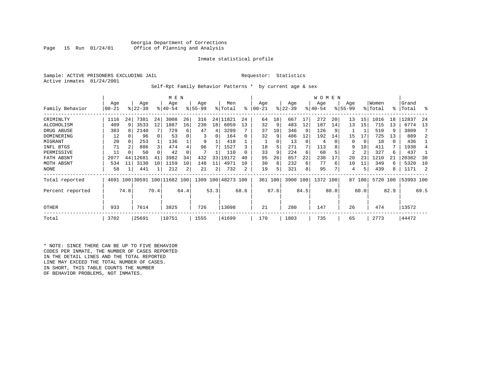# Georgia Department of Corrections<br>Page 15 Run 01/24/01 office of Planning and Analysis Office of Planning and Analysis

# Inmate statistical profile

Sample: ACTIVE PRISONERS EXCLUDING JAIL **Requestor:** Statistics Active inmates 01/24/2001

Self-Rpt Family Behavior Patterns \* by current age & sex

|                  |       |      |                              |      | M E N       |      |           |                 |                    |      |           |      |           |          | <b>WOMEN</b> |      |             |        |          |      |           |      |
|------------------|-------|------|------------------------------|------|-------------|------|-----------|-----------------|--------------------|------|-----------|------|-----------|----------|--------------|------|-------------|--------|----------|------|-----------|------|
|                  | Age   |      | Age                          |      | Age         |      | Age       |                 | Men                |      | Age       |      | Age       |          | Age          |      | Age         |        | Women    |      | Grand     |      |
| Family Behavior  | 00-21 |      | $ 22-39 $                    |      | $8140 - 54$ |      | $8 55-99$ |                 | % Total            | ႜ    | $00 - 21$ |      | $ 22-39 $ |          | $ 40-54 $    |      | $8155 - 99$ |        | % Total  | °≈   | Total     | ႜ    |
| CRIMINLTY        | 1116  | 24   | 7381                         | 24   | 3008        | 26   | 316       |                 | 24 11821           | 24   | 64        | 18   | 667       | 17       | 272          | 20   | 13          | 15     | 1016     | 18   | 12837     | -24  |
| ALCOHOLISM       | 409   | 9    | 3533                         | 12   | 1887        | 16   | 230       | 18 <sup>1</sup> | 6059               | 13   | 32        | 9    | 483       | 12       | 187          | 14   | 13          | 15     | 715      | 13   | 6774      | 13   |
| DRUG ABUSE       | 383   | 8    | 2140                         |      | 729         | 6    | 47        | 4               | 3299               |      | 37        | 10   | 346       |          | 126          |      |             |        | 510      | 9    | 3809      |      |
| DOMINERING       | 12    |      | 96                           |      | 53          |      | 3         | 0               | 164                |      | 32        | 9    | 486       | 12       | 192          | 14   | 15          | 17     | 725      | 13   | 889       |      |
| MIGRANT          | 20    |      | 253                          |      | 136         |      | 9         |                 | 418                |      |           |      | 13        | $\Omega$ | 4            |      | 0           | 0      | 18       | 0    | 436       |      |
| INFL BTGS        | 71    |      | 886                          | 3    | 474         | 4    | 96        |                 | 1527               |      | 18        | 5.   | 271       |          | 113          |      | 9           | 10     | 411      | 7    | 1938      |      |
| PERMISSIVE       | 11    |      | 50                           |      | 42          |      |           |                 | 110                |      | 33        | 9    | 224       | 6        | 68           |      | 2           | 2      | 327      | 6    | 437       |      |
| FATH ABSNT       | 2077  | 44   | 12681                        | 41   | 3982        | 34   | 432       | 33              | 19172              | 40   | 95        | 26   | 857       | 22       | 238          |      | 20          | 23     | 1210     |      | 20382     | 38   |
| MOTH ABSNT       | 534   | 11   | 3130                         | 10   | 1159        | 10   | 148       | 11              | 4971               | 10   | 30        | 8    | 232       | 6        | 77           | 6    | 10          | 11     | 349      | 6    | 5320      | 10   |
| NONE             | 58    |      | 441                          |      | 212         | 2    | 21        | 2               | 732                |      | 19        | 5    | 321       | 8        | 95           |      | 4           | 5      | 439      | 8    | 1171      |      |
| Total reported   |       |      | 4691 100 30591 100 11682 100 |      |             |      |           |                 | 1309 100 48273 100 |      | 361 100   |      | 3900 100  |          | 1372 100     |      |             | 87 100 | 5720 100 |      | 53993 100 |      |
| Percent reported |       | 74.8 |                              | 70.4 |             | 64.4 |           | 53.3            |                    | 68.6 |           | 87.6 |           | 84.5     |              | 80.0 |             | 60.0   |          | 82.9 |           | 69.5 |
| <b>OTHER</b>     | 933   |      | 7614                         |      | 3825        |      | 726       |                 | 13098              |      | 21        |      | 280       |          | 147          |      | 26          |        | 474      |      | 13572     |      |
| Total            | 3702  |      | 25691                        |      | 10751       |      | 1555      |                 | 41699              |      | 170       |      | 1803      |          | 735          |      | 65          |        | 2773     |      | 44472     |      |

\* NOTE: SINCE THERE CAN BE UP TO FIVE BEHAVIOR CODES PER INMATE, THE NUMBER OF CASES REPORTED IN THE DETAIL LINES AND THE TOTAL REPORTED LINE MAY EXCEED THE TOTAL NUMBER OF CASES. IN SHORT, THIS TABLE COUNTS THE NUMBER OF BEHAVIOR PROBLEMS, NOT INMATES.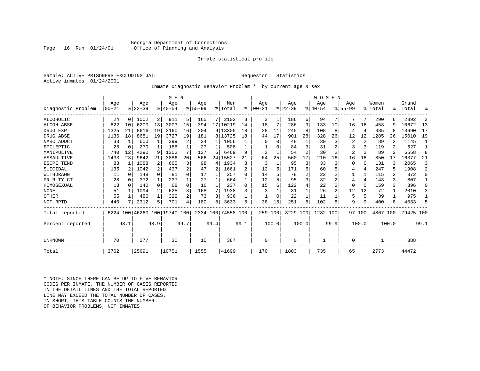# Georgia Department of Corrections Office of Planning and Analysis

# Inmate statistical profile

Sample: ACTIVE PRISONERS EXCLUDING JAIL **Requestor:** Statistics Active inmates 01/24/2001

# Inmate Diagnostic Behavior Problem \* by current age & sex

|                    |          |          |          |          | M E N                        |      |           |      |                    |      |           |              |          |       | <b>WOMEN</b> |                |           |        |          |       |           |          |
|--------------------|----------|----------|----------|----------|------------------------------|------|-----------|------|--------------------|------|-----------|--------------|----------|-------|--------------|----------------|-----------|--------|----------|-------|-----------|----------|
|                    | Age      |          | Age      |          | Age                          |      | Age       |      | Men                |      | Age       |              | Age      |       | Age          |                | Age       |        | Women    |       | Grand     |          |
| Diagnostic Problem | $ 00-21$ |          | $ 22-39$ |          | $ 40-54$                     |      | $8 55-99$ |      | % Total            | ႜ    | $00 - 21$ |              | $ 22-39$ |       | $ 40-54$     |                | $8 55-99$ |        | % Total  | ⊱     | Total     | ႜ        |
| <b>ALCOHOLIC</b>   | 24       | 0        | 1002     | 2        | 911                          | 5.   | 165       | 7    | 2102               | 3    | 3         | 1            | 186      | 6     | 94           | 7              |           | 7      | 290      | 6     | 2392      | 3        |
| <b>ALCOH ABSE</b>  | 622      | 10       | 6200     | 13       | 3003                         | 15   | 394       |      | 17 10219           | 14   | 18        | 7            | 286      | 9     | 133          | 10             | 16        | 16     | 453      | 9     | 10672     | 13       |
| DRUG EXP           | 1325     | 21       | 8616     | 19       | 3160                         | 16   | 204       |      | 9 13305            | 18   | 28        | 11           | 245      | 8     | 108          | 8              | 4         | 4      | 385      | 8     | 13690     | 17       |
| DRUG ABSE          | 1136     | 18       | 8681     | 19       | 3727                         | 19   | 181       |      | 8 13725            | 18   | 44        | 17           | 901      | 28    | 328          | 26             | 12        | 12     | 1285     | 26    | 15010     | 19       |
| NARC ADDCT         | 33       | 1        | 600      |          | 399                          |      | 24        |      | 1056               |      |           | 0            | 48       |       | 39           | 3              | 2         | 2      | 89       |       | 1145      |          |
| EPILEPTIC          | 25       | 0        | 270      | 1        | 186                          |      | 27        |      | 508                |      |           |              | 84       | 3     | 31           | 2              |           | 3      | 119      |       | 627       |          |
| MANIPULTVE         | 740      | 12       | 4290     | 9        | 1302                         |      | 137       | 6    | 6469               | 9    | 3         |              | 54       | 2     | 30           | 2              | 2         | 2      | 89       |       | 6558      | 8        |
| ASSAULTIVE         | 1433     | 23       | 9642     | 21       | 3886                         | 20   | 566       | 24   | 15527              | 21   | 64        | 25           | 560      | 17    | 210          | 16             | 16        | 16     | 850      | 17    | 16377     | 21       |
| ESCPE TEND         | 83       | 1        | 1088     | 2        | 665                          |      | 98        | 4    | 1934               | 3    | 3         | $\mathbf{1}$ | 95       | 3     | 33           | 3              | $\Omega$  | 0      | 131      | ζ     | 2065      | 3        |
| SUICIDAL           | 135      | 2        | 1042     | 2        | 437                          |      | 47        | 2    | 1661               |      | 12        | 5            | 171      | 5     | 60           | 5              | 4         | 4      | 247      | 5     | 1908      | 2        |
| WITHDRAWN          | 11       | $\Omega$ | 148      | $\Omega$ | 81                           | 0    | 17        |      | 257                | 0    | 14        |              | 78       | 2     | 22           | 2              |           | 1      | 115      |       | 372       | $\Omega$ |
| PR RLTY CT         | 28       | 0        | 372      | 1        | 237                          |      | 27        |      | 664                |      | 12        |              | 95       | 3     | 32           | 2              | 4         | 4      | 143      | 3     | 807       |          |
| HOMOSEXUAL         | 13       | 0        | 140      | $\Omega$ | 68                           | 0    | 16        |      | 237                | 0    | 15        | 6            | 122      | 4     | 22           | $\overline{2}$ | $\Omega$  | 0      | 159      | ζ     | 396       | $\Omega$ |
| <b>NONE</b>        | 51       |          | 1094     | 2        | 625                          |      | 168       | 7    | 1938               | 3    | 3         |              | 31       |       | 26           | 2              | 12        | 12     | 72       |       | 2010      | 3        |
| OTHER              | 55       |          | 486      | 1        | 322                          |      | 73        | 3    | 936                |      |           |              | 22       |       | 11           |                | 5         | 5      | 39       |       | 975       |          |
| NOT RPTD           | 440      |          | 2312     | 5        | 701                          |      | 180       | 8    | 3633               | 5    | 38        | 15           | 251      | 8     | 102          | 8              | 9         | 9      | 400      | 8     | 4033      | 5        |
| Total reported     |          |          |          |          | 6224 100 46260 100 19740 100 |      |           |      | 2334 100 74558 100 |      | 259 100   |              | 3229 100 |       | 1282 100     |                |           | 97 100 | 4867 100 |       | 79425 100 |          |
| Percent reported   |          | 98.1     |          | 98.9     |                              | 99.7 |           | 99.4 |                    | 99.1 |           | 100.0        |          | 100.0 |              | 99.9           |           | 100.0  |          | 100.0 |           | 99.1     |
|                    |          |          |          |          |                              |      |           |      |                    |      |           |              |          |       |              |                |           |        |          |       |           |          |
| UNKNOWN            | 70       |          | 277      |          | 30                           |      | 10        |      | 387                |      | 0         |              | 0        |       | 1            |                | $\Omega$  |        |          |       | 388       |          |
| Total              | 3702     |          | 25691    |          | 10751                        |      | 1555      |      | 41699              |      | 170       |              | 1803     |       | 735          |                | 65        |        | 2773     |       | 44472     |          |

\* NOTE: SINCE THERE CAN BE UP TO FIVE BEHAVIOR CODES PER INMATE, THE NUMBER OF CASES REPORTED IN THE DETAIL LINES AND THE TOTAL REPORTED LINE MAY EXCEED THE TOTAL NUMBER OF CASES.IN SHORT, THIS TABLE COUNTS THE NUMBER OF BEHAVIOR PROBLEMS, NOT INMATES.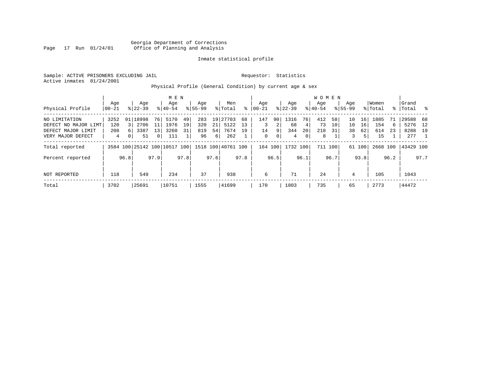Georgia Department of Corrections Page 17 Run 01/24/01 Office of Planning and Analysis

# Inmate statistical profile

Sample: ACTIVE PRISONERS EXCLUDING JAIL **Requestor:** Statistics Active inmates 01/24/2001

Physical Profile (General Condition) by current age & sex

|                      |       |                |             |              | M E N                        |      |             |      |                    |      |          |      |           |                | W O M E N |                 |             |        |          |      |           |      |
|----------------------|-------|----------------|-------------|--------------|------------------------------|------|-------------|------|--------------------|------|----------|------|-----------|----------------|-----------|-----------------|-------------|--------|----------|------|-----------|------|
|                      | Age   |                | Age         |              | Age                          |      | Age         |      | Men                |      | Age      |      | Age       |                | Aqe       |                 | Aqe         |        | Women    |      | Grand     |      |
| Physical Profile     | 00-21 |                | $8122 - 39$ |              | $8 40-54$                    |      | $8155 - 99$ |      | % Total            | ႜ    | $ 00-21$ |      | $ 22-39 $ |                | $8 40-54$ |                 | $8155 - 99$ |        | % Total  | န္   | Total     | း    |
| NO LIMITATION        | 3252  |                | 91 18998    | 76           | 5170                         | 49   | 283         |      | 19 27703           | 68   | 147      | 90   | 1316      | 76             | 412       | 58              | 10          | 16     | 1885     | 71   | 29588 68  |      |
| DEFECT NO MAJOR LIMT | 120   |                | 2706        | 11           | 1976                         | 19   | 320         | 21   | 5122               | 13   | 3        | 2    | 68        | 4              | 73        | 10 <sub>1</sub> | 10          | 16     | 154      | 6    | 5276      | 12   |
| DEFECT MAJOR LIMIT   | 208   | 6 <sup>1</sup> | 3387        | 13           | 3260                         | 31   | 819         | 54   | 7674               | 19   | 14       | 9    | 344       | 20             | 218       | 31              | 38          | 62     | 614      | 23   | 8288 19   |      |
| VERY MAJOR DEFECT    | 4     | 0 <sup>1</sup> | 51          | $\mathbf{0}$ | 111                          |      | 96          | 6    | 262                |      | 0        | 0    | 4         | $\overline{0}$ | 8         |                 | 3           | 5      | 15       |      | 277       |      |
| Total reported       |       |                |             |              | 3584 100 25142 100 10517 100 |      |             |      | 1518 100 40761 100 |      | 164 100  |      | 1732 100  |                |           | 711 100         |             | 61 100 | 2668 100 |      | 43429 100 |      |
| Percent reported     |       | 96.8           |             | 97.9         |                              | 97.8 |             | 97.6 |                    | 97.8 |          | 96.5 |           | 96.1           |           | 96.7            |             | 93.8   |          | 96.2 |           | 97.7 |
| NOT REPORTED         | 118   |                | 549         |              | 234                          |      | 37          |      | 938                |      | 6        |      | 71        |                | 24        |                 | 4           |        | 105      |      | 1043      |      |
| Total                | 3702  |                | 25691       |              | 10751                        |      | 1555        |      | 41699              |      | 170      |      | 1803      |                | 735       |                 | 65          |        | 2773     |      | 44472     |      |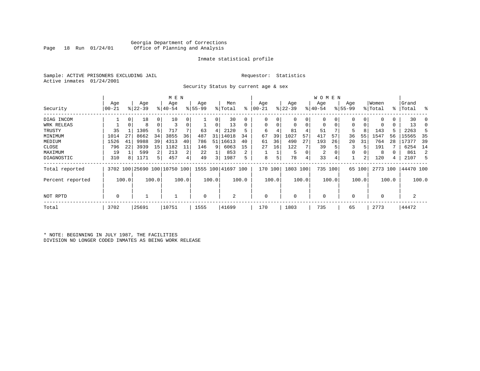# Georgia Department of Corrections Office of Planning and Analysis

# Inmate statistical profile

Sample: ACTIVE PRISONERS EXCLUDING JAIL **Requestor:** Statistics Active inmates 01/24/2001

Security Status by current age & sex

|                  |          |       |           |             | M E N     |       |          |       |                                                 |       |          |         |             |       | W O M E N      |                |             |        |             |       |           |       |
|------------------|----------|-------|-----------|-------------|-----------|-------|----------|-------|-------------------------------------------------|-------|----------|---------|-------------|-------|----------------|----------------|-------------|--------|-------------|-------|-----------|-------|
|                  | Age      |       | Age       |             | Age       |       | Age      |       | Men                                             |       | Age      |         | Age         |       | Age            |                | Age         |        | Women       |       | Grand     |       |
| Security         | $ 00-21$ |       | $ 22-39 $ |             | $8 40-54$ |       | $ 55-99$ |       | % Total                                         | ៖     | 00-21    |         | $ 22-39 $   |       | $ 40-54$       |                | $8155 - 99$ |        | % Total     |       | %   Total | ႜ     |
| DIAG INCOM       |          | 0     | 18        | 0           | 10        |       |          | 0     | 30                                              |       | $^{(1)}$ |         | 0           | 0     |                |                |             | 0      |             | 0     | 30        |       |
| WRK RELEAS       |          | 0     | 8         | $\mathbf 0$ | 3         |       |          | 0     | 13                                              |       | $\Omega$ |         | $\mathbf 0$ | 0     | $\Omega$       | $\overline{0}$ | 0           | 0      | 0           | 0     | 13        |       |
| TRUSTY           | 35       |       | 1305      | 5           | 717       |       | 63       | 4     | 2120                                            | 5     | 6        |         | 81          | 4     | 51             |                | 5           | 8      | 143         |       | 2263      | 5     |
| MINIMUM          | 1014     | 27    | 8662      | 34          | 3855      | 36    | 487      | 31    | 14018                                           | 34    | 67       | 39      | 1027        | 57    | 417            | 57             | 36          | 55     | 1547        | 56    | 15565     | 35    |
| MEDIUM           | 1526     | 41    | 9988      | 39          | 4313      | 40    | 786      | 51    | 16613                                           | 40    | 61       | 36      | 490         | 27    | 193            | 26             | 20          | 31     | 764         | 28    | 17377     | 39    |
| CLOSE            | 796      | 22    | 3939      | 15          | 1182      | 11    | 146      | 9     | 6063                                            | 15    | 27       | 16      | 122         |       | 39             |                |             |        | 191         |       | 6254      | 14    |
| MAXIMUM          | 19       |       | 599       |             | 213       | 2     | 22       |       | 853                                             | 2     |          |         | 5           | 0     | $\overline{2}$ |                | 0           |        | 8           |       | 861       | 2     |
| DIAGNOSTIC       | 310      | 8     | 1171      | 5           | 457       |       | 49       | 3     | 1987                                            | 5     | 8        |         | 78          | 4     | 33             |                |             |        | 120         | 4     | 2107      | 5     |
| Total reported   |          |       |           |             |           |       |          |       | 3702 100 25690 100 10750 100 1555 100 41697 100 |       |          | 170 100 | 1803 100    |       |                | 735 100        |             | 65 100 | 2773 100    |       | 44470 100 |       |
| Percent reported |          | 100.0 |           | 100.0       |           | 100.0 |          | 100.0 |                                                 | 100.0 |          | 100.0   |             | 100.0 |                | 100.0          |             | 100.0  |             | 100.0 |           | 100.0 |
| NOT RPTD         | 0        |       |           |             |           |       | 0        |       | 2                                               |       | $\Omega$ |         | $\Omega$    |       | $\mathbf 0$    |                | 0           |        | $\mathbf 0$ |       | 2         |       |
| Total            | 3702     |       | 25691     |             | 10751     |       | 1555     |       | 41699                                           |       | 170      |         | 1803        |       | 735            |                | 65          |        | 2773        |       | 44472     |       |

\* NOTE: BEGINNING IN JULY 1987, THE FACILITIES DIVISION NO LONGER CODED INMATES AS BEING WORK RELEASE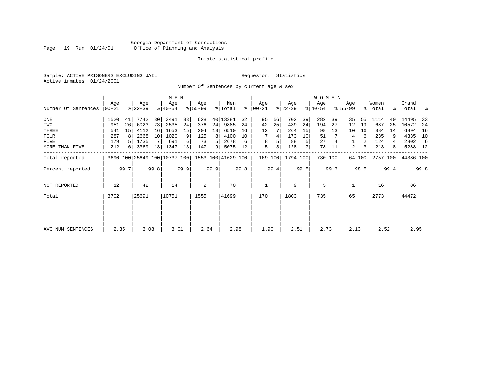# Georgia Department of Corrections Page 19 Run 01/24/01 Office of Planning and Analysis

# Inmate statistical profile

Sample: ACTIVE PRISONERS EXCLUDING JAIL **Requestor:** Statistics Active inmates 01/24/2001

Number Of Sentences by current age & sex

|                     |           |      |           |      | M E N                        |      |           |      |                    |      |               |      |           |      | <b>WOMEN</b> |         |             |        |          |      |           |      |
|---------------------|-----------|------|-----------|------|------------------------------|------|-----------|------|--------------------|------|---------------|------|-----------|------|--------------|---------|-------------|--------|----------|------|-----------|------|
|                     | Age       |      | Age       |      | Age                          |      | Age       |      | Men                |      | Age           |      | Age       |      | Age          |         | Age         |        | Women    |      | Grand     |      |
| Number Of Sentences | $00 - 21$ |      | $ 22-39 $ |      | $ 40-54 $                    |      | $8 55-99$ |      | % Total            |      | $8   00 - 21$ |      | $ 22-39 $ |      | $ 40-54 $    |         | $8155 - 99$ |        | % Total  |      | %   Total | ႜ    |
| $_{\rm ONE}$        | 1520      | 41   | 7742      | 30   | 3491                         | 33   | 628       |      | 40   13381         | 32   | 95            | 56   | 702       | 39   | 282          | 39      | 35          | 55     | 1114     | 40   | 14495     | 33   |
| TWO                 | 951       | 26   | 6023      | 23   | 2535                         | 24   | 376       | 24   | 9885               | 24   | 42            | 25   | 439       | 24   | 194          | 27      | 12          | 19     | 687      | 25   | 10572     | -24  |
| THREE               | 541       | 15   | 4112      | 16   | 1653                         | 15   | 204       | 13   | 6510               | 16   | 12            |      | 264       | 15   | 98           | 13      | 10          | 16     | 384      | 14   | 6894      | 16   |
| <b>FOUR</b>         | 287       | 8    | 2668      | 10   | 1020                         | 9    | 125       | 8    | 4100               | 10   |               | 4    | 173       | 10   | 51           |         | 4           | 6      | 235      | 9    | 4335      | 10   |
| <b>FIVE</b>         | 179       |      | 1735      |      | 691                          | 6    | 73        | 5    | 2678               | 6    | 8             |      | 88        | 5    | 27           |         |             | 2      | 124      | 4    | 2802      | -6   |
| MORE THAN FIVE      | 212       | 6    | 3369      | 13   | 1347                         | 13   | 147       | 9    | 5075               | 12   | 5             | 3    | 128       | 7    | 78           | 11      | 2           | 3      | 213      | 8    | 5288 12   |      |
| Total reported      |           |      |           |      | 3690 100 25649 100 10737 100 |      |           |      | 1553 100 41629 100 |      | 169 100       |      | 1794 100  |      |              | 730 100 |             | 64 100 | 2757 100 |      | 44386 100 |      |
| Percent reported    |           | 99.7 |           | 99.8 |                              | 99.9 |           | 99.9 |                    | 99.8 |               | 99.4 |           | 99.5 |              | 99.3    |             | 98.5   |          | 99.4 |           | 99.8 |
| NOT REPORTED        | 12        |      | 42        |      | 14                           |      | 2         |      | 70                 |      |               |      | 9         |      | 5            |         |             |        | 16       |      | 86        |      |
| Total               | 3702      |      | 25691     |      | 10751                        |      | 1555      |      | 41699              |      | 170           |      | 1803      |      | 735          |         | 65          |        | 2773     |      | 44472     |      |
|                     |           |      |           |      |                              |      |           |      |                    |      |               |      |           |      |              |         |             |        |          |      |           |      |
| AVG NUM SENTENCES   | 2.35      |      | 3.08      |      | 3.01                         |      | 2.64      |      | 2.98               |      | 1.90          |      | 2.51      |      | 2.73         |         | 2.13        |        | 2.52     |      | 2.95      |      |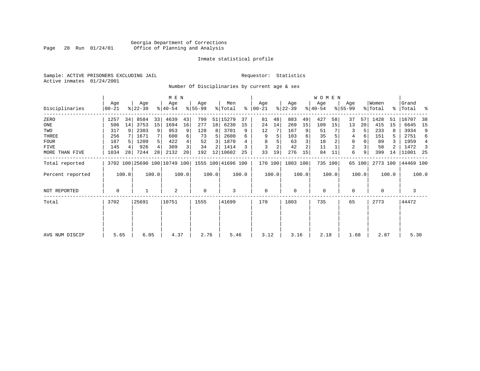# Georgia Department of Corrections Page 20 Run 01/24/01 Office of Planning and Analysis

# Inmate statistical profile

Sample: ACTIVE PRISONERS EXCLUDING JAIL **Requestor:** Statistics Active inmates 01/24/2001

Number Of Disciplinaries by current age & sex

|                  |                |       |                  |       | M E N                        |       |                 |       |                    |       |                 |       |                  |                | WOMEN            |         |                 |        |                  |       |                    |       |
|------------------|----------------|-------|------------------|-------|------------------------------|-------|-----------------|-------|--------------------|-------|-----------------|-------|------------------|----------------|------------------|---------|-----------------|--------|------------------|-------|--------------------|-------|
| Disciplinaries   | Age<br>  00-21 |       | Age<br>$ 22-39 $ |       | Age<br>$8 40-54$             |       | Age<br>$ 55-99$ |       | Men<br>% Total     | ៖     | Age<br>$ 00-21$ |       | Age<br>$ 22-39 $ |                | Age<br>$ 40-54 $ |         | Age<br>$ 55-99$ |        | Women<br>% Total |       | Grand<br>%   Total | ႜ     |
| ZERO             | 1257           | 34    | 8584             | 33    | 4639                         | 43    | 799             | 51    | 15279              | 37    | 81              | 48    | 883              | 49             | 427              | 58      | 37              | 57     | 1428             | 51    | 16707              | 38    |
| ONE              | 506            | 14    | 3753             | 15    | 1694                         | 16    | 277             | 18    | 6230               | 15    | 24              | 14    | 269              | 15             | 109              | 15      | 13              | 20     | 415              | 15    | 6645               | 15    |
| TWO              | 317            | 9     | 2303             | 9     | 953                          |       | 128             | 8     | 3701               | 9     | 12              |       | 167              |                | 51               |         | 3               |        | 233              |       | 3934               | 9     |
| THREE            | 256            |       | 1671             |       | 600                          |       | 73              | 5     | 2600               | 6     | 9               |       | 103              | 6              | 35               |         | 4               | 6      | 151              | 5     | 2751               | 6     |
| <b>FOUR</b>      | 187            |       | 1209             | 5     | 422                          |       | 52              | 3     | 1870               |       |                 |       | 63               |                | 18               |         | $\Omega$        |        | 89               |       | 1959               | 4     |
| FIVE             | 145            |       | 926              | 4     | 309                          |       | 34              | 2     | 1414               |       | 3               |       | 42               | $\overline{a}$ | 11               |         | 2               |        | 58               |       | 1472               | -3    |
| MORE THAN FIVE   | 1034           | 28    | 7244             | 28    | 2132                         | 20    | 192             | 12    | 10602              | 25    | 33              | 19    | 276              | 15             | 84               | 11      | 6               | 9      | 399              | 14    | 11001              | -25   |
| Total reported   |                |       |                  |       | 3702 100 25690 100 10749 100 |       |                 |       | 1555 100 41696 100 |       | 170 100         |       | 1803 100         |                |                  | 735 100 |                 | 65 100 | 2773 100         |       | 44469 100          |       |
| Percent reported |                | 100.0 |                  | 100.0 |                              | 100.0 |                 | 100.0 |                    | 100.0 |                 | 100.0 |                  | 100.0          |                  | 100.0   |                 | 100.0  |                  | 100.0 |                    | 100.0 |
| NOT REPORTED     | 0              |       |                  |       | $\overline{2}$               |       | 0               |       | 3                  |       | $\mathbf 0$     |       | $\mathbf 0$      |                | $\mathbf{0}$     |         | 0               |        | 0                |       | 3                  |       |
| Total            | 3702           |       | 25691            |       | 10751                        |       | 1555            |       | 41699              |       | 170             |       | 1803             |                | 735              |         | 65              |        | 2773             |       | 44472              |       |
|                  |                |       |                  |       |                              |       |                 |       |                    |       |                 |       |                  |                |                  |         |                 |        |                  |       |                    |       |
|                  |                |       |                  |       |                              |       |                 |       |                    |       |                 |       |                  |                |                  |         |                 |        |                  |       |                    |       |
| AVG NUM DISCIP   | 5.65           |       | 6.05             |       | 4.37                         |       | 2.76            |       | 5.46               |       | 3.12            |       | 3.16             |                | 2.18             |         | 1.68            |        | 2.87             |       | 5.30               |       |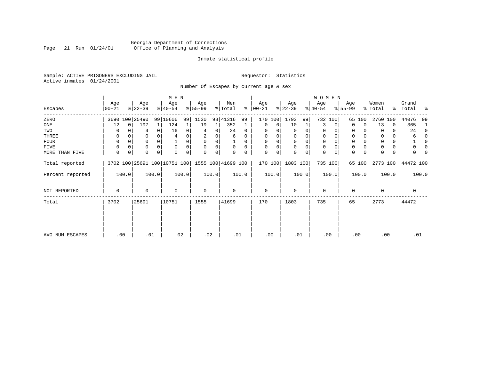# Georgia Department of Corrections Page 21 Run 01/24/01 Office of Planning and Analysis

# Inmate statistical profile

Sample: ACTIVE PRISONERS EXCLUDING JAIL **Requestor:** Statistics Active inmates 01/24/2001

Number Of Escapes by current age & sex

|                  |                  |          |                  |          | M E N                        |       |                 |          |                    |          |                 |       |                  |          | W O M E N        |             |                  |        |                  |       |                    |              |
|------------------|------------------|----------|------------------|----------|------------------------------|-------|-----------------|----------|--------------------|----------|-----------------|-------|------------------|----------|------------------|-------------|------------------|--------|------------------|-------|--------------------|--------------|
| Escapes          | Age<br>$00 - 21$ |          | Age<br>$ 22-39 $ |          | Age<br>$ 40-54 $             |       | Age<br>$ 55-99$ |          | Men<br>% Total     | ႜႂ       | Age<br>$ 00-21$ |       | Age<br>$ 22-39 $ |          | Age<br>$ 40-54 $ |             | Age<br>$8 55-99$ |        | Women<br>% Total |       | Grand<br>%   Total | ಿ            |
| ZERO             |                  |          | 3690 100 25490   |          | 99 10606                     | 99    | 1530            |          | 98 41316           | 99       | 170             | 100   | 1793             | 99       |                  | 732 100     | 65               | 100    | 2760             | 100   | 44076              | 99           |
| ONE              | 12               | $\Omega$ | 197              | 1        | 124                          |       | 19              | 1        | 352                |          | $\mathbf 0$     | 0     | 10               | 1        | 3                | 0           | 0                | 0      | 13               | 0     | 365                | 1            |
| TWO              |                  |          |                  | 0        | 16                           | 0     | 4               | 0        | 24                 | $\Omega$ | $\Omega$        |       | 0                | 0        | 0                |             | 0                |        | $\Omega$         | 0     | 24                 | $\Omega$     |
| THREE            | 0                |          |                  |          |                              |       |                 |          | 6                  | 0        | $\Omega$        |       | 0                | 0        | $\mathbf 0$      |             | 0                |        |                  | 0     | 6                  | <sup>0</sup> |
| FOUR             | $\Omega$         |          |                  | $\Omega$ |                              |       | $\Omega$        | $\Omega$ |                    | 0        | $\Omega$        |       | $\Omega$         | $\Omega$ | $\Omega$         | O           | $\Omega$         |        |                  | 0     |                    | <sup>0</sup> |
| FIVE             | $\Omega$         |          | 0                |          | $\Omega$                     |       | $\Omega$        | 0        | $\Omega$           | $\Omega$ |                 | 0     | 0                | 0        | 0                | $\Omega$    | 0                |        |                  | 0     |                    |              |
| MORE THAN FIVE   | 0                | 0        |                  | 0        |                              | 0     | $\Omega$        | 0        |                    |          | $\Omega$        | 0     | $\Omega$         | 0        | $\mathbf 0$      | $\mathbf 0$ | $\Omega$         |        |                  | 0     |                    |              |
| Total reported   |                  |          |                  |          | 3702 100 25691 100 10751 100 |       |                 |          | 1555 100 41699 100 |          | 170 100         |       | 1803 100         |          |                  | 735 100     |                  | 65 100 | 2773 100         |       | 44472 100          |              |
| Percent reported |                  | 100.0    |                  | 100.0    |                              | 100.0 |                 | 100.0    |                    | 100.0    |                 | 100.0 |                  | 100.0    |                  | 100.0       |                  | 100.0  |                  | 100.0 |                    | 100.0        |
| NOT REPORTED     | 0                |          | $\Omega$         |          | $\mathbf 0$                  |       | $\mathbf 0$     |          | 0                  |          | $\mathbf 0$     |       | 0                |          | $\mathbf 0$      |             | 0                |        | 0                |       | 0                  |              |
| Total            | 3702             |          | 25691            |          | 10751                        |       | 1555            |          | 41699              |          | 170             |       | 1803             |          | 735              |             | 65               |        | 2773             |       | 44472              |              |
|                  |                  |          |                  |          |                              |       |                 |          |                    |          |                 |       |                  |          |                  |             |                  |        |                  |       |                    |              |
|                  |                  |          |                  |          |                              |       |                 |          |                    |          |                 |       |                  |          |                  |             |                  |        |                  |       |                    |              |
| AVG NUM ESCAPES  | .00              |          | .01              |          | .02                          |       | .02             |          | .01                |          | .00             |       | .01              |          | .00              |             |                  | .00    | .00              |       | .01                |              |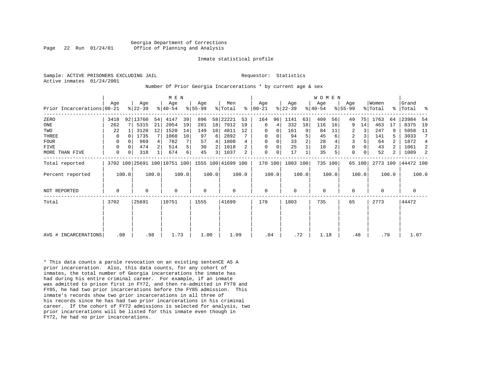Georgia Department of Corrections Page 22 Run 01/24/01 Office of Planning and Analysis

#### Inmate statistical profile

Sample: ACTIVE PRISONERS EXCLUDING JAIL **Requestor:** Statistics Active inmates 01/24/2001

#### Number Of Prior Georgia Incarcerations \* by current age & sex

|                            |      |          |                  |       | M E N                                           |          |                    |       |                |                |                  |       |                  |                | WOMEN            |         |                    |        |                  |            |                |       |
|----------------------------|------|----------|------------------|-------|-------------------------------------------------|----------|--------------------|-------|----------------|----------------|------------------|-------|------------------|----------------|------------------|---------|--------------------|--------|------------------|------------|----------------|-------|
| Prior Incarcerations 00-21 | Age  |          | Age<br>$8 22-39$ |       | Age<br>$8140 - 54$                              |          | Age<br>$8155 - 99$ |       | Men<br>% Total | ⊱              | Age<br>$00 - 21$ |       | Age<br>$ 22-39 $ |                | Age<br>$ 40-54 $ |         | Age<br>$8155 - 99$ |        | Women<br>% Total | နု $\vert$ | Grand<br>Total | း     |
| ZERO                       | 3418 |          | 92 13760         | 54    | 4147                                            | 39       | 896                |       | 58 22221       | 53             | 164              | 96    | 1141             | 63             | 409              | 56      | 49                 | 75     | 1763             | 64         | 23984          | -54   |
| ONE                        | 262  |          | 5315             | 21    | 2054                                            | 19       | 281                | 18    | 7912           | 19             | 6                | 4     | 332              | 18             | 116              | 16      | 9                  | 14     | 463              | 17         | 8375           | 19    |
| TWO                        | 22   |          | 3120             | 12    | 1520                                            | 14       | 149                | 10    | 4811           | 12             | 0                | 0     | 161              | 9              | 84               | 11      | 2                  |        | 247              |            | 5058           | 11    |
| THREE                      | 0    | 0        | 1735             |       | 1060                                            | 10       | 97                 | 6     | 2892           |                | 0                | 0     | 94               | 5              | 45               | 6       | $\overline{2}$     |        | 141              |            | 3033           | 7     |
| <b>FOUR</b>                | 0    |          | 969              |       | 782                                             |          | 57                 | 4     | 1808           | 4              | 0                |       | 33               | $\overline{c}$ | 28               |         | 3                  |        | 64               | 2          | 1872           | 4     |
| <b>FIVE</b>                | 0    | $\Omega$ | 474              |       | 514                                             | 5        | 30                 |       | 1018           | 2.             | 0                | 0     | 25               |                | 18               |         | 0                  |        | 43               | 2          | 1061           | 2     |
| MORE THAN FIVE             | 0    | 0        | 318              |       | 674                                             | $6 \mid$ | 45                 | 3     | 1037           | $\overline{a}$ | 0                | 0     | 17               |                | 35               | 5       | $\mathbf 0$        |        | 52               | 2          | 1089           | 2     |
| Total reported             |      |          |                  |       | 3702 100 25691 100 10751 100 1555 100 41699 100 |          |                    |       |                |                | 170 100          |       | 1803 100         |                |                  | 735 100 |                    | 65 100 | 2773 100         |            | 44472 100      |       |
| Percent reported           |      | 100.0    |                  | 100.0 |                                                 | 100.0    |                    | 100.0 |                | 100.0          |                  | 100.0 |                  | 100.0          |                  | 100.0   |                    | 100.0  |                  | 100.0      |                | 100.0 |
| <b>NOT REPORTED</b>        | 0    |          | 0                |       | $\mathbf 0$                                     |          | 0                  |       | 0              |                | 0                |       | 0                |                | 0                |         | 0                  |        | 0                |            | 0              |       |
| Total                      | 3702 |          | 25691            |       | 10751                                           |          | 1555               |       | 41699          |                | 170              |       | 1803             |                | 735              |         | 65                 |        | 2773             |            | 44472          |       |
|                            |      |          |                  |       |                                                 |          |                    |       |                |                |                  |       |                  |                |                  |         |                    |        |                  |            |                |       |
|                            |      |          |                  |       |                                                 |          |                    |       |                |                |                  |       |                  |                |                  |         |                    |        |                  |            |                |       |
| AVG # INCARCERATIONS       | .08  |          |                  | .98   | 1.73                                            |          | 1.00               |       | 1.09           |                | .04              |       | .72              |                | 1.18             |         | .48                |        | .79              |            | 1.07           |       |

\* This data counts a parole revocation on an existing sentenCE AS A prior incarceration. Also, this data counts, for any cohort of inmates, the total number of Georgia incarcerations the inmate has had during his entire criminal career. For example, if an inmate was admitted to prison first in FY72, and then re-admitted in FY79 and FY85, he had two prior incarcerations before the FY85 admission. This inmate's records show two prior incarcerations in all three of his records since he has had two prior incarcerations in his criminal career. If the cohort of FY72 admissions is selected for analysis, two prior incarcerations will be listed for this inmate even though in FY72, he had no prior incarcerations.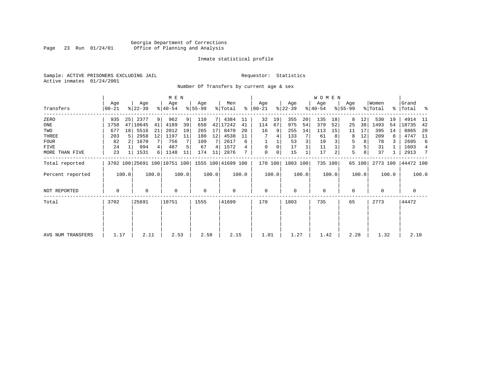# Georgia Department of Corrections Page 23 Run 01/24/01 Office of Planning and Analysis

# Inmate statistical profile

Sample: ACTIVE PRISONERS EXCLUDING JAIL **Requestor:** Statistics Active inmates 01/24/2001

Number Of Transfers by current age & sex

|                   |                  |       |                  | M E N          |                              |       |                 |       |                    |       |                 |       |                  | <b>WOMEN</b> |                  |         |                    |        |                  |       |                    |       |
|-------------------|------------------|-------|------------------|----------------|------------------------------|-------|-----------------|-------|--------------------|-------|-----------------|-------|------------------|--------------|------------------|---------|--------------------|--------|------------------|-------|--------------------|-------|
| Transfers         | Age<br>$00 - 21$ |       | Age<br>$ 22-39 $ |                | Age<br>$ 40-54 $             |       | Aqe<br>$ 55-99$ |       | Men<br>% Total     | ွေ    | Aqe<br>$ 00-21$ |       | Age<br>$ 22-39 $ |              | Age<br>$ 40-54 $ |         | Age<br>$8155 - 99$ |        | Women<br>% Total |       | Grand<br>% Total % |       |
| ZERO              | 935              | 25    | 2377             | 9 <sup>1</sup> | 962                          | 9     | 110             | 71    | 4384               | 11    | 32              | 19    | 355              | 20           | 135              | 18      | 8                  | 12     | 530              | 19    | 4914               | -11   |
| ONE               | 1758             | 47    | 10645            | 41             | 4189                         | 39    | 650             |       | 42 17242           | 41    | 114             | 67    | 975              | 54           | 379              | 52      | 25                 | 38     | 1493             | 54    | 18735              | 42    |
| TWO               | 677              | 18    | 5516             | 21             | 2012                         | 19    | 265             | 17    | 8470               | 20    | 16              | 9     | 255              | 14           | 113              | 15      | 11                 | 17     | 395              | 14    | 8865               | 20    |
| THREE             | 203              |       | 2958             | 12             | 1197                         | 11    | 180             | 12    | 4538               | 11    |                 |       | 133              |              | 61               |         | 8                  | 12     | 209              |       | 4747               | 11    |
| <b>FOUR</b>       | 82               |       | 1670             | 7              | 756                          |       | 109             |       | 2617               | 6     |                 |       | 53               |              | 19               |         | 5                  | 8      | 78               |       | 2695               | 6     |
| FIVE              | 24               |       | 994              |                | 487                          |       | 67              | 4     | 1572               |       | $\mathbf 0$     | 0     | 17               |              | 11               |         | 3                  |        | 31               |       | 1603               | 4     |
| MORE THAN FIVE    | 23               |       | 1531             | 6              | 1148                         | 11    | 174             | 11    | 2876               |       | 0               | 0     | 15               |              | 17               |         | 5                  | 8      | 37               |       | 2913               | 7     |
| Total reported    |                  |       |                  |                | 3702 100 25691 100 10751 100 |       |                 |       | 1555 100 41699 100 |       | 170 100         |       | 1803 100         |              |                  | 735 100 |                    | 65 100 | 2773 100         |       | 44472 100          |       |
| Percent reported  |                  | 100.0 |                  | 100.0          |                              | 100.0 |                 | 100.0 |                    | 100.0 |                 | 100.0 |                  | 100.0        |                  | 100.0   |                    | 100.0  |                  | 100.0 |                    | 100.0 |
| NOT REPORTED      | 0                |       | $\Omega$         |                | $\mathbf 0$                  |       | $\mathbf 0$     |       | 0                  |       | $\mathbf 0$     |       | $\Omega$         |              | $\mathbf 0$      |         | 0                  |        | $\Omega$         |       | $\mathbf 0$        |       |
| Total             | 3702             |       | 25691            |                | 10751                        |       | 1555            |       | 41699              |       | 170             |       | 1803             |              | 735              |         | 65                 |        | 2773             |       | 44472              |       |
|                   |                  |       |                  |                |                              |       |                 |       |                    |       |                 |       |                  |              |                  |         |                    |        |                  |       |                    |       |
|                   |                  |       |                  |                |                              |       |                 |       |                    |       |                 |       |                  |              |                  |         |                    |        |                  |       |                    |       |
| AVG NUM TRANSFERS | 1.17             |       | 2.11             |                | 2.53                         |       | 2.58            |       | 2.15               |       | 1.01            |       | 1.27             |              | 1.42             |         | 2.28               |        | 1.32             |       | 2.10               |       |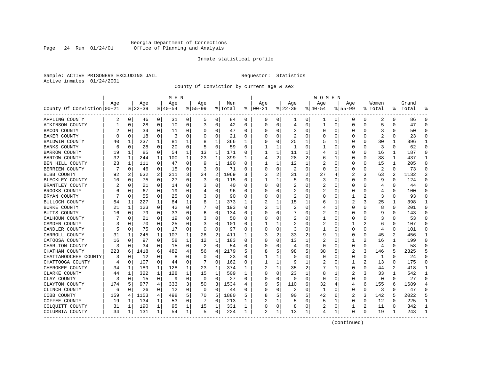# Georgia Department of Corrections Page 24 Run 01/24/01 Office of Planning and Analysis

# Inmate statistical profile

Sample: ACTIVE PRISONERS EXCLUDING JAIL **Requestor:** Statistics Active inmates 01/24/2001

County Of Conviction by current age & sex

|                            |     |              |          |              | M E N    |              |             |          |         |              |                |              |                |                | W O M E N |             |                |          |                         |                |           |                |
|----------------------------|-----|--------------|----------|--------------|----------|--------------|-------------|----------|---------|--------------|----------------|--------------|----------------|----------------|-----------|-------------|----------------|----------|-------------------------|----------------|-----------|----------------|
|                            | Age |              | Age      |              | Age      |              | Age         |          | Men     |              | Age            |              | Aqe            |                | Age       |             | Aqe            |          | Women                   |                | Grand     |                |
| County Of Conviction 00-21 |     |              | $ 22-39$ |              | $ 40-54$ |              | $8155 - 99$ |          | % Total |              | $8   00 - 21$  |              | $ 22-39$       |                | $ 40-54$  |             | $8155 - 99$    |          | % Total                 |                | %   Total |                |
| APPLING COUNTY             | 2   | 0            | 46       | 0            | 31       | 0            | 5           | 0        | 84      | 0            | 0              | 0            | 1              | 0              | 1         | 0           | 0              | 0        | 2                       | 0              | 86        | $\Omega$       |
| ATKINSON COUNTY            | 1   | $\mathbf 0$  | 28       | $\mathbf 0$  | 10       | 0            | 3           | 0        | 42      | 0            | $\Omega$       | 0            | 4              | $\mathbf 0$    | 1         | 0           | $\Omega$       | $\Omega$ | 5                       | $\Omega$       | 47        | $\Omega$       |
| <b>BACON COUNTY</b>        |     | $\Omega$     | 34       | 0            | 11       | 0            | O           | 0        | 47      | 0            | O              | 0            | 3              | 0              | $\Omega$  | 0           | O              | $\Omega$ | 3                       | 0              | 50        | $\Omega$       |
| <b>BAKER COUNTY</b>        | U   | 0            | 18       | 0            | 3        | 0            | O           | 0        | 21      | U            |                | 0            | 2              | $\Omega$       | O         | 0           | O              | O        | $\overline{\mathbf{c}}$ | O              | 23        | ∩              |
| BALDWIN COUNTY             | 40  | 1            | 237      | 1            | 81       | 1            | 8           | 1        | 366     | 1            |                | $\Omega$     | 25             | 1              | 5         | 1           | O              | U        | 30                      | 1              | 396       | -1             |
| <b>BANKS COUNTY</b>        | 6   | $\Omega$     | 28       | 0            | 20       | 0            | 5           | 0        | 59      | U            |                | 1            | -1             | 0              |           | 0           | 0              | $\Omega$ | 3                       | 0              | 62        | $\Omega$       |
| <b>BARROW COUNTY</b>       | 19  | 1            | 85       | 0            | 54       | 1            | 13          | 1        | 171     | 0            |                | 1            | 11             | 1              | 4         | 1           | 0              | 0        | 16                      | 1              | 187       | $\Omega$       |
| <b>BARTOW COUNTY</b>       | 32  | 1            | 244      | $\mathbf{1}$ | 100      | $\mathbf{1}$ | 23          | 1        | 399     | $\mathbf{1}$ | 4              | 2            | 28             | $\overline{2}$ | 6         | 1           | $\Omega$       | $\Omega$ | 38                      | $\mathbf{1}$   | 437       | $\mathbf{1}$   |
| BEN HILL COUNTY            | 23  | 1            | 111      | $\Omega$     | 47       | $\Omega$     | 9           | 1        | 190     | 0            |                | 1            | 12             | $\mathbf{1}$   | 2         | $\mathbf 0$ | 0              | $\Omega$ | 15                      | $\mathbf{1}$   | 205       | $\Omega$       |
| BERRIEN COUNTY             |     | 0            | 46       | 0            | 15       | 0            |             | 0        | 71      | 0            |                | 0            | $\overline{2}$ | $\mathbf 0$    | $\Omega$  | 0           | 0              | 0        | $\overline{c}$          | $\Omega$       | 73        | $\Omega$       |
| <b>BIBB COUNTY</b>         | 92  | 2            | 632      | 2            | 311      | 3            | 34          | 2        | 1069    | 3            | 3              | 2            | 31             | $\overline{2}$ | 27        | 4           | 2              | 3        | 63                      | $\overline{a}$ | 1132      |                |
| BLECKLEY COUNTY            | 10  | $\Omega$     | 75       | $\Omega$     | 27       | 0            | 3           | 0        | 115     | 0            | 1              | 1            | 5              | $\Omega$       | 3         | $\Omega$    | $\Omega$       | 0        | 9                       | $\Omega$       | 124       | ∩              |
| BRANTLEY COUNTY            |     | 0            | 21       | 0            | 14       | 0            | 3           | 0        | 40      | U            |                | 0            | 2              | 0              | 2         | 0           | 0              | 0        | 4                       | N              | 44        |                |
| BROOKS COUNTY              |     | $\Omega$     | 67       | 0            | 19       | 0            |             | 0        | 96      | 0            | C              | 0            | 2              | 0              | 2         | 0           | 0              | O        | 4                       | $\Omega$       | 100       | $\Omega$       |
| BRYAN COUNTY               |     | 0            | 55       | 0            | 25       | 0            | 3           | 0        | 90      | 0            | C              | 0            | 2              | 0              | 0         | 0           | 1              |          | 3                       | 0              | 93        | $\Omega$       |
| BULLOCH COUNTY             | 54  | 1            | 227      | 1            | 84       | 1            | 8           | 1        | 373     | 1            |                | 1            | 15             | 1              | 6         |             | 2              | 3        | 25                      |                | 398       | 1              |
| <b>BURKE COUNTY</b>        | 21  | $\mathbf{1}$ | 123      | $\Omega$     | 42       | 0            |             | $\Omega$ | 193     | U            |                | $\mathbf{1}$ | $\overline{c}$ | $\Omega$       | 4         | 1           | $\Omega$       | O        | 8                       | $\Omega$       | 201       | $\Omega$       |
| BUTTS COUNTY               | 16  | $\Omega$     | 79       | $\Omega$     | 33       | 0            | 6           | 0        | 134     | 0            | O              | $\Omega$     |                | $\Omega$       | 2         | $\Omega$    | $\Omega$       | $\Omega$ | 9                       | $\Omega$       | 143       | $\Omega$       |
| CALHOUN COUNTY             |     | 0            | 21       | $\Omega$     | 19       | O            | 3           | 0        | 50      | U            |                | 0            | 2              | O              |           | $\mathbf 0$ | O              | $\Omega$ | 3                       | O              | 53        | $\Omega$       |
| CAMDEN COUNTY              |     | $\Omega$     | 70       | 0            | 25       | 0            | 3           | 0        | 101     | U            |                | 1            | 2              | O              | 2         | 0           | 1              | 2        | 6                       | 0              | 107       | $\Omega$       |
| CANDLER COUNTY             |     | 0            | 75       | 0            | 17       | 0            | $\Omega$    | 0        | 97      | 0            | C              | 0            | 3              | 0              |           | 0           | 0              | O        | 4                       | 0              | 101       | $\Omega$       |
| CARROLL COUNTY             | 31  | 1            | 245      | 1            | 107      | 1            | 28          | 2        | 411     | 1            |                | 2            | 33             | 2              | 9         | 1           | 0              | 0        | 45                      | 2              | 456       |                |
| CATOOSA COUNTY             | 16  | $\Omega$     | 97       | $\Omega$     | 58       | 1            | 12          | 1        | 183     | 0            | C              | 0            | 13             | 1              | 2         | $\mathbf 0$ | 1              | 2        | 16                      | 1              | 199       | $\cap$         |
| CHARLTON COUNTY            | 3   | 0            | 34       | 0            | 15       | 0            | 2           | 0        | 54      | 0            | O              | 0            | 4              | 0              | $\Omega$  | 0           | $\Omega$       | 0        | 4                       | 0              | 58        |                |
| CHATHAM COUNTY             | 223 | 6            | 1418     | 6            | 482      | 4            | 56          | 4        | 2179    | 5            |                | 5            | 98             | 5              | 38        | 5           | $\overline{2}$ | 3        | 146                     | 5              | 2325      |                |
| CHATTAHOOCHEE COUNTY       | 3   | $\Omega$     | 12       | $\Omega$     | 8        | $\Omega$     | $\Omega$    | $\Omega$ | 23      | 0            |                | 1            | $\Omega$       | $\Omega$       | $\Omega$  | $\Omega$    | 0              | $\Omega$ | 1                       | $\Omega$       | 24        | $\Omega$       |
| CHATTOOGA COUNTY           | 4   | 0            | 107      | 0            | 44       | 0            |             | $\Omega$ | 162     | 0            |                | 1            | 9              | 1              | 2         | 0           | 1              | 2        | 13                      | $\Omega$       | 175       | $\Omega$       |
| CHEROKEE COUNTY            | 34  | 1            | 189      | 1            | 128      | 1            | 23          | 1        | 374     | 1            |                | 1            | 35             | 2              |           | 1           | 0              | O        | 44                      | 2              | 418       | -1             |
| CLARKE COUNTY              | 44  | 1            | 322      | 1            | 128      | 1            | 15          | 1        | 509     | 1            | C              | 0            | 23             | 1              | 8         | 1           | 2              | 3        | 33                      | 1              | 542       | -1             |
| CLAY COUNTY                | 3   | 0            | 15       | $\mathbf 0$  | -9       | 0            | $\Omega$    | 0        | 27      | 0            | O              | 0            | $\Omega$       | $\mathbf 0$    | $\Omega$  | 0           | $\Omega$       | 0        | 0                       | $\Omega$       | 27        | ∩              |
| CLAYTON COUNTY             | 174 | 5            | 977      | 4            | 333      | 3            | 50          | 3        | 1534    | 4            | g              | 5            | 110            | 6              | 32        | 4           | 4              | 6        | 155                     | 6              | 1689      | $\overline{4}$ |
| CLINCH COUNTY              | 6   | $\mathbf 0$  | 26       | 0            | 12       | 0            | $\Omega$    | 0        | 44      | 0            | $\cap$         | 0            | 2              | 0              | 1         | 0           | $\Omega$       | 0        | 3                       | 0              | 47        | $\Omega$       |
| COBB COUNTY                | 159 | 4            | 1153     | 4            | 498      | 5            | 70          | 5        | 1880    | 5            | 8              | 5            | 90             | 5              | 42        | 6           | 2              | 3        | 142                     | 5              | 2022      | 5              |
| COFFEE COUNTY              | 19  | 1            | 134      | 1            | 53       | 0            |             | $\Omega$ | 213     | 1            |                | 1            | 5              | 0              | 5         | 1           | 0              | 0        | 12                      | O              | 225       | -1             |
| COLQUITT COUNTY            | 31  | 1            | 190      | 1            | 95       | 1            | 15          | 1        | 331     | 1            | O              | 0            | 8              | 0              | 2         | 0           | 1              | 2        | 11                      | 0              | 342       | -1             |
| COLUMBIA COUNTY            | 34  | 1            | 131      | 1            | 54       | 1            | 5           | 0        | 224     | 1            | $\overline{2}$ | 1            | 13             | 1              | 4         | 1           | $\Omega$       | 0        | 19                      | 1              | 243       | -1             |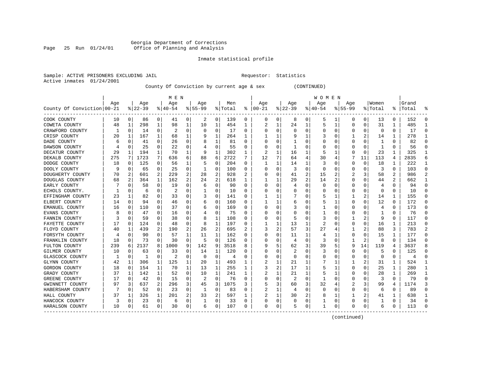# Georgia Department of Corrections Page 25 Run 01/24/01 Office of Planning and Analysis

# Inmate statistical profile

| Sample: ACTIVE PRISONERS EXCLUDING JAIL | Requestor: Statistics |  |
|-----------------------------------------|-----------------------|--|
| Active inmates 01/24/2001               |                       |  |

County Of Conviction by current age & sex (CONTINUED)

|                            |     |             |          |          | M E N     |          |           |          |         |   |          |              |                |          | W O M E N |                |             |          |          |          |           |          |
|----------------------------|-----|-------------|----------|----------|-----------|----------|-----------|----------|---------|---|----------|--------------|----------------|----------|-----------|----------------|-------------|----------|----------|----------|-----------|----------|
|                            | Age |             | Age      |          | Age       |          | Age       |          | Men     |   | Age      |              | Age            |          | Aqe       |                | Age         |          | Women    |          | Grand     |          |
| County Of Conviction 00-21 |     |             | $ 22-39$ |          | $8 40-54$ |          | $8 55-99$ |          | % Total | ႜ | $ 00-21$ |              | $ 22-39 $      |          | $ 40-54$  |                | $8155 - 99$ |          | % Total  |          | %   Total |          |
| COOK COUNTY                | 10  | 0           | 86       | 0        | 41        | 0        | 2         | 0        | 139     | 0 | 0        | 0            | 8              | 0        | 5         | 1              | 0           | 0        | 13       | 0        | 152       | $\Omega$ |
| COWETA COUNTY              | 48  | 1           | 298      | 1        | 98        | 1        | 10        | 1        | 454     | 1 |          | 1            | 24             | 1        | 5         | 1              | 0           | 0        | 31       | 1        | 485       | -1       |
| CRAWFORD COUNTY            |     | $\mathbf 0$ | 14       | 0        | 2         | O        | $\Omega$  | $\Omega$ | 17      | 0 | C        | $\Omega$     | $\Omega$       | $\Omega$ | U         | $\mathbf 0$    | $\Omega$    | $\Omega$ | $\Omega$ | $\Omega$ | 17        | $\Omega$ |
| CRISP COUNTY               | 20  | 1           | 167      | 1        | 68        | 1        |           | 1        | 264     | 1 |          |              | q              |          |           | $\Omega$       |             | 2        | 14       | 1        | 278       |          |
| DADE COUNTY                | 6   | $\Omega$    | 41       | 0        | 26        | 0        | 8         | 1        | 81      | 0 |          | $\Omega$     |                | 0        |           | $\Omega$       | 0           | O        | -1       | 0        | 82        |          |
| DAWSON COUNTY              |     | $\Omega$    | 25       | 0        | 22        | 0        |           | 0        | 55      | 0 |          | 0            | -1             | 0        |           | 0              | 0           | 0        | -1       | 0        | 56        |          |
| DECATUR COUNTY             | 29  | 1           | 194      | 1        | 70        | 1        | 9         | 1        | 302     | 1 |          | 1            | 16             | 1        |           |                | 0           | $\Omega$ | 23       | 1        | 325       |          |
| DEKALB COUNTY              | 275 | 7           | 1723     | 7        | 636       | 6        | 88        | 6        | 2722    | 7 | 12       | 7            | 64             | 4        | 30        | 4              |             | 11       | 113      | 4        | 2835      | 6        |
| DODGE COUNTY               | 18  | $\Omega$    | 125      | $\Omega$ | 56        | 1        |           | 0        | 204     | U | -1       | $\mathbf{1}$ | 14             | 1        | 3         | 0              | 0           | $\Omega$ | 18       | 1        | 222       | -1       |
| DOOLY COUNTY               | 9   | 0           | 65       | 0        | 25        | 0        |           | 0        | 100     | 0 |          | 0            | 3              | $\Omega$ | $\Omega$  | 0              | 0           | O        | 3        | 0        | 103       | $\Omega$ |
| DOUGHERTY COUNTY           | 70  | 2           | 601      | 2        | 229       | 2        | 28        | 2        | 928     | 2 |          | $\Omega$     | 41             | 2        | 15        | 2              | 2           |          | 58       | 2        | 986       |          |
| DOUGLAS COUNTY             | 68  |             | 364      | 1        | 162       | 2        | 24        | 2        | 618     | 1 |          | 1            | 29             | 2        | 14        | $\overline{2}$ | $\Omega$    | $\Omega$ | 44       | 2        | 662       |          |
| EARLY COUNTY               |     | $\Omega$    | 58       | 0        | 19        | 0        | 6         | 0        | 90      | 0 | O        | $\Omega$     | 4              | 0        | 0         | $\Omega$       | 0           | 0        | 4        | 0        | 94        | ∩        |
| ECHOLS COUNTY.             |     | $\Omega$    | 6        | 0        | 2         | 0        |           | 0        | 10      | 0 |          | $\Omega$     | 0              | $\Omega$ | 0         | 0              | 0           | $\Omega$ | $\Omega$ | 0        | 10        |          |
| EFFINGHAM COUNTY           | 23  | 1           | 82       | 0        | 33        | 0        | 3         | 0        | 141     | 0 |          | 1            |                | 0        | 5         | 1              | 1           | 2        | 14       | 1        | 155       |          |
| ELBERT COUNTY              | 14  | $\mathbf 0$ | 94       | $\Omega$ | 46        | O        | 6         | 0        | 160     | U |          | 1            | 6              | 0        | 5         | 1              | $\Omega$    | $\Omega$ | 12       | $\Omega$ | 172       | $\Omega$ |
| EMANUEL COUNTY             | 16  | 0           | 110      | 0        | 37        | 0        | 6         | 0        | 169     | U |          | 0            | 3              | O        |           | 0              | O           | O        | 4        | $\Omega$ | 173       | $\Omega$ |
| EVANS COUNTY               | 8   | $\Omega$    | 47       | 0        | 16        | 0        |           | 0        | 75      | 0 |          | 0            | U              | O        |           | 0              | O           | O        |          | 0        | 76        | ∩        |
| FANNIN COUNTY              |     | 0           | 59       | O        | 38        | 0        | 8         | 1        | 108     | U |          | 0            | 5              | 0        | 3         | 0              |             |          | q        | O        | 117       | $\Omega$ |
| FAYETTE COUNTY             | 17  | $\Omega$    | 124      | 0        | 48        | O        | 8         | 1        | 197     | 0 |          | 1            | 13             | 1        |           | C              | O           | $\Omega$ | 16       | 1        | 213       |          |
| FLOYD COUNTY               | 40  | 1           | 439      | 2        | 190       | 2        | 26        | 2        | 695     | 2 |          | 2            | 57             | 3        | 27        | 4              |             | 2        | 88       | 3        | 783       | 2        |
| FORSYTH COUNTY             |     | $\Omega$    | 90       | 0        | 57        | 1        | 11        | 1        | 162     | 0 |          | 0            | 11             | 1        | 4         |                | 0           | O        | 15       | 1        | 177       | ∩        |
| FRANKLIN COUNTY            | 18  | 0           | 73       | 0        | 30        | 0        | 5         | 0        | 126     | 0 |          | 0            | 4              | $\Omega$ | 3         | $\mathbf 0$    |             | 2        | 8        | $\Omega$ | 134       |          |
| FULTON COUNTY              | 239 | 6           | 2137     | 8        | 1000      | 9        | 142       | 9        | 3518    | 8 |          | 5            | 62             | 3        | 39        | 5              | 9           | 14       | 119      | 4        | 3637      |          |
| GILMER COUNTY              | 10  | $\Omega$    | 63       | 0        | 33        | $\Omega$ | 14        | 1        | 120     | U |          | $\Omega$     | 2              | $\Omega$ | 3         | C              | $\Omega$    | $\Omega$ | 5        | $\Omega$ | 125       | $\cap$   |
| GLASCOCK COUNTY            |     | 0           | 1        | $\Omega$ | 2         | 0        | $\Omega$  | 0        | 4       | U | C        | 0            | $\Omega$       | 0        | U         | 0              | 0           | $\Omega$ | 0        | 0        | 4         | $\Omega$ |
| GLYNN COUNTY               | 42  | 1           | 306      | 1        | 125       | 1        | 20        | 1        | 493     | 1 | 2        | 1            | 21             | 1        |           | 1              | 1           | 2        | 31       | 1        | 524       | -1       |
| GORDON COUNTY              | 18  | 0           | 154      |          | 70        | 1        | 13        | 1        | 255     |   | 3        | 2            | 17             | 1        |           | 1              | 0           | O        | 25       | 1        | 280       |          |
| GRADY COUNTY               | 37  |             | 142      | 1        | 52        | $\Omega$ | 10        | 1        | 241     | 1 |          |              | 21             | 1        |           |                | O           | O        | 28       | 1        | 269       | -1       |
| GREENE COUNTY              | 17  | $\Omega$    | 42       | 0        | 15        | 0        | 2         | $\Omega$ | 76      | U |          | $\Omega$     | $\overline{2}$ | $\Omega$ |           | $\Omega$       | O           | O        | 3        | $\Omega$ | 79        | ∩        |
| GWINNETT COUNTY            | 97  | 3           | 637      | 2        | 296       | 3        | 45        | 3        | 1075    | 3 | 5        | 3            | 60             | 3        | 32        | 4              |             | 3        | 99       | 4        | 1174      | 3        |
| HABERSHAM COUNTY           |     | 0           | 52       | 0        | 23        | 0        |           | 0        | 83      | 0 | 2        | 1            | 4              | $\Omega$ | $\Omega$  | 0              | 0           | 0        | 6        | 0        | 89        |          |
| HALL COUNTY                | 37  | 1           | 326      | 1        | 201       | 2        | 33        | 2        | 597     | 1 |          | 1            | 30             | 2        | 8         | 1              |             | 2        | 41       |          | 638       |          |
| HANCOCK COUNTY             | 3   | $\mathbf 0$ | 23       | 0        | 6         | 0        |           | 0        | 33      | 0 | O        | 0            | 0              | 0        |           | 0              | $\Omega$    | 0        |          | $\Omega$ | 34        | $\Omega$ |
| HARALSON COUNTY            | 10  | 0           | 61       | 0        | 30        | 0        | 6         | 0        | 107     | 0 | $\Omega$ | 0            | 5              | 0        | 1         | 0              | O           | 0        | 6        | 0        | 113       | ∩        |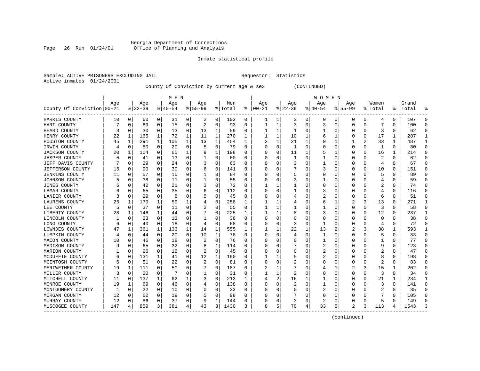# Georgia Department of Corrections Page 26 Run 01/24/01 Office of Planning and Analysis

# Inmate statistical profile

|                           | Sample: ACTIVE PRISONERS EXCLUDING JAIL | Requestor: Statistics |  |
|---------------------------|-----------------------------------------|-----------------------|--|
| Active inmates 01/24/2001 |                                         |                       |  |

County Of Conviction by current age & sex (CONTINUED)

|                            |     |             |           |              | M E N     |              |           |             |         |          |          |          |              |   | <b>WOMEN</b> |                |                |          |              |              |           |              |
|----------------------------|-----|-------------|-----------|--------------|-----------|--------------|-----------|-------------|---------|----------|----------|----------|--------------|---|--------------|----------------|----------------|----------|--------------|--------------|-----------|--------------|
|                            | Age |             | Age       |              | Age       |              | Age       |             | Men     |          | Age      |          | Age          |   | Age          |                | Age            |          | Women        |              | Grand     |              |
| County Of Conviction 00-21 |     |             | $8 22-39$ |              | $8 40-54$ |              | $8 55-99$ |             | % Total | ႜ        | $ 00-21$ |          | $ 22-39$     |   | $ 40-54$     |                | $8155 - 99$    |          | % Total      |              | %   Total |              |
| HARRIS COUNTY              | 10  | 0           | 60        | 0            | 31        | 0            | 2         | 0           | 103     | 0        |          | 1        | 3            | 0 | 0            | 0              | 0              | 0        | 4            | 0            | 107       | $\Omega$     |
| HART COUNTY                |     | 0           | 69        | 0            | 15        | 0            | 2         | 0           | 93      | 0        |          | 1        | 3            | 0 | 3            | 0              | 0              | 0        |              | 0            | 100       | ∩            |
| HEARD COUNTY               | 3   | 0           | 30        | $\Omega$     | 13        | $\Omega$     | 13        | 1           | 59      | 0        |          | 1        | -1           | U |              | 0              | U              | O        | 3            | $\Omega$     | 62        | $\cap$       |
| HENRY COUNTY               | 22  | 1           | 165       | $\mathbf{1}$ | 72        | $\mathbf{1}$ | 11        | 1           | 270     | 1        |          | 1        | 10           | 1 | 6            | 1              | U              | $\Omega$ | 17           | 1            | 287       | -1           |
| HOUSTON COUNTY             | 45  | 1           | 291       | $\mathbf{1}$ | 105       | 1            | 13        | $\mathbf 1$ | 454     | 1        | 2        | 1        | 21           | 1 |              | 1              |                | 2        | 33           | 1            | 487       | -1           |
| IRWIN COUNTY               | 4   | 0           | 50        | 0            | 20        | 0            | 5         | 0           | 79      | $\Omega$ | $\Omega$ | 0        | $\mathbf{1}$ | 0 |              | 0              | $\Omega$       | $\Omega$ | $\mathbf{1}$ | $\Omega$     | 80        | $\Omega$     |
| <b>JACKSON COUNTY</b>      | 20  | 1           | 104       | 0            | 65        | 1            | 9         | 1           | 198     | O        |          | $\Omega$ | 11           | 1 | 5            | 1              | U              | $\Omega$ | 16           | 1            | 214       | $\Omega$     |
| <b>JASPER COUNTY</b>       |     | 0           | 41        | 0            | 13        | 0            |           | 0           | 60      | 0        |          | 0        | -1           | 0 |              | 0              | 0              | O        | 2            | $\Omega$     | 62        | ∩            |
| JEFF DAVIS COUNTY          |     | 0           | 29        | $\Omega$     | 24        | 0            |           | 0           | 63      | 0        | n        | 0        | 3            | 0 |              | 0              | 0              | $\Omega$ | 4            | 0            | 67        | ∩            |
| JEFFERSON COUNTY           | 15  | 0           | 90        | 0            | 30        | 0            | 6         | 0           | 141     | 0        |          |          |              | 0 | 3            | 0              | 0              | 0        | 10           | 0            | 151       | $\Omega$     |
| <b>JENKINS COUNTY</b>      | 11  | 0           | 57        | 0            | 15        | 0            |           | 0           | 84      | O        |          |          | 5            | 0 |              | 0              | 0              | O        | 5            | O            | 89        |              |
| JOHNSON COUNTY             |     | 0           | 38        | 0            | 11        | 0            |           | 0           | 55      | $\Omega$ |          | U        | 3            | 0 |              | 0              | 0              | O        | 4            | O            | 59        |              |
| JONES COUNTY               |     | $\Omega$    | 42        | $\Omega$     | 21        | $\Omega$     |           | $\Omega$    | 72      | $\Omega$ |          | 1        |              | 0 | O            | $\Omega$       | 0              | 0        | 2            | 0            | 74        |              |
| LAMAR COUNTY               |     | 0           | 65        | $\Omega$     | 35        | 0            | 6         | $\mathbf 0$ | 112     | 0        |          | $\Omega$ |              | 0 | 3            | 0              | 0              | 0        | 4            | 0            | 116       |              |
| LANIER COUNTY              |     | $\mathbf 0$ | 29        | 0            | 8         | 0            |           | 0           | 45      | 0        |          | 0        |              | 0 | 2            | 0              | 0              | 0        | 6            | 0            | 51        | ∩            |
| LAURENS COUNTY             | 25  | 1           | 170       | $\mathbf 1$  | 59        | 1            |           | 0           | 258     | 1        |          | 1        |              | O | 6            | 1              |                | 3        | 13           | $\Omega$     | 271       | $\mathbf{1}$ |
| LEE COUNTY                 | 5   | $\mathbf 0$ | 37        | $\Omega$     | 11        | 0            |           | 0           | 55      | $\Omega$ |          | 1        | 1            | U |              | 0              | U              | $\Omega$ | 3            | $\Omega$     | 58        | $\Omega$     |
| LIBERTY COUNTY             | 28  | 1           | 146       | 1            | 44        | 0            |           | 0           | 225     | ı        |          | 1        | 8            | O | 3            | 0              | 0              | $\Omega$ | 12           | 0            | 237       | -1           |
| LINCOLN COUNTY             | 1   | 0           | 23        | 0            | 13        | 0            |           | 0           | 38      | O        |          | U        | <sup>0</sup> | U |              | 0              | U              | O        | 0            | O            | 38        | $\Omega$     |
| LONG COUNTY                | 6   | $\mathbf 0$ | 40        | $\Omega$     | 18        | $\Omega$     | 4         | 0           | 68      | O        |          | U        | 3            | O |              | 0              | $\Omega$       | $\Omega$ | 4            | $\Omega$     | 72        | $\cap$       |
| LOWNDES COUNTY             | 47  | 1           | 361       | 1            | 133       | 1            | 14        | 1           | 555     | 1        |          |          | 22           | 1 | 13           | $\overline{2}$ | $\overline{2}$ | 3        | 38           | 1            | 593       |              |
| LUMPKIN COUNTY             | 4   | 0           | 44        | 0            | 20        | 0            | 10        | 1           | 78      | 0        | O        | 0        | 4            | 0 |              | 0              | 0              | O        | 5            | 0            | 83        | n            |
| MACON COUNTY               | 10  | 0           | 46        | 0            | 18        | 0            | 2         | $\mathbf 0$ | 76      | 0        |          | $\Omega$ | 0            | 0 |              | 0              | 0              | 0        | 1            | 0            | 77        | ∩            |
| MADISON COUNTY             |     | $\mathbf 0$ | 65        | 0            | 32        | 0            | 8         | 1           | 114     | 0        |          | 0        |              | 0 | 2            | 0              | 0              | 0        | g            | $\Omega$     | 123       |              |
| MARION COUNTY              |     | 0           | 26        | 0            | 16        | 0            |           | $\mathbf 0$ | 45      | O        |          | U        | 0            | U |              | 0              | U              | O        | 2            | $\Omega$     | 47        | $\Omega$     |
| MCDUFFIE COUNTY            |     | 0           | 131       | 1            | 41        | 0            | 12        | 1           | 190     | 0        |          |          |              | 0 | 2            | 0              | 0              | O        | 8            | 0            | 198       | ∩            |
| MCINTOSH COUNTY            | 6   | 0           | 51        | 0            | 22        | 0            |           | 0           | 81      | 0        | O        | 0        |              | 0 | C            | 0              | 0              | 0        | 2            | 0            | 83        | $\Omega$     |
| MERIWETHER COUNTY          | 19  | 1           | 111       | 0            | 50        | 0            |           | 0           | 187     | O        | 2        |          |              | U |              | 1              | 2              | 3        | 15           | 1            | 202       | $\Omega$     |
| MILLER COUNTY              | 3   | $\mathbf 0$ | 20        | 0            |           | 0            |           | 0           | 31      | $\Omega$ |          | 1        |              | O |              | 0              | $\Omega$       | $\Omega$ | 3            | $\Omega$     | 34        | $\Omega$     |
| MITCHELL COUNTY            | 11  | $\Omega$    | 137       | $\mathbf{1}$ | 62        | 1            |           | $\Omega$    | 213     | 1        |          | 2        | 16           | 1 |              | $\Omega$       | U              | $\Omega$ | 21           | $\mathbf{1}$ | 234       | -1           |
| MONROE COUNTY              | 19  | 1           | 69        | $\Omega$     | 46        | 0            |           | 0           | 138     | $\Omega$ |          | $\Omega$ | 2            | O |              | 0              | U              | $\Omega$ | 3            | $\Omega$     | 141       | $\Omega$     |
| MONTGOMERY COUNTY          | -1  | 0           | 22        | 0            | 10        | 0            | O         | 0           | 33      | O        |          | $\Omega$ | U            | O | 2            | 0              | U              | $\Omega$ | 2            | $\Omega$     | 35        | $\Omega$     |
| MORGAN COUNTY              | 12  | 0           | 62        | 0            | 19        | 0            |           | $\mathbf 0$ | 98      | O        |          | $\Omega$ |              | 0 |              | 0              | 0              | O        |              | 0            | 105       | ∩            |
| MURRAY COUNTY              | 12  | 0           | 86        | 0            | 37        | 0            | 9         | 1           | 144     | 0        |          | 0        | 3            | 0 | 2            | 0              | 0              | $\Omega$ | 5            | O            | 149       | $\Omega$     |
| MUSCOGEE COUNTY            | 147 | 4           | 859       | 3            | 381       | 4            | 43        | 3           | 1430    | 3        | 8        | 5        | 70           | 4 | 33           | 5              | $\mathfrak{D}$ | 3        | 113          | 4            | 1543      | 3            |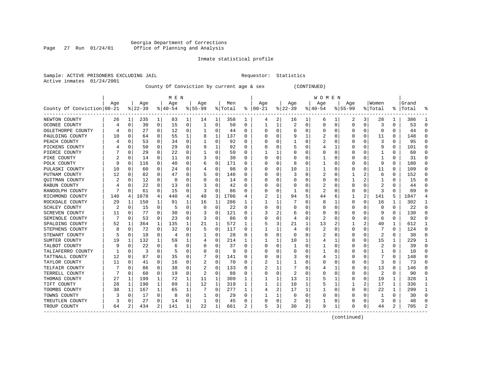# Georgia Department of Corrections Page 27 Run 01/24/01 Office of Planning and Analysis

# Inmate statistical profile

|  |                           | Sample: ACTIVE PRISONERS EXCLUDING JAI |  |
|--|---------------------------|----------------------------------------|--|
|  | Active inmates 01/24/2001 |                                        |  |

IL Requestor: Statistics

County Of Conviction by current age & sex (CONTINUED)

|                            |     |             |           |              | M E N     |          |          |              |         |          |              |              |                |   | W O M E N |          |             |          |         |              |           |              |
|----------------------------|-----|-------------|-----------|--------------|-----------|----------|----------|--------------|---------|----------|--------------|--------------|----------------|---|-----------|----------|-------------|----------|---------|--------------|-----------|--------------|
|                            | Age |             | Age       |              | Age       |          | Age      |              | Men     |          | Age          |              | Age            |   | Aqe       |          | Age         |          | Women   |              | Grand     |              |
| County Of Conviction 00-21 |     |             | $8 22-39$ |              | $8 40-54$ |          | $ 55-99$ |              | % Total | ႜ        | $ 00-21$     |              | $ 22-39$       |   | $ 40-54$  |          | $8155 - 99$ |          | % Total |              | %   Total |              |
| NEWTON COUNTY              | 26  | 1           | 235       | 1            | 83        | 1        | 14       | 1            | 358     | 1        | 4            | 2            | 16             | 1 | 6         | 1        | 2           | 3        | 28      | 1            | 386       |              |
| OCONEE COUNTY              | 4   | 0           | 30        | 0            | 15        | 0        | 1        | 0            | 50      | 0        |              | 1            | 2              | 0 | $\Omega$  | 0        | $\Omega$    | 0        | 3       | 0            | 53        | $\Omega$     |
| OGLETHORPE COUNTY          |     | 0           | 27        | 0            | 12        | 0        |          | 0            | 44      | 0        | <sup>0</sup> | 0            | $\Omega$       | 0 |           | 0        | U           | O        | 0       | U            | 44        |              |
| PAULDING COUNTY            | 10  | 0           | 64        | 0            | 55        | 1        | 8        | 1            | 137     | 0        |              | 0            | 9              | 1 |           | 0        | O           | O        | 11      | 0            | 148       |              |
| PEACH COUNTY               |     | 0           | 53        | 0            | 34        | 0        |          | 0            | 92      | O        |              | 0            |                | 0 | 2         | 0        | U           | O        | 3       | O            | 95        |              |
| PICKENS COUNTY             |     | 0           | 50        | 0            | 29        | 0        | 9        | 1            | 92      | 0        |              | 0            | 5              | 0 |           |          | 0           | $\Omega$ | g       | $\Omega$     | 101       |              |
| PIERCE COUNTY              |     | 0           | 29        | 0            | 22        | 0        |          | 0            | 59      | $\Omega$ |              |              |                | U |           | 0        | U           | O        |         | $\Omega$     | 60        | ∩            |
| PIKE COUNTY                |     | 0           | 14        | $\Omega$     | 11        | 0        |          | 0            | 30      | $\Omega$ | ∩            | 0            | Ω              | U |           | 0        | U           | O        | -1      | $\Omega$     | 31        | ∩            |
| POLK COUNTY                |     | 0           | 116       | $\Omega$     | 40        | 0        | 6        | 0            | 171     | O        |              | 0            | 8              | 0 |           | 0        | 0           | $\Omega$ | 9       | $\Omega$     | 180       | $\Omega$     |
| PULASKI COUNTY             | 10  | 0           | 60        | 0            | 24        | $\Omega$ |          | 0            | 98      | O        |              | U            | 10             | 1 | 1         | 0        | 0           | O        | 11      | O            | 109       | $\Omega$     |
| PUTNAM COUNTY              | 12  | $\Omega$    | 82        | O            | 47        | $\Omega$ | 5        | 0            | 146     | O        |              |              | 3              | U | 2         | $\Omega$ |             |          | 6       | $\Omega$     | 152       | $\Omega$     |
| QUITMAN COUNTY             | 2   | $\Omega$    | 12        | $\Omega$     | $\Omega$  | 0        | O        | $\Omega$     | 14      | O        |              | <sup>0</sup> | <sup>0</sup>   | U | $\Omega$  | $\Omega$ | 1           |          |         | O            | 15        |              |
| RABUN COUNTY               |     | $\Omega$    | 22        | $\Omega$     | 13        | $\Omega$ |          | $\Omega$     | 42      | O        |              | 0            | 0              | 0 | 2         | $\Omega$ | 0           | O        | 2       | 0            | 44        |              |
| RANDOLPH COUNTY            |     | 0           | 61        | 0            | 15        | 0        | 3        | 0            | 86      | 0        |              | $\Omega$     | -1             | 0 | 2         | 0        | 0           | $\Omega$ | 3       | O            | 89        |              |
| RICHMOND COUNTY            | 140 | $4 \cdot$   | 1078      | 4            | 440       | 4        | 48       | 3            | 1706    | 4        |              | 1            | 94             | 5 | 44        | 6        | 1           | 2        | 141     | 5            | 1847      |              |
| ROCKDALE COUNTY            | 29  | 1           | 150       | $\mathbf{1}$ | 91        | 1        | 16       | 1            | 286     | 1        |              | 1            |                | 0 | 8         | 1        | 0           | $\Omega$ | 16      | 1            | 302       | -1           |
| SCHLEY COUNTY              |     | 0           | 15        | $\Omega$     | 5         | 0        | $\Omega$ | 0            | 22      | $\Omega$ |              | 0            | 0              | 0 | O         | 0        | 0           | $\Omega$ | 0       | $\Omega$     | 22        | $\Omega$     |
| SCREVEN COUNTY             | 11  | 0           | 77        | 0            | 30        | 0        |          | 0            | 121     | 0        |              | 2            | 6              | 0 | O         | 0        | 0           | O        | -9      | O            | 130       |              |
| SEMINOLE COUNTY            |     | 0           | 53        | 0            | 23        | 0        | 3        | 0            | 86      | 0        |              | 0            | 4              | 0 | 2         | 0        | 0           | 0        | 6       | O            | 92        |              |
| SPALDING COUNTY            | 52  | 1           | 364       | 1            | 135       | 1        | 21       | 1            | 572     | 1        |              | 3            | 21             | 1 | 13        | 2        |             | 2        | 40      | 1            | 612       |              |
| STEPHENS COUNTY            | 8   | 0           | 72        | 0            | 32        | 0        | 5        | 0            | 117     | 0        |              |              | 4              | 0 | 2         | 0        | 0           | O        |         | 0            | 124       | ∩            |
| STEWART COUNTY             |     | 0           | 18        | 0            | 4         | 0        |          | 0            | 28      | 0        |              | $\Omega$     | O              | U | 2         | 0        | 0           | $\Omega$ | 2       | $\Omega$     | 30        |              |
| SUMTER COUNTY              | 19  | 1           | 132       | $\mathbf{1}$ | 59        |          |          | 0            | 214     |          |              | 1            | 10             | 1 |           | 1        | 0           | $\Omega$ | 15      |              | 229       |              |
| TALBOT COUNTY              |     | $\mathbf 0$ | 22        | $\Omega$     | 6         | 0        | O        | 0            | 37      | $\Omega$ |              | $\Omega$     | $\mathbf{1}$   | U |           | 0        | U           | O        | 2       | $\Omega$     | 39        | $\Omega$     |
| TALIAFERRO COUNTY          |     | 0           | 3         | $\Omega$     | 5         | 0        | O        | 0            | 9       | 0        |              | U            | 0              | 0 |           | 0        | 0           | O        |         | 0            | 10        | ∩            |
| TATTNALL COUNTY            | 12  | 0           | 87        | 0            | 35        | 0        |          | 0            | 141     | 0        |              | O            | 3              | 0 | 4         | 1        | 0           | O        |         | 0            | 148       | $\Omega$     |
| TAYLOR COUNTY              | 11  | 0           | 41        | 0            | 16        | 0        |          | 0            | 70      | O        |              |              |                | 0 |           | 0        | 0           | O        | 3       | O            | 73        |              |
| TELFAIR COUNTY             |     | $\Omega$    | 86        | U            | 38        | 0        |          | 0            | 133     | n        |              |              |                | U |           | -1       | U           | U        | 13      | 0            | 146       |              |
| TERRELL COUNTY             |     | $\Omega$    | 60        | $\Omega$     | 19        | $\Omega$ | 2        | 0            | 88      | O        | <sup>0</sup> | $\Omega$     | $\overline{2}$ | U |           | $\Omega$ | U           | O        | 2       | $\Omega$     | 90        |              |
| THOMAS COUNTY              | 27  | 1           | 199       | 1            | 72        | 1        | 11       | 1            | 309     | 1        | ı            | 1            | 13             | 1 | 5         | 1        | U           | $\Omega$ | 19      | $\mathbf{1}$ | 328       | -1           |
| TIFT COUNTY                | 28  | 1           | 190       | $\mathbf{1}$ | 89        | 1        | 12       | $\mathbf{1}$ | 319     | 1        |              | 1            | 10             | 1 |           | 1        | 1           | 2        | 17      | 1            | 336       | $\mathbf{1}$ |
| TOOMBS COUNTY              | 38  | 1           | 167       | 1            | 65        | 1        |          | $\Omega$     | 277     | 1        | 4            | 2            | 17             | 1 |           | 0        | 0           | 0        | 22      | 1            | 299       | $\mathbf{1}$ |
| TOWNS COUNTY               | 3   | $\mathbf 0$ | 17        | $\Omega$     | 8         | 0        |          | 0            | 29      | $\Omega$ |              | 1            | <sup>0</sup>   | U |           | 0        | U           | O        |         | $\Omega$     | 30        | $\Omega$     |
| TREUTLEN COUNTY            |     | 0           | 27        | 0            | 14        | 0        | 1        | 0            | 45      | 0        | <sup>0</sup> | 0            | 2              | 0 |           | 0        | 0           | $\Omega$ | 3       | $\Omega$     | 48        | ∩            |
| TROUP COUNTY               | 64  | 2           | 434       | 2            | 141       | 1        | 22       | 1            | 661     | 2        | 5            | 3            | 30             | 2 | 9         | 1        | 0           | 0        | 44      | 2            | 705       |              |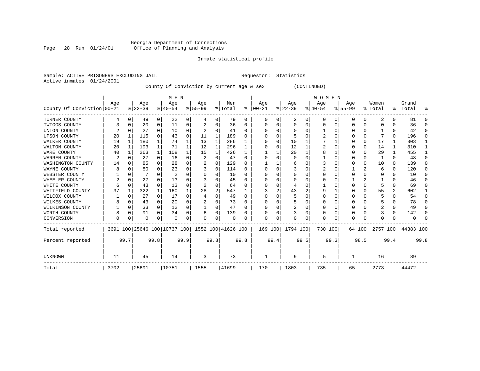# Georgia Department of Corrections Page 28 Run 01/24/01 Office of Planning and Analysis

# Inmate statistical profile

Sample: ACTIVE PRISONERS EXCLUDING JAIL **Requestor:** Statistics Active inmates 01/24/2001

County Of Conviction by current age & sex (CONTINUED)

|                            |      |          |          |              | M E N                        |          |                    |          |         |              |          |          |          |      | <b>WOMEN</b> |          |             |          |              |          |                      |          |
|----------------------------|------|----------|----------|--------------|------------------------------|----------|--------------------|----------|---------|--------------|----------|----------|----------|------|--------------|----------|-------------|----------|--------------|----------|----------------------|----------|
|                            | Age  |          | Age      |              | Age                          |          | Age                |          | Men     |              | Age      |          | Age      |      | Age          |          | Age         |          | Women        |          | Grand                |          |
| County Of Conviction 00-21 |      |          | $ 22-39$ |              | $8140 - 54$                  |          | $8 55-99$          |          | % Total | ႜႂ           | $ 00-21$ |          | $ 22-39$ |      | $ 40-54 $    |          | $8155 - 99$ |          | % Total      |          | %   Total            | ႜ        |
| TURNER COUNTY              | 4    | 0        | 49       | 0            | 22                           | 0        | 4                  | 0        | 79      | 0            | 0        | 0        | 2        | 0    | 0            | 0        | 0           | 0        | 2            | 0        | 81                   |          |
| TWIGGS COUNTY              |      | $\Omega$ | 20       | 0            | 11                           | 0        |                    | 0        | 36      | 0            |          | 0        | $\Omega$ | 0    | $\Omega$     | $\Omega$ | 0           | $\Omega$ |              | U        | 36                   |          |
| UNION COUNTY               |      | $\Omega$ | 27       | $\Omega$     | 10                           | $\Omega$ |                    | O        | 41      | U            |          |          | $\Omega$ | U    |              | $\Omega$ | U           | U        |              | 0        | 42                   | n        |
| <b>UPSON COUNTY</b>        | 20   |          | 115      | $\Omega$     | 43                           | 0        | 11                 | 1        | 189     | 0            |          |          |          |      |              |          | O           | 0        |              | 0        | 196                  | $\Omega$ |
| WALKER COUNTY              | 19   | 1        | 180      | $\mathbf{1}$ | 74                           |          | 13                 | 1        | 286     |              |          | $\Omega$ | 10       |      |              |          | U           | $\Omega$ | 17           |          | 303                  |          |
| WALTON COUNTY              | 20   | 1        | 193      | $\mathbf{1}$ | 71                           |          | 12                 | 1        | 296     |              |          | U        | 12       |      |              |          | O           | $\Omega$ | 14           | 1        | 310                  |          |
| WARE COUNTY                | 40   |          | 263      | 1            | 108                          |          | 15                 | 1        | 426     |              |          |          | 20       |      | 8            |          | U           | O        | 29           | 1        | 455                  |          |
| WARREN COUNTY              | 2    | $\Omega$ | 27       | $\Omega$     | 16                           | 0        | 2                  | $\Omega$ | 47      | O            |          |          |          | U    |              | $\Omega$ |             | 0        |              | $\Omega$ | 48                   |          |
| WASHINGTON COUNTY          | 14   | $\Omega$ | 85       | $\Omega$     | 28                           | $\Omega$ |                    | $\Omega$ | 129     | U            |          |          | 6        |      |              | n        | O           | $\Omega$ | 10           | $\Omega$ | 139                  |          |
| WAYNE COUNTY               | 8    |          | 80       | 0            | 23                           | 0        |                    | $\Omega$ | 114     | 0            |          |          |          | U    | 2            |          |             |          | 6            | 0        | 120                  | ∩        |
| WEBSTER COUNTY             |      | $\Omega$ |          | 0            | $\overline{2}$               | 0        |                    | 0        | 10      | 0            |          | 0        | $\Omega$ | 0    |              | $\Omega$ | 0           | O        | 0            | 0        | 10                   | ∩        |
| WHEELER COUNTY             | 2    | $\Omega$ | 27       | $\Omega$     | 13                           | O        |                    | O        | 45      | <sup>0</sup> |          |          |          | U    |              | O        |             |          |              | U        | 46                   |          |
| WHITE COUNTY               | 6    | $\Omega$ | 43       | $\Omega$     | 13                           | O        |                    | O        | 64      | O            |          | U        |          | U    |              |          | O           | O        |              | U        | 69                   |          |
| WHITFIELD COUNTY           | 37   |          | 322      | 1            | 160                          |          | 28                 | 2        | 547     |              |          | 2        | 43       | 2    | g            |          | O           | 0        | 55           | 2        | 602                  |          |
| WILCOX COUNTY              |      | $\Omega$ | 27       | $\Omega$     | 17                           | O        |                    | $\Omega$ | 49      | $\Omega$     |          |          | 5        | U    |              | $\Omega$ | O           | O        |              | U        | 54                   | ∩        |
| WILKES COUNTY              | 8    | 0        | 43       | 0            | 20                           | 0        |                    | 0        | 73      | U            |          |          | 5        | U    |              |          | 0           |          |              | 0        | 78                   |          |
| WILKINSON COUNTY           |      | 0        | 33       | 0            | 12                           | 0        |                    | 0        | 47      | 0            |          |          | 2        | 0    | 0            | 0        | 0           | O        | 2            | 0        | 49                   | n        |
| WORTH COUNTY               |      | $\Omega$ | 91       | $\Omega$     | 34                           | 0        |                    | $\Omega$ | 139     |              |          |          |          | U    |              | $\Omega$ | 0           |          |              | 0        | 142                  |          |
| CONVERSION                 | U    |          | 0        | 0            | $\Omega$                     | 0        | O                  | $\Omega$ | O       | O            | ∩        | 0        | $\Omega$ | 0    | $\Omega$     | 0        | O           | 0        | <sup>0</sup> | 0        |                      |          |
| Total reported             |      |          |          |              | 3691 100 25646 100 10737 100 |          | 1552 100 41626 100 |          |         |              |          | 169 100  | 1794 100 |      | 730 100      |          |             | 64 100   |              |          | 2757 100   44383 100 |          |
| Percent reported           |      | 99.7     |          | 99.8         |                              | 99.9     |                    | 99.8     |         | 99.8         |          | 99.4     |          | 99.5 |              | 99.3     |             | 98.5     |              | 99.4     |                      | 99.8     |
| <b>UNKNOWN</b>             | 11   |          | 45       |              | 14                           |          | 3                  |          | 73      |              |          |          | 9        |      | 5            |          | 1           |          | 16           |          | 89                   |          |
| Total                      | 3702 |          | 25691    |              | 10751                        |          | 1555               |          | 41699   |              | 170      |          | 1803     |      | 735          |          | 65          |          | 2773         |          | 44472                |          |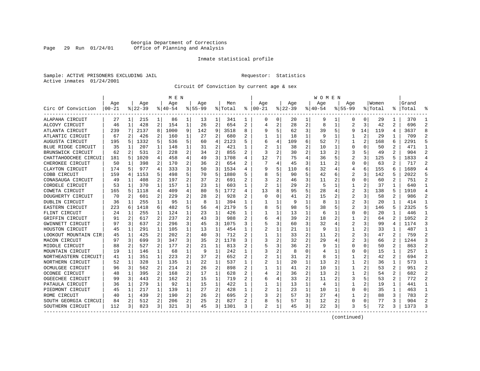# Georgia Department of Corrections Page 29 Run 01/24/01 Office of Planning and Analysis

# Inmate statistical profile

Sample: ACTIVE PRISONERS EXCLUDING JAIL **Requestor:** Statistics Active inmates 01/24/2001

Circuit Of Conviction by current age & sex

|                      |            |                |           |                | M E N     |                |             |                |         |   |                |   |          |                | W O M E N |    |             |    |         |                |       |                |
|----------------------|------------|----------------|-----------|----------------|-----------|----------------|-------------|----------------|---------|---|----------------|---|----------|----------------|-----------|----|-------------|----|---------|----------------|-------|----------------|
|                      | Age        |                | Age       |                | Age       |                | Aqe         |                | Men     |   | Age            |   | Aqe      |                | Age       |    | Aqe         |    | Women   |                | Grand |                |
| Circ Of Conviction   | $ 00 - 21$ |                | $8 22-39$ |                | $8 40-54$ |                | $8155 - 99$ |                | % Total | ៖ | $ 00-21$       |   | $ 22-39$ |                | $ 40-54$  |    | $8155 - 99$ |    | % Total | % ၂            | Total |                |
| ALAPAHA CIRCUIT      | 27         | 1 <sup>1</sup> | 215       | 1              | 86        | 1              | 13          | 1              | 341     | 1 | 0              | 0 | 20       | 1              | 9         |    | 0           | 0  | 29      | 1              | 370   | -1             |
| ALCOVY CIRCUIT       | 46         | 1              | 428       | 2              | 154       | 1              | 26          | $\overline{2}$ | 654     | 2 | 4              | 2 | 28       | $\overline{2}$ | 8         | 1  | 2           | 3  | 42      | 2              | 696   | $\mathfrak{D}$ |
| ATLANTA CIRCUIT      | 239        | 7              | 2137      | 8              | 1000      | 9              | 142         | 9              | 3518    | 8 | 9              | 5 | 62       | 3              | 39        | 5  | 9           | 14 | 119     | 4              | 3637  | 8              |
| ATLANTIC CIRCUIT     | 67         | 2              | 426       | 2              | 160       | 1              | 27          | 2              | 680     | 2 |                | 1 | 18       | 1              | 9         | 1  |             | 2  | 29      | 1              | 709   |                |
| AUGUSTA CIRCUIT      | 195        | 5              | 1332      | 5              | 536       | 5              | 60          | 4              | 2123    | 5 |                | 4 | 109      | 6              | 52        |    |             | 2  | 168     | 6              | 2291  |                |
| BLUE RIDGE CIRCUIT   | 35         | 1              | 207       | 1              | 148       | 1              | 31          | 2              | 421     |   |                | 1 | 38       | 2              | 10        | 1  | $\Omega$    | O  | 50      | 2              | 471   | $\mathbf{1}$   |
| BRUNSWICK CIRCUIT    | 62         | 2              | 531       | 2              | 228       | 2              | 34          | 2              | 855     | 2 | 3              | 2 | 30       | 2              | 13        | 2  | 3           | 5  | 49      | 2              | 904   | $\mathcal{D}$  |
| CHATTAHOOCHEE CIRCUI | 181        | 5              | 1020      | 4              | 458       | 4              | 49          | 3              | 1708    | 4 | 12             | 7 | 75       | 4              | 36        | 5  | 2           | 3  | 125     | 5              | 1833  | 4              |
| CHEROKEE CIRCUIT     | 50         | 1              | 398       | 2              | 170       | $\overline{a}$ | 36          | $\overline{2}$ | 654     | 2 |                | 4 | 45       | 3              | 11        | 2  | U           | O  | 63      | 2              | 717   | 2              |
| CLAYTON CIRCUIT      | 174        |                | 977       | 4              | 333       | 3              | 50          | 3              | 1534    | 4 |                | 5 | 110      | 6              | 32        | 4  | 4           | 6  | 155     | 6              | 1689  |                |
| COBB CIRCUIT         | 159        | 4              | 1153      | 5              | 498       | 5              | 70          | 5              | 1880    | 5 |                | 5 | 90       | 5              | 42        | 6  |             | 3  | 142     | 5              | 2022  |                |
| CONASAUGA CIRCUIT    | 49         | 1              | 408       | 2              | 197       | 2              | 37          | 2              | 691     | 2 |                | 2 | 46       | 3              | 11        | 2  | O           | O  | 60      | 2              | 751   |                |
| CORDELE CIRCUIT      | 53         | 1              | 370       | 1              | 157       | 1              | 23          | 1              | 603     | 1 | 2              |   | 29       | $\overline{2}$ | 5         | 1  |             | 2  | 37      | 1              | 640   |                |
| COWETA CIRCUIT       | 165        | 5              | 1118      | 4              | 409       | 4              | 80          | 5              | 1772    | 4 | 13             | 8 | 95       | 5              | 28        | 4  |             | 3  | 138     | 5              | 1910  |                |
| DOUGHERTY CIRCUIT    | 70         | 2              | 601       | 2              | 229       | $\overline{a}$ | 28          | 2              | 928     |   | <sup>0</sup>   | 0 | 41       | $\overline{2}$ | 15        | 2  | 2           | 3  | 58      | 2              | 986   |                |
| DUBLIN CIRCUIT       | 36         | 1              | 255       | 1              | 95        | $\mathbf{1}$   | 8           | 1              | 394     | 1 |                | 1 | 9        | $\mathbf{1}$   | 8         | 1  | 2           | 3  | 20      | 1              | 414   | -1             |
| EASTERN CIRCUIT      | 223        | 6              | 1418      | 6              | 482       | 5              | 56          | 4              | 2179    | 5 |                | 5 | 98       | 5              | 38        | 5  |             | 3  | 146     | 5.             | 2325  | 5              |
| FLINT CIRCUIT        | 24         | 1              | 255       | 1              | 124       | 1              | 23          | 1              | 426     |   |                |   | 13       | 1              | 6         | 1  | 0           | 0  | 20      |                | 446   | -1             |
| GRIFFIN CIRCUIT      | 91         |                | 617       | 2              | 237       | 2              | 43          | 3              | 988     |   |                | 4 | 39       | 2              | 18        | 2  |             |    | 64      | 2              | 1052  |                |
| GWINNETT CIRCUIT     | 97         | 3              | 637       | 2              | 296       | 3              | 45          | 3              | 1075    | 3 |                | 3 | 60       | 3              | 32        | 4  |             | 3  | 99      | 4              | 1174  |                |
| HOUSTON CIRCUIT      | 45         | 1              | 291       | $\mathbf{1}$   | 105       | 1              | 13          | 1              | 454     |   |                | 1 | 21       | $\mathbf{1}$   | 9         |    |             | 2  | 33      | 1              | 487   |                |
| LOOKOUT MOUNTAIN CIR | 45         | 1              | 425       | 2              | 202       | $\overline{a}$ | 40          | 3              | 712     | 2 |                | 1 | 33       | 2              | 11        | 2  | 2           | 3  | 47      | 2              | 759   |                |
| MACON CIRCUIT        | 97         | 3              | 699       | 3              | 347       | 3              | 35          | 2              | 1178    | 3 | 3              | 2 | 32       | 2              | 29        |    | 2           | 3  | 66      | $\overline{a}$ | 1244  |                |
| MIDDLE CIRCUIT       | 88         | 2              | 527       | $\overline{a}$ | 177       | $\overline{a}$ | 21          | $\mathbf 1$    | 813     |   |                | 3 | 36       | $\overline{2}$ | 9         | 1  | $\Omega$    | 0  | 50      | 2              | 863   |                |
| MOUNTAIN CIRCUIT     | 19         | $\mathbf{1}$   | 146       | $\mathbf{1}$   | 68        | 1              | 9           | $\mathbf 1$    | 242     | 1 |                | 2 | 8        | $\Omega$       |           | -1 | U           | 0  | 15      | 1              | 257   | -1             |
| NORTHEASTERN CIRCUIT | 41         | 1              | 351       | $\mathbf{1}$   | 223       | $\overline{a}$ | 37          | $\overline{2}$ | 652     | 2 |                | 1 | 31       | $\overline{2}$ | 8         | 1  |             |    | 42      | 2              | 694   | 2              |
| NORTHERN CIRCUIT     | 52         | 1              | 328       | 1              | 135       | 1              | 22          | 1              | 537     | 1 | 2              | 1 | 20       | 1              | 13        | 2  |             | 2  | 36      | 1              | 573   | -1             |
| OCMULGEE CIRCUIT     | 96         | 3              | 562       | $\overline{a}$ | 214       | 2              | 26          | 2              | 898     | 2 |                |   | 41       | 2              | 10        |    |             | 2  | 53      | 2              | 951   |                |
| OCONEE CIRCUIT       | 48         | 1              | 395       | 2              | 168       | 2              | 17          | 1              | 628     |   |                | 2 | 36       | 2              | 13        |    |             |    | 54      | 2              | 682   |                |
| OGEECHEE CIRCUIT     | 99         | 3              | 443       | 2              | 162       | 2              | 15          | 1              | 719     | 2 |                | 4 | 33       | $\mathfrak{D}$ | 11        | 2  |             |    | 53      | 2              | 772   |                |
| PATAULA CIRCUIT      | 36         | 1              | 279       | 1              | 92        | 1              | 15          | 1              | 422     | 1 | 1              | 1 | 13       | 1              | 4         | 1  |             | 2  | 19      | 1              | 441   | -1             |
| PIEDMONT CIRCUIT     | 45         | 1              | 217       | 1              | 139       | 1              | 27          | 2              | 428     | 1 | 2              | 1 | 23       | $\mathbf{1}$   | 10        | 1  | 0           | 0  | 35      | 1              | 463   | -1             |
| ROME CIRCUIT         | 40         | 1              | 439       | 2              | 190       | 2              | 26          | 2              | 695     |   |                | 2 | 57       | 3              | 27        | 4  |             | 2  | 88      | 3              | 783   |                |
| SOUTH GEORGIA CIRCUI | 84         | 2              | 512       | 2              | 206       | 2              | 25          | 2              | 827     | 2 |                | 5 | 57       | 3              | 12        | 2  | $\Omega$    | 0  | 77      | 3              | 904   | 2              |
| SOUTHERN CIRCUIT     | 112        | 3              | 823       | 3              | 321       | 3              | 45          | 3              | 1301    | 3 | $\mathfrak{D}$ | 1 | 45       | 3              | 22        | 3  | 3           | 5  | 72      | 3              | 1373  |                |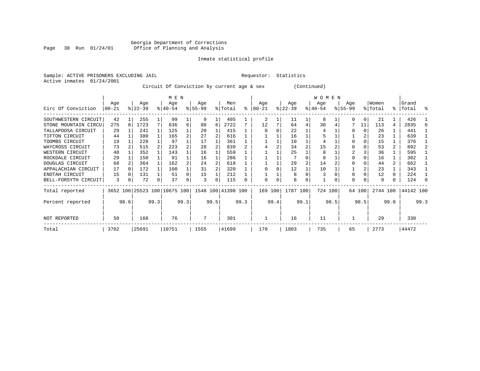# Georgia Department of Corrections Page 30 Run 01/24/01 Office of Planning and Analysis

# Inmate statistical profile

Sample: ACTIVE PRISONERS EXCLUDING JAIL **Requestor:** Statistics Active inmates 01/24/2001

Circuit Of Conviction by current age & sex (Continued)

|                      |          |              |           |      | M E N                        |                |           |      |                    |           |          |      |           |      | W O M E N |      |             |        |          |                |           |      |
|----------------------|----------|--------------|-----------|------|------------------------------|----------------|-----------|------|--------------------|-----------|----------|------|-----------|------|-----------|------|-------------|--------|----------|----------------|-----------|------|
|                      | Age      |              | Age       |      | Age                          |                | Age       |      | Men                |           | Aqe      |      | Age       |      | Age       |      | Age         |        | Women    |                | Grand     |      |
| Circ Of Conviction   | $ 00-21$ |              | $ 22-39 $ |      | $8 40-54$                    |                | $ 55-99 $ |      | % Total            | $\approx$ | $ 00-21$ |      | $ 22-39 $ |      | $ 40-54 $ |      | $8155 - 99$ |        | % Total  | ွေ             | Total     | ႜ    |
| SOUTHWESTERN CIRCUIT | 42       |              | 255       |      | 99                           |                | 9         |      | 405                |           | 2        |      | 11        |      | 8         |      |             | 0      | 21       |                | 426       |      |
| STONE MOUNTAIN CIRCU | 275      | 8            | 1723      | 7    | 636                          | 6              | 88        | 6    | 2722               |           | 12       |      | 64        | 4    | 30        |      |             | 11     | 113      | 4              | 2835      |      |
| TALLAPOOSA CIRCUIT   | 29       |              | 241       |      | 125                          |                | 20        |      | 415                |           |          |      | 22        |      |           |      |             | 0      | 26       |                | 441       |      |
| TIFTON CIRCUIT       | 44       |              | 380       |      | 165                          | $\overline{a}$ | 27        |      | 616                |           |          |      | 16        |      |           |      |             |        | 23       |                | 639       |      |
| TOOMBS CIRCUIT       | 19       |              | 228       |      | 97                           |                | 17        |      | 361                |           |          |      | 10        |      | 4         |      |             |        | 15       |                | 376       |      |
| WAYCROSS CIRCUIT     | 73       |              | 515       |      | 223                          |                | 28        |      | 839                |           |          |      | 34        |      | 15        |      |             |        | 53       | $\overline{a}$ | 892       |      |
| WESTERN CIRCUIT      | 48       |              | 352       |      | 143                          |                | 16        |      | 559                |           |          |      | 25        |      | 8         |      |             |        | 36       |                | 595       |      |
| ROCKDALE CIRCUIT     | 29       |              | 150       |      | 91                           |                | 16        |      | 286                |           |          |      |           |      | 8         |      |             |        | 16       |                | 302       |      |
| DOUGLAS CIRCUIT      | 68       |              | 364       |      | 162                          |                | 24        |      | 618                |           |          |      | 29        |      | 14        |      |             |        | 44       | 2              | 662       |      |
| APPALACHIAN CIRCUIT  | 17       | <sup>0</sup> | 172       |      | 100                          |                | 31        |      | 320                |           |          |      | 12        |      | 10        |      |             |        | 23       |                | 343       |      |
| ENOTAH CIRCUIT       | 15       |              | 131       |      | 51                           |                | 15        |      | 212                |           |          |      | 8         |      |           |      |             |        | 12       | 0              | 224       |      |
| BELL-FORSYTH CIRCUIT | 3        | 0            | 72        | 0    | 37                           | 0              | 3         | 0    | 115                | 0         | $\Omega$ | 0    | 8         | 0    |           |      | $\Omega$    | 0      | 9        | 0              | 124       |      |
| Total reported       |          |              |           |      | 3652 100 25523 100 10675 100 |                |           |      | 1548 100 41398 100 |           | 169 100  |      | 1787 100  |      | 724 100   |      |             | 64 100 | 2744 100 |                | 44142 100 |      |
| Percent reported     |          | 98.6         |           | 99.3 |                              | 99.3           |           | 99.5 |                    | 99.3      |          | 99.4 |           | 99.1 |           | 98.5 |             | 98.5   |          | 99.0           |           | 99.3 |
| NOT REPORTED         | 50       |              | 168       |      | 76                           |                | 7         |      | 301                |           |          |      | 16        |      | 11        |      |             |        | 29       |                | 330       |      |
| Total                | 3702     |              | 25691     |      | 10751                        |                | 1555      |      | 41699              |           | 170      |      | 1803      |      | 735       |      | 65          |        | 2773     |                | 44472     |      |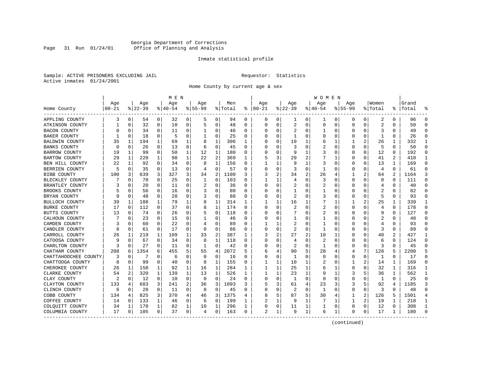# Georgia Department of Corrections Page 31 Run 01/24/01 Office of Planning and Analysis

# Inmate statistical profile

Sample: ACTIVE PRISONERS EXCLUDING JAIL **Requestor:** Statistics Active inmates 01/24/2001

Home County by current age & sex

|                      |              |          |                 |                | M E N              |              |                    |              |                |              |                 |   |                 |              | W O M E N          |              |                    |          |                  |                |                   |                |
|----------------------|--------------|----------|-----------------|----------------|--------------------|--------------|--------------------|--------------|----------------|--------------|-----------------|---|-----------------|--------------|--------------------|--------------|--------------------|----------|------------------|----------------|-------------------|----------------|
| Home County          | Age<br>00-21 |          | Age<br>$ 22-39$ |                | Age<br>$8140 - 54$ |              | Age<br>$8155 - 99$ |              | Men<br>% Total | ి            | Age<br>$ 00-21$ |   | Age<br>$ 22-39$ |              | Age<br>$8140 - 54$ |              | Aqe<br>$8155 - 99$ |          | Women<br>% Total |                | Grand<br>%  Total |                |
| APPLING COUNTY       | 3            | 0        | 54              | $\overline{0}$ | 32                 | 0            | 5                  | 0            | 94             | 0            | 0               | 0 | 1               | 0            | ı                  | 0            | 0                  | 0        | 2                | 0              | 96                | $\Omega$       |
| ATKINSON COUNTY      |              | 0        | 32              | 0              | 10                 | 0            | 5                  | 0            | 48             | 0            | $\Omega$        | 0 | 2               | 0            | $\Omega$           | 0            | $\Omega$           | 0        | $\overline{2}$   | $\Omega$       | 50                | ∩              |
| BACON COUNTY         |              | 0        | 34              | 0              | 11                 | 0            |                    | 0            | 46             | 0            |                 | O | 2               | 0            |                    | 0            | 0                  | 0        | 3                | 0              | 49                | $\Omega$       |
| BAKER COUNTY         |              | 0        | 18              | 0              | 5                  | 0            |                    | 0            | 25             | 0            |                 |   |                 | 0            |                    | 0            | 0                  | 0        |                  | 0              | 26                | $\Omega$       |
| BALDWIN COUNTY       | 35           | 1        | 194             | 1              | 69                 | 1            | 8                  | 1            | 306            | 1            |                 |   | 19              |              | 6                  | 1            |                    | 2        | 26               | 1              | 332               | -1             |
| <b>BANKS COUNTY</b>  |              | 0        | 26              | 0              | 13                 | 0            | 6                  | 0            | 45             | $\Omega$     |                 |   | 3               | U            | 2                  | $\Omega$     | U                  | $\Omega$ | -5               | $\Omega$       | 50                | ∩              |
| BARROW COUNTY        | 19           | 1        | 99              | 0              | 50                 | 1            | 12                 | 1            | 180            | 0            |                 | O | 9               | 1            |                    | 0            | 0                  | 0        | 12               | 0              | 192               | ∩              |
| BARTOW COUNTY        | 29           | 1        | 220             | $\mathbf 1$    | 98                 | $\mathbf{1}$ | 22                 | 2            | 369            | $\mathbf{1}$ |                 | 3 | 29              |              |                    | 1            | 0                  | 0        | 41               | $\overline{a}$ | 410               | $\mathbf{1}$   |
| BEN HILL COUNTY      | 22           | 1        | 92              | 0              | 34                 | 0            | 8                  | $\mathbf{1}$ | 156            | 0            |                 |   | 9               | 1            | 3                  | $\Omega$     | 0                  | 0        | 13               | 1              | 169               | $\Omega$       |
| BERRIEN COUNTY       |              | 0        | 35              | 0              | 13                 | 0            | 4                  | 0            | 57             | 0            |                 | 0 | 3               | 0            |                    | 0            | 0                  | 0        | $\overline{4}$   | 0              | 61                | $\Omega$       |
| BIBB COUNTY          | 100          | 3        | 639             | 3              | 327                | 3            | 34                 | 2            | 1100           | 3            | 3               |   | 34              | 2            | 26                 | 4            |                    | 2        | 64               | 2              | 1164              | 3              |
| BLECKLEY COUNTY      |              | $\Omega$ | 70              | 0              | 25                 | 0            | 1                  | 0            | 103            | $\Omega$     |                 |   | 4               | 0            | 3                  | $\Omega$     | 0                  | 0        | 8                | $\Omega$       | 111               | $\Omega$       |
| BRANTLEY COUNTY      |              | $\Omega$ | 20              | 0              | 11                 | 0            | 2                  | 0            | 36             | $\Omega$     |                 | O | 2               | U            | 2                  | 0            | U                  | U        | 4                | 0              | 40                | $\Omega$       |
| BROOKS COUNTY        |              | O        | 56              | 0              | 16                 | 0            |                    | 0            | 80             | $\Omega$     |                 |   |                 | U            |                    | <sup>0</sup> | U                  | U        | 2                | $\Omega$       | 82                | ∩              |
| BRYAN COUNTY         |              | 0        | 48              | 0              | 28                 | 0            |                    | 0            | 88             | $\Omega$     |                 | O | 2               | U            | 3                  | 0            | 0                  | 0        | 5                | 0              | 93                | ∩              |
| BULLOCH COUNTY       | 39           | 1        | 188             | 1              | 79                 | 1            | 8                  | 1            | 314            | 1            |                 |   | 16              |              |                    |              |                    | 2        | 25               | 1              | 339               | 1              |
| BURKE COUNTY         | 17           | $\Omega$ | 112             | $\Omega$       | 37                 | 0            | 8                  | 1            | 174            | $\Omega$     |                 |   |                 | U            | 2                  | $\Omega$     | U                  | U        | 4                | $\Omega$       | 178               | $\Omega$       |
| BUTTS COUNTY         | 13           | 0        | 74              | 0              | 26                 | 0            |                    | 0            | 118            | 0            |                 |   |                 | U            | 2                  | $\Omega$     | O                  | O        | q                | 0              | 127               | ∩              |
| CALHOUN COUNTY       |              | 0        | 23              | 0              | 15                 | 0            | 1                  | 0            | 46             | 0            |                 |   |                 | U            |                    | 0            | 0                  | 0        | 2                | 0              | 48                |                |
| CAMDEN COUNTY        |              | $\Omega$ | 60              | 0              | 22                 | 0            |                    | 0            | 89             | $\Omega$     |                 |   |                 | U            |                    | 0            | U                  | 0        | 4                | $\Omega$       | 93                | $\cap$         |
| CANDLER COUNTY       |              | 0        | 61              | $\Omega$       | 17                 | 0            | $\Omega$           | 0            | 86             | $\Omega$     |                 | 0 | 2               | 0            | -1                 | $\Omega$     | 0                  | 0        | 3                | $\Omega$       | 89                | ∩              |
| CARROLL COUNTY       | 26           | 1        | 219             | 1              | 109                | 1            | 33                 | 2            | 387            | 1            | 3               | 2 | 27              | 2            | 10                 | 1            | O                  | U        | 40               | 2              | 427               | -1             |
| CATOOSA COUNTY       |              |          | 67              | 0              | 34                 | 0            | 8                  | 1            | 118            | $\Omega$     |                 |   | 4               | U            | 2                  | $\Omega$     | 0                  | 0        | 6                | O              | 124               |                |
| CHARLTON COUNTY      | 3            | $\Omega$ | 27              | 0              | 11                 | 0            | 1                  | 0            | 42             | 0            |                 | O | 2               | 0            | 1                  | 0            | 0                  | 0        | 3                | 0              | 45                |                |
| CHATHAM COUNTY       | 208          | 6        | 1354            | 6              | 455                | 5            | 55                 | 4            | 2072           | 5            | 6               |   | 90              | 5            | 28                 | 4            | 4                  | 7        | 128              | 5              | 2200              |                |
| CHATTAHOOCHEE COUNTY | 3            | 0        |                 | 0              | 6                  | 0            | U                  | $\mathbf 0$  | 16             | $\Omega$     |                 | O | -1              | O            |                    | $\Omega$     | 0                  | 0        | $\mathbf{1}$     | $\Omega$       | 17                | $\Omega$       |
| CHATTOOGA COUNTY     |              | $\Omega$ | 99              | 0              | 40                 | 0            | 8                  | 1            | 155            | 0            |                 |   | 10              | 1            |                    | 0            |                    | 2        | 14               | 1              | 169               | $\Omega$       |
| CHEROKEE COUNTY      | 26           | 1        | 150             | 1              | 92                 | 1            | 16                 | 1            | 284            | 1            |                 |   | 25              | 1            | 6                  | 1            | 0                  | 0        | 32               | 1              | 316               | $\mathbf{1}$   |
| CLARKE COUNTY        | 54           | 2        | 320             | 1              | 139                | 1            | 13                 | 1            | 526            | 1            |                 |   | 23              | $\mathbf{1}$ |                    | 1            |                    | 5        | 36               | 1              | 562               | $\mathbf{1}$   |
| CLAY COUNTY          | 2            | $\Omega$ | 12              | 0              | 10                 | 0            | $\Omega$           | 0            | 24             | $\Omega$     |                 | O | -1              | U            | <sup>0</sup>       | $\Omega$     | U                  | U        | 1                | $\Omega$       | 25                | ∩              |
| CLAYTON COUNTY       | 133          | 4        | 683             | 3              | 241                | 2            | 36                 | 3            | 1093           | 3            |                 | 3 | 61              | 4            | 23                 | 3            | 3                  | 5        | 92               | 4              | 1185              | 3              |
| CLINCH COUNTY        | 6            | 0        | 28              | 0              | 11                 | 0            | 0                  | $\mathbf 0$  | 45             | $\Omega$     |                 | O | 2               | O            | $\mathbf{1}$       | $\mathbf 0$  | $\Omega$           | 0        | 3                | $\Omega$       | 48                | $\cap$         |
| COBB COUNTY          | 134          | 4        | 825             | 3              | 370                | 4            | 46                 | 3            | 1375           | 4            |                 | 5 | 87              | 5            | 30                 | 4            | 1                  | 2        | 126              | 5              | 1501              | $\overline{4}$ |
| COFFEE COUNTY        | 14           | 0        | 133             | 1              | 46                 | 0            | 6                  | 0            | 199            | 1            |                 |   | 9               | 1            | 7                  | 1            | 1                  | 2        | 19               | 1              | 218               | $\mathbf{1}$   |
| COLOUITT COUNTY      | 34           | 1        | 170             | 1              | 82                 | 1            | 10                 | 1            | 296            | 1            |                 | 0 | 11              | 1            |                    | 0            | 0                  | 0        | 12               | 0              | 308               | -1             |
| COLUMBIA COUNTY      | 17           | 0        | 105             | 0              | 37                 | 0            | 4                  | 0            | 163            | 0            | 2               | 1 | 9               | 1            | 6                  | 1            | $\Omega$           | 0        | 17               | 1              | 180               |                |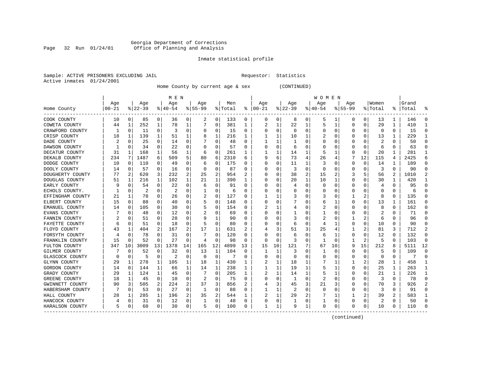#### Georgia Department of Corrections Page 32 Run 01/24/01 Office of Planning and Analysis

# Inmate statistical profile

|  | Sample: ACTIVE PRISONERS EXCLUDING JAIL |  |
|--|-----------------------------------------|--|
|  | Active inmates 01/24/2001               |  |

L Bample: Active Prequestor: Statistics

Home County by current age & sex (CONTINUED)

|                  |           |               |           |          | M E N     |    |           |          |         |                  |          |              |              |          | W O M E N |          |              |          |          |          |       |              |
|------------------|-----------|---------------|-----------|----------|-----------|----|-----------|----------|---------|------------------|----------|--------------|--------------|----------|-----------|----------|--------------|----------|----------|----------|-------|--------------|
|                  | Age       |               | Age       |          | Age       |    | Aqe       |          | Men     |                  | Age      |              | Age          |          | Age       |          | Aqe          |          | Women    |          | Grand |              |
| Home County      | $00 - 21$ |               | $ 22-39 $ |          | $ 40-54 $ |    | $8 55-99$ |          | % Total | ႜ                | $ 00-21$ |              | $ 22-39$     |          | $ 40-54$  |          | $8155 - 99$  |          | % Total  | ႜႜ       | Total |              |
| COOK COUNTY      | 10        | 0             | 85        | 0        | 36        | 0  | 2         | 0        | 133     | 0                | 0        | 0            | 8            | 0        | 5         |          | 0            | 0        | 13       | 1        | 146   |              |
| COWETA COUNTY    | 44        | 1             | 252       | 1        | 78        | 1  |           | 0        | 381     | 1                | 2        | 1            | 22           | 1        | 5         | -1       | O            | 0        | 29       | 1        | 410   |              |
| CRAWFORD COUNTY  |           | 0             | 11        | 0        | 3         | 0  | $\left($  | 0        | 15      | 0                | C        | 0            | $\Omega$     | $\Omega$ | O         | C        |              | $\Omega$ | $\Omega$ | $\Omega$ | 15    | ſ            |
| CRISP COUNTY     | 18        | 1             | 139       | 1        | 51        |    |           | 1        | 216     | 1                |          | 1            | 10           |          | 2         | C        |              | $\Omega$ | 13       | 1        | 229   |              |
| DADE COUNTY      |           | $\mathbf 0$   | 25        | 0        | 14        | 0  |           | $\Omega$ | 48      | O                |          |              |              | $\Omega$ | Ω         | C        |              | O        | 2        | O        | 50    |              |
| DAWSON COUNTY    |           | 0             | 34        | 0        | 22        | 0  |           | $\Omega$ | 57      | O                |          | O            | 6            | ∩        | Ω         |          |              | O        | 6        | $\Omega$ | 63    | ∩            |
| DECATUR COUNTY   | 31        | 1             | 168       | 1        | 56        | 1  | 6         | 0        | 261     | 1                |          | 1            | 14           | 1        | 5         |          | O            | 0        | 20       | 1        | 281   | ำ            |
| DEKALB COUNTY    | 234       | 7             | 1487      | 6        | 509       | 5  | 80        | 6        | 2310    | 6                |          | 6            | 73           | 4        | 26        |          |              | 12       | 115      | 4        | 2425  | 6            |
| DODGE COUNTY     | 10        | 0             | 110       | 0        | 49        | 0  | 6         | 0        | 175     | 0                | 0        | 0            | 11           |          | 3         | C        | 0            | $\Omega$ | 14       | 1        | 189   | <sup>0</sup> |
| DOOLY COUNTY     | 14        | 0             | 57        | 0        | 16        | 0  |           | $\Omega$ | 87      | N                |          | U            |              | $\Omega$ | C         | C        |              |          | 3        | 0        | 90    |              |
| DOUGHERTY COUNTY | 77        | $\mathcal{D}$ | 620       | 3        | 232       | 2  | 25        | 2        | 954     |                  |          | U            | 38           | 2        | 15        |          |              | 5        | 56       | 2        | 1010  |              |
| DOUGLAS COUNTY   | 51        | 1             | 216       | 1        | 102       | 1  | 21        | 1        | 390     | 1                |          | U            | 20           | 1        | 10        |          | O            | O        | 30       | 1        | 420   |              |
| EARLY COUNTY     |           | $\Omega$      | 54        | 0        | 22        | 0  | 6         | 0        | 91      | O                |          | U            | 4            | $\Omega$ | $\Omega$  | C        |              | $\Omega$ | 4        | 0        | 95    | n            |
| ECHOLS COUNTY.   |           | 0             | 2         | 0        | 2         | 0  |           | 0        | 6       | N                |          | U            |              | 0        | O         | C        |              | 0        | C        | 0        | 6     |              |
| EFFINGHAM COUNTY | 21        | 1             | 78        | 0        | 26        | 0  |           | 0        | 127     | O                |          |              |              | O        | 3         | C        |              | 2        | 8        | 0        | 135   | C            |
| ELBERT COUNTY    | 15        | $\Omega$      | 88        | 0        | 40        | 0  |           | $\Omega$ | 148     | O                |          | 0            |              | $\Omega$ | 6         |          | <sup>0</sup> | 0        | 13       | 1        | 161   | ∩            |
| EMANUEL COUNTY   | 14        | 0             | 105       | 0        | 30        | 0  |           | 0        | 154     | O                |          |              |              | O        | 2         | C        |              | O        | 8        | 0        | 162   | n            |
| EVANS COUNTY     |           | 0             | 48        | 0        | 12        | 0  |           | $\Omega$ | 69      | $\left( \right)$ | C        | U            |              |          |           | C        |              | O        | 2        | 0        | 71    | n            |
| FANNIN COUNTY    |           | C             | 51        | O        | 28        | 0  | 9         | 1        | 90      |                  |          | O            |              |          | 2         |          |              |          | 6        | O        | 96    |              |
| FAYETTE COUNTY   | 6         | 0             | 51        | 0        | 18        | 0  |           | $\Omega$ | 80      | O                |          | U            | 6            | O        | 4         |          |              | O        | 10       | U        | 90    |              |
| FLOYD COUNTY     | 43        | 1             | 404       | 2        | 167       | 2  | 17        | 1        | 631     | 2                |          | 3            | 51           | 3        | 25        |          |              | 2        | 81       | 3        | 712   |              |
| FORSYTH COUNTY   |           | 0             | 78        | 0        | 31        | 0  |           | 0        | 120     | O                |          | 0            | 6            | O        | 6         |          | 0            | 0        | 12       | 0        | 132   | n            |
| FRANKLIN COUNTY  | 15        | $\Omega$      | 52        | $\Omega$ | 2.7       | 0  | 4         | $\Omega$ | 98      | 0                | 0        | $\Omega$     | 3            | $\Omega$ |           | C        |              | 2        | 5        | 0        | 103   | $\Omega$     |
| FULTON COUNTY    | 347       | 10            | 3009      | 13       | 1378      | 14 | 165       | 12       | 4899    | 13               | 15       | 10           | 121          |          | 67        | 10       | 9            | 15       | 212      | 8        | 5111  | 12           |
| GILMER COUNTY    |           | 0             | 52        | $\Omega$ | 32        | 0  | 13        | 1        | 104     | 0                |          | 1            | 3            | $\Omega$ |           | C        | <sup>0</sup> | $\Omega$ | 5        | 0        | 109   | C            |
| GLASCOCK COUNTY  | $\Omega$  | $\mathbf 0$   | 5         | 0        | 2         | 0  | O         | 0        | 7       | O                | C        | 0            | <sup>0</sup> | O        | O         | C        |              | $\Omega$ | n        | 0        | 7     | $\Omega$     |
| GLYNN COUNTY     | 29        | 1             | 278       | 1        | 105       | 1  | 18        | 1        | 430     |                  |          | 1            | 18           |          |           |          |              | 2        | 28       | 1        | 458   |              |
| GORDON COUNTY    | 14        | 0             | 144       | 1        | 66        | 1  | 14        | 1        | 238     |                  | -1       | 1            | 19           |          | 5         |          |              | O        | 25       | 1        | 263   |              |
| GRADY COUNTY     | 29        | 1             | 124       | 1        | 45        | 0  |           | $\Omega$ | 205     | 1                |          |              | 14           |          | 5         |          |              |          | 21       | 1        | 226   |              |
| GREENE COUNTY    | 18        | 1             | 45        | 0        | 10        | 0  | 2         | $\Omega$ | 75      | O                |          | 0            |              | $\Omega$ | 2         | ſ        |              | O        | 3        | 0        | 78    | ∩            |
| GWINNETT COUNTY  | 90        | 3             | 505       | 2        | 224       | 2  | 37        | 3        | 856     | 2                |          | 3            | 45           | 3        | 21        |          |              | $\Omega$ | 70       | 3        | 926   |              |
| HABERSHAM COUNTY |           | 0             | 53        | 0        | 27        | 0  | 1         | 0        | 88      | 0                |          | 1            | 2            | $\Omega$ | 0         | C        |              | $\Omega$ | 3        | 0        | 91    | Λ            |
| HALL COUNTY      | 28        | 1             | 285       | 1        | 196       | 2  | 35        | 2        | 544     |                  |          | 1            | 29           | 2        |           |          |              | 2        | 39       | 2        | 583   |              |
| HANCOCK COUNTY   |           | 0             | 31        | 0        | 12        | 0  |           | 0        | 48      | O                | C        | 0            |              | $\Omega$ |           | C        |              | $\Omega$ | 2        | 0        | 50    | ſ            |
| HARALSON COUNTY  | 5         | 0             | 60        | 0        | 30        | 0  | 5         | 0        | 100     | 0                | -1       | $\mathbf{1}$ | 9            | 1        | 0         | $\Omega$ | ∩            | 0        | 10       | 0        | 110   | C            |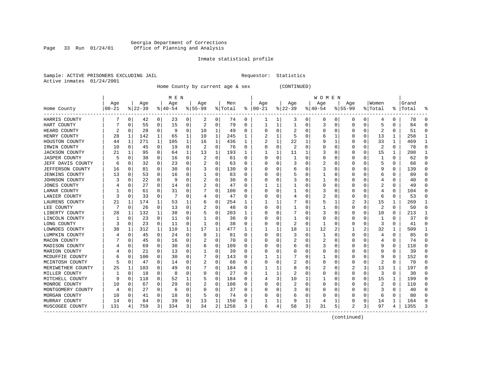#### Georgia Department of Corrections Page 33 Run 01/24/01 Office of Planning and Analysis

# Inmate statistical profile

|  | Sample: ACTIVE PRISONERS EXCLUDING JAII |  |
|--|-----------------------------------------|--|
|  | Active inmates 01/24/2001               |  |

L Bample: Activity Requestor: Statistics

Home County by current age & sex (CONTINUED)

|                       |          |             |          |              | M E N    |          |             |              |         |          |          |          |          |                  | WOMEN    |          |                |          |         |   |       |              |
|-----------------------|----------|-------------|----------|--------------|----------|----------|-------------|--------------|---------|----------|----------|----------|----------|------------------|----------|----------|----------------|----------|---------|---|-------|--------------|
|                       | Age      |             | Age      |              | Age      |          | Age         |              | Men     |          | Age      |          | Age      |                  | Age      |          | Age            |          | Women   |   | Grand |              |
| Home County           | $ 00-21$ |             | $ 22-39$ |              | $ 40-54$ |          | $8155 - 99$ |              | % Total | ႜ        | $ 00-21$ |          | $ 22-39$ |                  | $ 40-54$ |          | $8 55-99$      |          | % Total | ႜ | Total |              |
| HARRIS COUNTY         |          | 0           | 42       | 0            | 23       | 0        | 2           | 0            | 74      | 0        | ı        | 1        | 3        | 0                | 0        | 0        | $\Omega$       | 0        | 4       | 0 | 78    | n            |
| HART COUNTY           |          | 0           | 55       | 0            | 15       | 0        | 2           | 0            | 79      | 0        | 1        | 1        | 1        | 0                | 3        | 0        | $\Omega$       | $\Omega$ | 5       | 0 | 84    | n            |
| HEARD COUNTY          | 2        | 0           | 28       | 0            | -9       | 0        | 10          | 1            | 49      | U        | O        | 0        |          | O                | 0        | 0        |                | $\Omega$ | 2       | 0 | 51    | ſ            |
| HENRY COUNTY          | 28       | 1           | 142      | $\mathbf{1}$ | 65       | 1        | 10          | 1            | 245     | 1        |          | 1        |          | O                | 6        |          |                | 0        | 13      | 1 | 258   |              |
| HOUSTON COUNTY        | 44       | 1           | 271      | $\mathbf{1}$ | 105      | 1        | 16          | $\mathbf{1}$ | 436     | 1        |          | 1        | 22       |                  |          |          | $\Omega$       | O        | 33      | 1 | 469   |              |
| IRWIN COUNTY          | 10       | 0           | 45       | 0            | 19       | 0        | 2           | 0            | 76      | $\Omega$ |          | 0        | 2        | O                | 0        | 0        | O              | 0        | 2       | 0 | 78    | ∩            |
| <b>JACKSON COUNTY</b> | 21       | 1           | 95       | 0            | 64       | 1        | 13          | 1            | 193     | 1        |          | 1        | 11       |                  | 3        | 0        | O              | 0        | 15      | 1 | 208   |              |
| <b>JASPER COUNTY</b>  |          | $\Omega$    | 38       | 0            | 16       | 0        | 2           | 0            | 61      | U        | O        | $\Omega$ |          | O                | 0        | 0        | O              |          |         | 0 | 62    | O            |
| JEFF DAVIS COUNTY     |          | 0           | 32       | 0            | 23       | 0        |             | $\Omega$     | 63      | U        |          | N        |          |                  | 2        | C        |                |          | 5       | 0 | 68    |              |
| JEFFERSON COUNTY      | 16       | $\Omega$    | 81       | U            | 30       | $\Omega$ |             | $\mathbf 0$  | 130     | U        |          | U        | 6        | $\left( \right)$ | 3        | ſ        |                |          |         | 0 | 139   |              |
| <b>JENKINS COUNTY</b> | 13       | $\Omega$    | 53       | 0            | 16       | 0        |             | 0            | 83      | U        |          | O        |          |                  |          | ſ        |                | O        | 6       | 0 | 89    |              |
| JOHNSON COUNTY        | 3        | $\Omega$    | 22       | 0            | 9        | 0        | 2           | 0            | 36      | 0        |          | 0        |          | O                |          | 0        |                | 0        |         | 0 | 40    | n            |
| JONES COUNTY          |          | $\Omega$    | 27       | $\Omega$     | 14       | 0        | 2           | 0            | 47      | 0        |          | 1        |          | 0                |          | 0        |                | 0        | 2       | 0 | 49    | ſ            |
| LAMAR COUNTY          |          | 0           | 61       | 0            | 31       | O        |             | 0            | 100     | U        |          | 0        |          | O                | 3        | $\Omega$ | C              | O        |         | 0 | 104   | <sup>0</sup> |
| LANIER COUNTY         |          | $\Omega$    | 33       | 0            | 7        | O        |             | 0            | 47      | U        |          | 0        |          | O                | 2        | n        | $\Omega$       | $\Omega$ | 6       | 0 | 53    | $\Omega$     |
| LAURENS COUNTY        | 21       | 1           | 174      | 1            | 53       | 1        |             | 0            | 254     | -1       |          | 1        |          | O                | 5        | ำ        | 2              | 3        | 15      | 1 | 269   |              |
| LEE COUNTY            |          | 0           | 26       | $\Omega$     | 13       | 0        |             | 0            | 48      | 0        | O        | 0        |          | O                |          | 0        | O              | $\Omega$ | 2       | 0 | 50    | 0            |
| LIBERTY COUNTY        | 28       | 1           | 132      | 1            | 38       | 0        |             | 0            | 203     |          |          | 0        |          | O                | 3        | 0        |                | 0        | 10      | 0 | 213   |              |
| LINCOLN COUNTY        |          | $\Omega$    | 23       | 0            | 11       | O        |             | O            | 36      | U        |          | O        |          | O                | Ω        | ſ        |                |          |         | U | 37    | ſ            |
| LONG COUNTY           | 3        | $\Omega$    | 23       | $\Omega$     | 11       | $\Omega$ | 1           | $\Omega$     | 38      | U        |          | O        | 2        | O                | 1        | n        |                | $\Omega$ | 3       | 0 | 41    |              |
| LOWNDES COUNTY        | 38       | 1           | 312      | 1            | 110      | 1        | 17          | 1            | 477     | ı.       |          | 1        | 18       | 1                | 12       |          |                | 2        | 32      | 1 | 509   |              |
| LUMPKIN COUNTY        |          | $\Omega$    | 45       | $\Omega$     | 24       | $\Omega$ | 8           | 1            | 81      | 0        | O        | 0        | 3        | O                |          | 0        | 0              | 0        | 4       | 0 | 85    | O            |
| MACON COUNTY          |          | 0           | 45       | 0            | 16       | 0        | 2           | 0            | 70      | 0        |          | 0        | 2        | 0                | 2        | 0        |                | 0        |         | 0 | 74    | Ω            |
| MADISON COUNTY        |          | $\mathbf 0$ | 69       | 0            | 30       | 0        | h           | 0            | 109     | U        |          | O        | 6        | O                | 3        | 0        | C              | O        | g       | 0 | 118   | ſ            |
| MARION COUNTY         |          | $\mathbf 0$ | 21       | 0            | 13       | 0        |             | 0            | 39      | U        |          | O        | O        | O                | Ω        | n        | O              | O        | Ω       | 0 | 39    | ∩            |
| MCDUFFIE COUNTY       |          | 0           | 100      | 0            | 30       | 0        |             | 0            | 143     | 0        |          |          |          | $\cup$           |          | 0        | $\Omega$       | O        | 9       | 0 | 152   | n            |
| MCINTOSH COUNTY       |          | 0           | 47       | 0            | 14       | 0        | 2           | 0            | 68      | 0        | O        | 0        | 2        | O                | 0        | 0        | 0              | 0        | 2       | 0 | 70    | n            |
| MERIWETHER COUNTY     | 25       | 1           | 103      | 0            | 49       | 0        |             | 0            | 184     | 0        |          |          | 8        | 0                | 2        | 0        | 2              | 3        | 13      | 1 | 197   | <sup>0</sup> |
| MILLER COUNTY         |          | $\mathbf 0$ | 18       | 0            | 8        | O        | O           | $\Omega$     | 27      | U        |          | 1        |          | O                | Ω        | n        | $\Omega$       | $\Omega$ | 3       | 0 | 30    | ſ            |
| MITCHELL COUNTY       |          | $\Omega$    | 118      | $\Omega$     | 52       | 1        | 5           | $\mathbf 0$  | 184     | U        |          | 3        | 10       |                  |          | n        | O              | $\Omega$ | 15      | 1 | 199   | ∩            |
| MONROE COUNTY         | 10       | 0           | 67       | 0            | 29       | $\Omega$ |             | $\mathbf 0$  | 108     | 0        |          | O        |          | U                | 0        | n        |                | 0        | 2       | 0 | 110   | n            |
| MONTGOMERY COUNTY     |          | 0           | 27       | 0            | 6        | $\Omega$ | 0           | 0            | 37      | 0        |          | 0        |          | 0                | Ω        | 0        |                | 0        | 3       | 0 | 40    | n            |
| MORGAN COUNTY         | 10       | 0           | 41       | 0            | 18       | 0        |             | 0            | 74      | U        |          | O        | 6        | 0                | Ω        | O        |                | O        | 6       | 0 | 80    |              |
| MURRAY COUNTY         | 14       | $\mathbf 0$ | 84       | 0            | 39       | 0        | 13          | 1            | 150     | 0        |          | 1        | 9        |                  | 4        |          |                | 0        | 14      | 1 | 164   |              |
| MUSCOGEE COUNTY       | 131      | 4           | 759      | 3            | 334      | 3        | 34          | 2            | 1258    | 3        | 6        | 4        | 58       | 3                | 31       | 5        | $\mathfrak{D}$ | 3        | 97      | 4 | 1355  |              |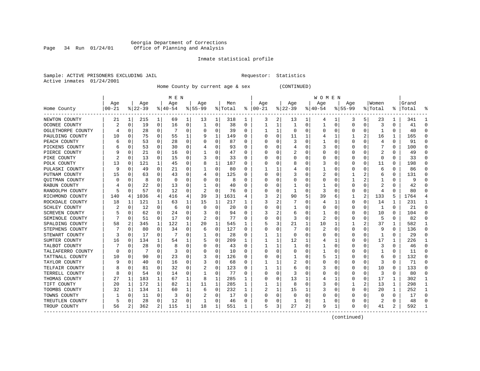# Georgia Department of Corrections Page 34 Run 01/24/01 Office of Planning and Analysis

# Inmate statistical profile

Sample: ACTIVE PRISONERS EXCLUDING JAIL **Requestor:** Statistics Active inmates 01/24/2001

Home County by current age & sex (CONTINUED)

|                   |           |                |           |              | M E N    |   |           |          |         |          |               |   |          |          | W O M E N |          |              |          |         |          |       |              |
|-------------------|-----------|----------------|-----------|--------------|----------|---|-----------|----------|---------|----------|---------------|---|----------|----------|-----------|----------|--------------|----------|---------|----------|-------|--------------|
|                   | Age       |                | Age       |              | Age      |   | Age       |          | Men     |          | Age           |   | Age      |          | Age       |          | Age          |          | Women   |          | Grand |              |
| Home County       | $00 - 21$ |                | $ 22-39 $ |              | $ 40-54$ |   | $8 55-99$ |          | % Total |          | $8   00 - 21$ |   | $ 22-39$ |          | $ 40-54$  |          | $8 55-99$    |          | % Total | ႜ        | Total |              |
| NEWTON COUNTY     | 21        | 1              | 215       | 1            | 69       | 1 | 13        | 1        | 318     | ı        | 3             | 2 | 13       | ı        | 4         | -1       | 3            | 5        | 23      | 1        | 341   |              |
| OCONEE COUNTY     | 2         | 0              | 19        | 0            | 16       | 0 |           | 0        | 38      | 0        | 1             | 1 |          | 0        | 1         | 0        | 0            | 0        | 3       | 0        | 41    | $\Omega$     |
| OGLETHORPE COUNTY |           | 0              | 28        | 0            |          | 0 |           | 0        | 39      | 0        |               | 1 | $\Omega$ | $\Omega$ | 0         | $\Omega$ |              | $\Omega$ |         | U        | 40    | <sup>0</sup> |
| PAULDING COUNTY   | 10        | 0              | 75        | 0            | 55       |   |           | 1        | 149     | O        |               | 0 | 11       |          |           |          |              | 2        | 16      | 1        | 165   |              |
| PEACH COUNTY      |           | 0              | 53        | 0            | 28       | 0 |           | 0        | 87      | O        |               | U |          | $\Omega$ |           | C        | <sup>0</sup> | O        | 4       | 0        | 91    | ∩            |
| PICKENS COUNTY    |           | 0              | 53        | 0            | 30       | 0 |           | 0        | 93      | 0        | C             | 0 |          | O        | 3         | C        |              | 0        | 7       | 0        | 100   | ∩            |
| PIERCE COUNTY     |           | 0              | 21        | 0            | 16       | 0 |           | 0        | 47      | 0        | O             | 0 |          | 0        | 0         | C        | O            | 0        | 2       | 0        | 49    | 0            |
| PIKE COUNTY       |           | 0              | 13        | 0            | 15       | 0 | 3         | 0        | 33      | 0        | C             | U | O        | O        | 0         | C        |              | O        | 0       | 0        | 33    | n            |
| POLK COUNTY       | 13        | 0              | 121       |              | 45       | 0 |           | 1        | 187     | O        |               | U |          | O        | 3         | C        |              | O        | 11      | 0        | 198   | O            |
| PULASKI COUNTY    | q         | C              | 49        | 0            | 21       | 0 |           | $\Omega$ | 80      | O        |               |   |          | O        |           | C        |              |          | 6       | 0        | 86    | C            |
| PUTNAM COUNTY     | 15        | 0              | 63        | 0            | 43       | 0 |           | $\Omega$ | 125     | O        |               | 0 |          | $\left($ | 2         | C        |              |          | 6       | 0        | 131   |              |
| QUITMAN COUNTY    |           | 0              | 8         | 0            | 0        | 0 |           | 0        | 8       | O        |               | U | O        | O        | 0         | C        |              |          |         | 0        | 9     |              |
| RABUN COUNTY      |           | 0              | 22        | 0            | 13       | 0 |           | 0        | 40      | 0        |               | 0 |          | $\Omega$ |           | C        |              | 0        | 2       | 0        | 42    |              |
| RANDOLPH COUNTY   |           | $\Omega$       | 57        | 0            | 12       | 0 |           | 0        | 76      | O        |               | U |          | $\Omega$ | 3         | C        |              | $\Omega$ | 4       | 0        | 80    |              |
| RICHMOND COUNTY   | 140       | 4              | 1036      | 4            | 416      | 4 | 39        | 3        | 1631    |          |               | 2 | 90       | 5        | 39        | 6        |              | 2        | 133     | 5        | 1764  |              |
| ROCKDALE COUNTY   | 18        | 1              | 121       | 1            | 63       | 1 | 15        | 1        | 217     | 1        |               | 2 |          | O        | 4         | ำ        | 0            | 0        | 14      | 1        | 231   | ำ            |
| SCHLEY COUNTY     |           | 0              | 12        | 0            | 6        | 0 | O         | 0        | 20      | 0        | 0             | 0 |          | O        | 0         | C        | 0            | $\Omega$ | -1      | $\Omega$ | 21    | $\Omega$     |
| SCREVEN COUNTY    |           | C              | 62        | 0            | 24       | 0 |           | $\Omega$ | 94      | 0        |               | 2 | 6        | $\Omega$ |           | C        |              | 0        | 10      | 0        | 104   | <sup>0</sup> |
| SEMINOLE COUNTY   |           | 0              | 51        | 0            | 17       | 0 |           | $\Omega$ | 77      | O        |               | U |          | $\Omega$ | 2         | C        |              |          | 5       | 0        | 82    | C            |
| SPALDING COUNTY   | 58        | $\overline{2}$ | 345       | 1            | 122      | 1 | 20        | 1        | 545     | 1        |               | 3 | 21       |          | 10        |          |              | 2        | 37      | 1        | 582   |              |
| STEPHENS COUNTY   |           | 0              | 80        | 0            | 34       | 0 | 6         | 0        | 127     | 0        | C             | 0 |          | O        | 2         | C        | O            | $\Omega$ | 9       | 0        | 136   | n            |
| STEWART COUNTY    | 3         | $\Omega$       | 17        | $\Omega$     |          | 0 |           | 0        | 28      | 0        |               | 1 | $\Omega$ | O        | 0         | C        |              | $\Omega$ | 1       | 0        | 29    | O            |
| SUMTER COUNTY     | 16        | 0              | 134       | 1            | 54       | 1 |           | 0        | 209     | 1        |               | 1 | 12       |          |           |          |              | 0        | 17      | 1        | 226   |              |
| TALBOT COUNTY     |           | $\Omega$       | 28        | $\Omega$     | 8        | 0 |           | $\Omega$ | 43      | $\Omega$ |               | 1 |          | $\Omega$ |           | C        |              | O        | 3       | $\Omega$ | 46    | $\Omega$     |
| TALIAFERRO COUNTY | ∩         | 0              | 7         | 0            | 3        | 0 |           | 0        | 10      | 0        |               | 0 | $\Omega$ | O        |           | C        | <sup>0</sup> | O        |         | 0        | 11    | $\Omega$     |
| TATTNALL COUNTY   | 10        | 0              | 90        | 0            | 23       | 0 |           | 0        | 126     | 0        | C             | 0 |          | O        | 5         |          | 0            | O        | 6       | 0        | 132   | $\Omega$     |
| TAYLOR COUNTY     | q         | 0              | 40        | 0            | 16       | 0 | 3         | 0        | 68      | O        |               |   |          | 0        | 0         | C        |              | 0        | 3       | 0        | 71    | $\Omega$     |
| TELFAIR COUNTY    |           | 0              | 81        | 0            | 32       | 0 | 2         | $\Omega$ | 123     | 0        |               |   | 6        | 0        | 3         | C        |              | 0        | 10      | 0        | 133   | <sup>0</sup> |
| TERRELL COUNTY    | 8         | 0              | 54        | $\Omega$     | 14       | 0 |           | $\Omega$ | 77      | O        | C             | O |          | O        | Ω         | C        |              | O        | 3       | O        | 80    | ∩            |
| THOMAS COUNTY     | 27        | 1              | 183       | 1            | 67       | 1 | 8         | 1        | 285     | 1        |               | U | 13       |          | 4         |          |              | $\Omega$ | 17      | 1        | 302   |              |
| TIFT COUNTY       | 20        | 1              | 172       | 1            | 82       | 1 | 11        | 1        | 285     | 1        |               | 1 | 8        | $\Omega$ | 3         | C        |              | 2        | 13      | 1        | 298   |              |
| TOOMBS COUNTY     | 32        | 1              | 134       | $\mathbf{1}$ | 60       | 1 | 6         | 0        | 232     | 1        | 2             | 1 | 15       |          | 3         | C        | 0            | 0        | 20      | 1        | 252   |              |
| TOWNS COUNTY      |           | 0              | 11        | 0            | 3        | 0 | 2         | 0        | 17      | 0        |               | 0 | 0        | $\Omega$ | O         | C        |              | O        | O       | 0        | 17    | <sup>0</sup> |
| TREUTLEN COUNTY   |           | $\mathbf 0$    | 28        | 0            | 12       | 0 |           | 0        | 46      | O        |               | 0 |          | $\Omega$ |           | C        |              | O        |         | 0        | 48    | ſ            |
| TROUP COUNTY      | 56        | 2              | 362       | 2            | 115      | 1 | 18        | 1        | 551     | 1        | 5             | 3 | 27       | 2        | 9         | 1        | $\Omega$     | 0        | 41      | 2        | 592   |              |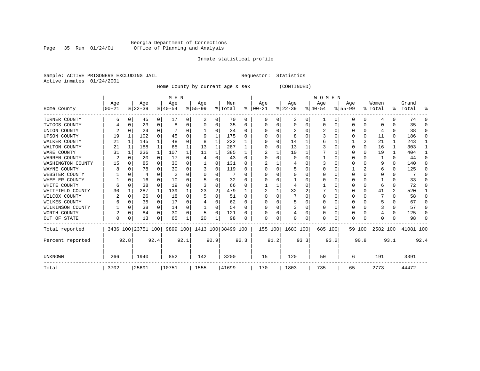# Georgia Department of Corrections Page 35 Run 01/24/01 Office of Planning and Analysis

# Inmate statistical profile

Sample: ACTIVE PRISONERS EXCLUDING JAIL **Requestor:** Statistics Active inmates 01/24/2001

Home County by current age & sex (CONTINUED)

|                     |           |          |                    |                | M E N    |          |                    |          |         |      |          |      |              |      | WOMEN     |          |           |          |          |              |           |              |
|---------------------|-----------|----------|--------------------|----------------|----------|----------|--------------------|----------|---------|------|----------|------|--------------|------|-----------|----------|-----------|----------|----------|--------------|-----------|--------------|
|                     | Age       |          | Age                |                | Age      |          | Age                |          | Men     |      | Age      |      | Age          |      | Age       |          | Age       |          | Women    |              | Grand     |              |
| Home County         | $00 - 21$ |          | $ 22-39$           |                | $ 40-54$ |          | $8 55-99$          |          | % Total | ႜ    | $ 00-21$ |      | $ 22-39 $    |      | $ 40-54 $ |          | $ 55-99 $ |          | % Total  |              | %   Total | ႜ            |
| TURNER COUNTY       | 6         | 0        | 45                 | $\overline{0}$ | 17       | 0        | 2                  | 0        | 70      | 0    | 0        | 0    | 3            | 0    |           | 0        | 0         | 0        | 4        | 0            | 74        | $\Omega$     |
| TWIGGS COUNTY       |           | 0        | 23                 | 0              | 8        | 0        | 0                  | 0        | 35      | 0    | O        | 0    | 0            | 0    | 0         | $\Omega$ | Ω         | 0        | O        |              | 35        | $\Omega$     |
| UNION COUNTY        | 2         |          | 24                 | 0              |          |          |                    | U        | 34      | 0    |          |      |              |      |           | O        | Ω         | $\Omega$ |          | <sup>0</sup> | 38        | <sup>0</sup> |
| <b>UPSON COUNTY</b> | 19        |          | 102                | 0              | 45       | U        | q                  | 1        | 175     | U    |          |      | 8            |      |           | O        |           | $\Omega$ | 11       | $\Omega$     | 186       | $\Omega$     |
| WALKER COUNTY       | 21        | 1        | 145                | 1              | 48       | 0        |                    | 1        | 222     |      |          |      | 14           |      |           |          |           | 2        | 21       |              | 243       | -1           |
| WALTON COUNTY       | 21        | 1        | 188                | $\mathbf{1}$   | 65       |          | 13                 | 1        | 287     |      |          |      | 13           |      |           | $\Omega$ | O         | $\Omega$ | 16       |              | 303       | -1           |
| WARE COUNTY         | 31        |          | 236                | 1              | 107      |          | 11                 |          | 385     |      |          |      | 10           |      |           |          |           | $\Omega$ | 19       |              | 404       |              |
| WARREN COUNTY       | 2         |          | 20                 | 0              | 17       | 0        |                    | U        | 43      | O    |          |      | 0            |      |           | $\Omega$ |           | U        |          | $\Omega$     | 44        | $\Omega$     |
| WASHINGTON COUNTY   | 15        |          | 85                 | 0              | 30       | 0        |                    | U        | 131     | U    |          |      |              |      |           | $\Omega$ | ი         | $\Omega$ | 9        | <sup>0</sup> | 140       | O            |
| WAYNE COUNTY        | 8         |          | 78                 | 0              | 30       | 0        |                    | 0        | 119     |      |          |      |              |      |           |          |           |          | 6        | <sup>0</sup> | 125       | 0            |
| WEBSTER COUNTY      |           |          | 4                  | 0              | 2        | U        |                    | 0        |         | U    |          |      | 0            | 0    |           | $\Omega$ | Ω         | $\Omega$ | O        | 0            |           | $\Omega$     |
| WHEELER COUNTY      |           | U        | 16                 | 0              | 10       |          |                    | U        | 32      | U    |          |      |              |      |           | $\Omega$ |           | U        |          | <sup>0</sup> | 33        | U            |
| WHITE COUNTY        |           |          | 38                 | 0              | 19       | U        |                    | U        | 66      |      |          |      |              |      |           |          |           | U        |          | $\Omega$     | 72        | $\Omega$     |
| WHITFIELD COUNTY    | 30        |          | 287                | 1              | 139      |          | 23                 | 2        | 479     |      |          |      | 32           | 2    |           |          |           | $\Omega$ | 41       | 2            | 520       |              |
| WILCOX COUNTY       | 2         |          | 26                 | 0              | 18       | U        |                    | U        | 51      | U    |          |      |              | N    | O         | O        | 0         | $\Omega$ |          | <sup>n</sup> | 58        | U            |
| WILKES COUNTY       |           |          | 35                 | 0              | 17       | 0        |                    | 0        | 62      | U    |          |      | 5            |      | O         | $\Omega$ | ი         | U        |          | O            | 67        | $\Omega$     |
| WILKINSON COUNTY    |           | $\Omega$ | 38                 | $\overline{0}$ | 14       | 0        |                    | 0        | 54      | O    |          |      |              | 0    |           | $\Omega$ | Ω         | $\Omega$ |          | $\Omega$     | 57        | $\Omega$     |
| WORTH COUNTY        |           | $\Omega$ | 84                 | 0              | 30       | $\Omega$ | 5                  | $\Omega$ | 121     | U    |          |      |              | 0    | 0         | $\Omega$ | 0         | 0        |          | <sup>0</sup> | 125       | $\Omega$     |
| OUT OF STATE        | O         | 0        | 13                 | 0              | 65       |          | 20                 |          | 98      | U    | $\Omega$ | 0    | <sup>0</sup> | 0    | $\Omega$  | $\Omega$ | N         | 0        | $\Omega$ |              | 98        | $\Omega$     |
| Total reported      |           |          | 3436 100 23751 100 |                | 9899 100 |          | 1413 100 38499 100 |          |         |      | 155 100  |      | 1683 100     |      | 685 100   |          |           | 59 100   | 2582 100 |              | 41081 100 |              |
| Percent reported    |           | 92.8     |                    | 92.4           |          | 92.1     | 90.9               |          |         | 92.3 |          | 91.2 |              | 93.3 |           | 93.2     |           | 90.8     |          | 93.1         |           | 92.4         |
| UNKNOWN             | 266       |          | 1940               |                | 852      |          | 142                |          | 3200    |      | 15       |      | 120          |      | 50        |          | 6         |          | 191      |              | 3391      |              |
| Total               | 3702      |          | 25691              |                | 10751    |          | 1555               |          | 41699   |      | 170      |      | 1803         |      | 735       |          | 65        |          | 2773     |              | 44472     |              |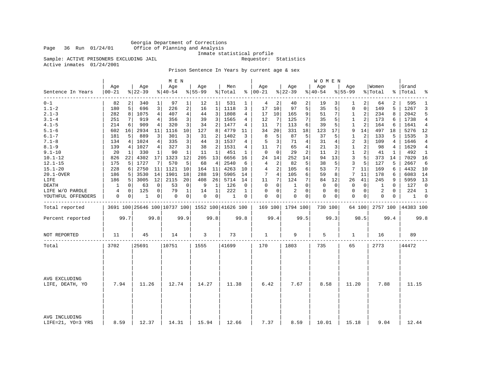Georgia Department of Corrections Page 36 Run 01/24/01 Office of Planning and Analysis

Inmate statistical profile

Sample: ACTIVE PRISONERS EXCLUDING JAIL **Requestor:** Statistics

Active inmates 01/24/2001

Prison Sentence In Years by current age & sex

|                                    |                  |      |                 |                | M E N                                           |                |                 |                |                |                |                   |                |                    |                | W O M E N        |      |                    |                |                  |          |                    |                |
|------------------------------------|------------------|------|-----------------|----------------|-------------------------------------------------|----------------|-----------------|----------------|----------------|----------------|-------------------|----------------|--------------------|----------------|------------------|------|--------------------|----------------|------------------|----------|--------------------|----------------|
| Sentence In Years                  | Age<br>$00 - 21$ |      | Age<br>$ 22-39$ |                | Age<br>$ 40-54$                                 |                | Age<br>$ 55-99$ |                | Men<br>% Total |                | Age<br>$% 100-21$ |                | Age<br>$8$   22-39 |                | Age<br>$8 40-54$ |      | Age<br>$8155 - 99$ |                | Women<br>% Total |          | Grand<br>%   Total | $\approx$      |
| $0 - 1$                            | 82               | 2    | 340             | $\mathbf{1}$   | 97                                              | 1              | 12              | 1              | 531            | 1              | 4                 | 2              | 40                 | 2              | 19               | 3    | 1                  | $\overline{2}$ | 64               | 2        | 595                | 1              |
| $1.1 - 2$                          | 180              | 5    | 696             | 3              | 226                                             | 2              | 16              | $\mathbf{1}$   | 1118           | 3              | 17                | 10             | 97                 | 5              | 35               | 5    | $\mathbf 0$        | $\overline{0}$ | 149              | 5        | 1267               | 3              |
| $2.1 - 3$                          | 282              | 8    | 1075            | $\overline{4}$ | 407                                             | $\overline{4}$ | 44              | $\overline{3}$ | 1808           | $\overline{4}$ | 17                | 10             | 165                | 9              | 51               | 7    | $1\,$              | $\overline{2}$ | 234              | 8        | 2042               | 5              |
| $3.1 - 4$                          | 251              | 7    | 919             | 4              | 356                                             | 3              | 39              | 3              | 1565           | 4              | 12                | 7              | 125                | 7              | 35               | 5    | 1                  | 2              | 173              | 6        | 1738               | 4              |
| $4.1 - 5$                          | 214              | 6    | 909             | 4              | 320                                             | 3              | 34              | $\overline{2}$ | 1477           | 4              | 11                | 7              | 113                | 6              | 39               | 5    | 1                  | 2              | 164              | 6        | 1641               | $\overline{4}$ |
| $5.1 - 6$                          | 602              | 16   | 2934            | 11             | 1116                                            | 10             | 127             | 8              | 4779           | 11             | 34                | 20             | 331                | 18             | 123              | 17   | 9                  | 14             | 497              | 18       | 5276               | 12             |
| $6.1 - 7$                          | 181              | 5    | 889             | 3              | 301                                             | 3              | 31              | 2              | 1402           | 3              | 8                 | 5              | 87                 | 5              | 37               | 5    | 1                  | 2              | 133              | 5        | 1535               | 3              |
| $7.1 - 8$                          | 134              | 4    | 1024            | 4              | 335                                             | 3              | 44              | $\overline{3}$ | 1537           | 4              | 5                 | 3              | 71                 | $\overline{4}$ | 31               | 4    | 2                  | 3              | 109              | 4        | 1646               | $\overline{4}$ |
| $8.1 - 9$                          | 139              | 4    | 1027            | 4              | 327                                             | 3              | 38              | $\overline{a}$ | 1531           | 4              | 11                | 7              | 65                 | $\overline{4}$ | 21               | 3    | $\mathbf 1$        | 2              | 98               | 4        | 1629               | 4              |
| $9.1 - 10$                         | 20               | 1    | 330             | 1              | 90                                              | $\mathbf{1}$   | 11              | 1              | 451            | 1              | 0                 | 0              | 29                 | 2              | 11               | 2    | $\mathbf{1}$       | $\overline{a}$ | 41               | 1        | 492                | 1              |
| $10.1 - 12$                        | 826              | 22   | 4302            | 17             | 1323                                            | 12             | 205             | 13             | 6656           | 16             | 24                | 14             | 252                | 14             | 94               | 13   | 3                  | 5              | 373              | 14       | 7029               | 16             |
| $12.1 - 15$                        | 175              | 5    | 1727            | 7              | 570                                             | 5              | 68              | 4              | 2540           | 6              | $\overline{4}$    | $\overline{c}$ | 82                 | 5              | 38               | 5    | 3                  | 5              | 127              | 5        | 2667               | 6              |
| $15.1 - 20$                        | 228              | 6    | 2750            | 11             | 1121                                            | 10             | 164             | 11             | 4263           | 10             | 4                 | $\overline{a}$ | 105                | 6              | 53               | 7    | 7                  | 11             | 169              | 6        | 4432               | 10             |
| 20.1-OVER                          | 186              | 5    | 3530            | 14             | 1901                                            | 18             | 288             | 19             | 5905           | 14             | 7                 | 4              | 105                | 6              | 59               | 8    | 7                  | 11             | 178              | 6        | 6083               | 14             |
| LIFE                               | 186              | 5    | 3005            | 12             | 2115                                            | 20             | 408             | 26             | 5714           | 14             | 11                | 7              | 124                | 7              | 84               | 12   | 26                 | 41             | 245              | 9        | 5959               | 13             |
| DEATH                              | 1                | 0    | 63              | 0              | 53                                              | 0              | 9               | 1              | 126            | 0              | 0                 | 0              | 1                  | $\Omega$       | 0                | 0    | 0                  | $\circ$        | 1                | 0        | 127                | $\mathbf 0$    |
| LIFE W/O PAROLE                    | 4                | 0    | 125             | 0              | 79                                              | $\mathbf{1}$   | 14              | 1              | 222            | $\mathbf{1}$   | $\Omega$          | $\Omega$       | 2                  | $\Omega$       | 0                | 0    | $\Omega$           | $\overline{0}$ | 2                | $\Omega$ | 224                | $\mathbf{1}$   |
| YOUTHFUL OFFENDERS                 | 0                | 0    | 1               | 0              | 0                                               | 0              | $\mathbf 0$     | 0 <sup>1</sup> | $\mathbf{1}$   | 0              | $\Omega$          | 0              | $\mathbf{0}$       | $\mathbf 0$    | 0                | 0    | $\mathbf{0}$       | $\overline{0}$ | 0                | 0        | 1                  | 0              |
| Total reported                     |                  |      |                 |                | 3691 100 25646 100 10737 100 1552 100 41626 100 |                |                 |                |                |                |                   |                | 169 100 1794 100   |                | 730 100          |      |                    | 64 100         | 2757 100         |          | 44383 100          |                |
| Percent reported                   |                  | 99.7 |                 | 99.8           |                                                 | 99.9           |                 | 99.8           |                | 99.8           |                   | 99.4           |                    | 99.5           |                  | 99.3 |                    | 98.5           |                  | 99.4     |                    | 99.8           |
| NOT REPORTED                       | 11               |      | 45              |                | 14                                              |                | 3               |                | 73             |                | 1                 |                | 9                  |                | 5                |      | 1                  |                | 16               |          | 89                 |                |
| Total                              | 3702             |      | 25691           |                | 10751                                           |                | 1555            |                | 41699          |                | 170               |                | 1803               |                | 735              |      | 65                 |                | 2773             |          | 44472              |                |
|                                    |                  |      |                 |                |                                                 |                |                 |                |                |                |                   |                |                    |                |                  |      |                    |                |                  |          |                    |                |
| AVG EXCLUDING<br>LIFE, DEATH, YO   | 7.94             |      | 11.26           |                | 12.74                                           |                | 14.27           |                | 11.38          |                | 6.42              |                | 7.67               |                | 8.58             |      | 11.20              |                | 7.88             |          | 11.15              |                |
|                                    |                  |      |                 |                |                                                 |                |                 |                |                |                |                   |                |                    |                |                  |      |                    |                |                  |          |                    |                |
| AVG INCLUDING<br>LIFE=21, YO=3 YRS | 8.59             |      | 12.37           |                | 14.31                                           |                | 15.94           |                | 12.66          |                | 7.37              |                | 8.59               |                | 10.01            |      | 15.18              |                | 9.04             |          | 12.44              |                |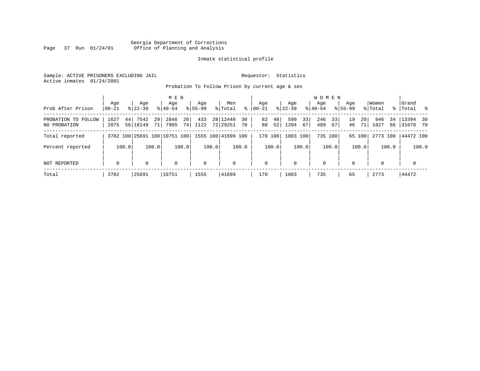# Georgia Department of Corrections Page 37 Run 01/24/01 Office of Planning and Analysis

# Inmate statistical profile

Sample: ACTIVE PRISONERS EXCLUDING JAIL **Requestor:** Statistics Active inmates 01/24/2001

Probation To Follow Prison by current age & sex

|                                     |                  |                                    | M E N                        |                    |                                  |                      |                         | <b>WOMEN</b>           |                      |                         |                             |
|-------------------------------------|------------------|------------------------------------|------------------------------|--------------------|----------------------------------|----------------------|-------------------------|------------------------|----------------------|-------------------------|-----------------------------|
| Prob After Prison                   | Age<br>$00 - 21$ | Age<br>$8122 - 39$                 | Age<br>$8140 - 54$           | Age<br>$8155 - 99$ | Men<br>ႜ<br>% Total              | Aqe<br>$00 - 21$     | Age<br>$ 22-39 $        | Aqe<br>$8140 - 54$     | Aqe<br>$8155 - 99$   | Women<br>% Total<br>ွေ  | Grand<br>$\sim$ 8<br> Total |
| PROBATION TO FOLLOW<br>NO PROBATION | 1627<br>2075     | 7542<br>44<br>29<br>56 18149<br>71 | 26<br>2846<br>74 <br>7905    | 433<br>1122        | 28 12448<br>30<br>72 29251<br>70 | 48<br>82<br>88<br>52 | 599<br>33<br>1204<br>67 | 246<br>33<br>489<br>67 | 29<br>19<br>46<br>71 | 946<br>34<br>1827<br>66 | 13394 30<br> 31078 70       |
| Total reported                      |                  |                                    | 3702 100 25691 100 10751 100 |                    | 1555 100 41699 100               | 170 100              | 1803 100                | 735 100                | 65 100               | 2773 100                | 44472 100                   |
| Percent reported                    | 100.0            | 100.0                              | 100.0                        | 100.0              | 100.0                            | 100.0                | 100.0                   | 100.0                  | 100.0                | 100.0                   | 100.0                       |
| NOT REPORTED                        | $\mathbf 0$      |                                    | $\mathbf 0$                  | $\mathbf 0$        | $\Omega$                         | $\mathbf 0$          | $\Omega$                | 0                      | $\Omega$             | $\Omega$                | 0                           |
| Total                               | 3702             | 25691                              | 10751                        | 1555               | 41699                            | 170                  | 1803                    | 735                    | 65                   | 2773                    | 44472                       |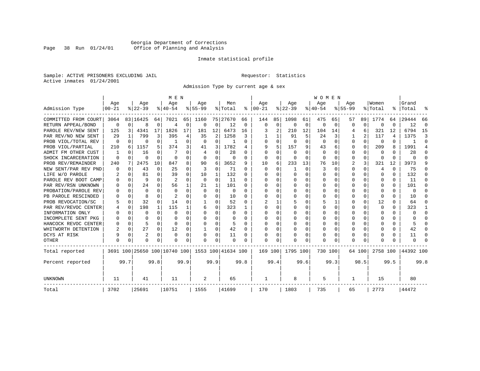# Georgia Department of Corrections Page 38 Run 01/24/01 Office of Planning and Analysis

# Inmate statistical profile

Sample: ACTIVE PRISONERS EXCLUDING JAIL **Requestor:** Statistics Active inmates 01/24/2001

Admission Type by current age & sex

|                      |                  |          |                  |          | M E N                        |          |                  |             |                    |          |                      |             |                  |          | <b>WOMEN</b>     |          |                    |          |                  |      |                    |          |
|----------------------|------------------|----------|------------------|----------|------------------------------|----------|------------------|-------------|--------------------|----------|----------------------|-------------|------------------|----------|------------------|----------|--------------------|----------|------------------|------|--------------------|----------|
| Admission Type       | Age<br>$00 - 21$ |          | Age<br>$8 22-39$ |          | Age<br>$8 40-54$             |          | Age<br>$8 55-99$ |             | Men<br>% Total     |          | Age<br>$8   00 - 21$ |             | Age<br>$ 22-39 $ |          | Age<br>$8 40-54$ |          | Age<br>$8155 - 99$ |          | Women<br>% Total |      | Grand<br>%   Total |          |
|                      |                  |          |                  |          |                              |          |                  |             |                    |          |                      |             |                  |          |                  |          |                    |          |                  |      |                    |          |
| COMMITTED FROM COURT | 3064             |          | 83 16425         | 64       | 7021                         | 65       | 1160             |             | 75 27670           | 66       | 144                  | 85          | 1098             | 61       | 475              | 65       | 57                 | 89       | 1774             | 64   | 29444              | 66       |
| RETURN APPEAL/BOND   | $\mathbf 0$      | $\Omega$ | 8                | 0        | $\overline{4}$               | 0        | 0                | 0           | 12                 | 0        | $\mathbf 0$          | $\mathbf 0$ | $\Omega$         | 0        | 0                | 0        | O                  | 0        | C                | U    | 12                 | $\Omega$ |
| PAROLE REV/NEW SENT  | 125              | 3        | 4341             | 17       | 1826                         | 17       | 181              | 12          | 6473               | 16       |                      | 2           | 210              | 12       | 104              | 14       |                    | 6        | 321              | 12   | 6794               | 15       |
| PAR REV/NO NEW SENT  | 29               |          | 799              | 3        | 395                          | 4        | 35               | 2           | 1258               | 3        |                      |             | 91               | 5        | 24               | 3        |                    | 2        | 117              | 4    | 1375               | 3        |
| PROB VIOL/TOTAL REV  | 0                | $\Omega$ | 0                | 0        | -1                           | $\Omega$ | $\Omega$         | $\Omega$    |                    | 0        | $\Omega$             | 0           | $\Omega$         | $\Omega$ | $\Omega$         | $\Omega$ | $\Omega$           | $\Omega$ | $\Omega$         | 0    |                    | $\Omega$ |
| PROB VIOL/PARTIAL    | 210              | 6        | 1157             | 5.       | 374                          | 3        | 41               | 3           | 1782               | 4        | 9                    | 5           | 157              | 9        | 43               | 6        | 0                  | $\Omega$ | 209              | 8    | 1991               | 4        |
| ADMIT FM OTHER CUST  |                  | $\Omega$ | 16               | 0        |                              | $\Omega$ | 4                | $\Omega$    | 28                 | 0        | $\Omega$             | $\Omega$    | $\Omega$         | $\Omega$ | $\Omega$         | O        | 0                  | $\Omega$ | 0                | 0    | 28                 | ∩        |
| SHOCK INCARCERATION  | $\Omega$         | $\Omega$ | O                | $\Omega$ | $\Omega$                     | 0        | $\Omega$         | 0           | 0                  | 0        | $\Omega$             | 0           | 0                | 0        | 0                | $\Omega$ | $\Omega$           | $\Omega$ | <sup>0</sup>     | 0    | U                  | ſ        |
| PROB REV/REMAINDER   | 240              | 7        | 2475             | 10       | 847                          | 8        | 90               | 6           | 3652               | 9        | 10                   | 6           | 233              | 13       | 76               | 10       | 2                  | 3        | 321              | 12   | 3973               |          |
| NEW SENT/PAR REV PND |                  | $\Omega$ | 43               | 0        | 25                           | 0        | 3                | $\mathbf 0$ | 71                 | 0        | $\Omega$             | $\Omega$    | -1               | $\Omega$ | 3                | $\Omega$ | $\Omega$           | $\Omega$ | 4                | 0    | 75                 | n        |
| LIFE W/O PAROLE      |                  | $\Omega$ | 81               | 0        | 39                           | 0        | 10               | 1           | 132                | 0        | n                    | $\Omega$    | $\Omega$         | $\Omega$ | Ω                | O        | $\Omega$           | $\Omega$ | O                | 0    | 132                |          |
| PAROLE REV BOOT CAMP |                  | $\Omega$ | q                | $\cap$   | $\overline{2}$               | $\Omega$ | 0                | 0           | 11                 | U        | n                    | 0           | $\Omega$         | $\Omega$ | Ω                | n        | ∩                  | $\Omega$ | O                | 0    | 11                 | n        |
| PAR REV/RSN UNKNOWN  |                  | $\Omega$ | 24               | C.       | 56                           | 1        | 21               | 1           | 101                | U        | ∩                    | 0           | $\Omega$         | $\Omega$ | U                | O        | ∩                  | $\Omega$ | n                | 0    | 101                | n        |
| PROBATION/PAROLE REV |                  | $\Omega$ | $\Omega$         | U        | $\Omega$                     | $\Omega$ | $\Omega$         | $\Omega$    | $\Omega$           | U        | ∩                    | 0           | U                | $\Omega$ | U                | O        | ∩                  | U        | U                | U    | $\Omega$           |          |
| PB PAROLE RESCINDED  |                  | $\Omega$ | 8                | U        | 2                            | U        | $\Omega$         | $\Omega$    | 10                 | O        | <sup>0</sup>         | 0           | U                | $\Omega$ | U                | O        | ∩                  | $\Omega$ | ∩                | U    | 10                 |          |
| PROB REVOCATION/SC   |                  | $\Omega$ | 32               | 0        | 14                           | U        |                  | O           | 52                 | O        |                      |             |                  | O        | 5                |          | $\Omega$           | $\Omega$ | 12               | U    | 64                 | O        |
| PAR REV/REVOC CENTER |                  | 0        | 198              | 1        | 115                          |          | 6                | 0           | 323                |          | <sup>0</sup>         | 0           |                  | O        | Ω                | O        | $\Omega$           | U        | <sup>0</sup>     | 0    | 323                |          |
| INFORMATION ONLY     |                  | $\Omega$ | O                | 0        | $\Omega$                     | 0        | O                | 0           | 0                  | 0        | $\Omega$             | 0           | 0                | O        | U                | $\Omega$ | $\Omega$           | $\Omega$ | O                | 0    | U                  | ∩        |
| INCOMPLETE SENT PKG  |                  | $\Omega$ |                  | 0        | $\Omega$                     | 0        | 0                | $\Omega$    | 0                  | 0        | <sup>0</sup>         | $\Omega$    | O                | O        | U                | O        | O                  | $\Omega$ | O                | 0    | U                  | n        |
| HANCOCK REVOC CENTER |                  | $\Omega$ | 5                | 0        | $\Omega$                     | 0        | U                | $\Omega$    | 5                  | U        | ∩                    | $\Omega$    | <sup>0</sup>     | O        | U                | $\Omega$ | $\Omega$           | $\Omega$ |                  | 0    |                    | ∩        |
| WHITWORTH DETENTION  |                  | $\Omega$ | 27               | 0        | 12                           | 0        | 1                | 0           | 42                 | $\Omega$ | <sup>0</sup>         | 0           | $\Omega$         | O        | 0                | $\Omega$ | $\Omega$           | $\Omega$ |                  | 0    | 42                 | ∩        |
| DCYS AT RISK         |                  | $\Omega$ | $\overline{2}$   | $\Omega$ | $\Omega$                     | 0        |                  | $\Omega$    | 11                 | 0        |                      | 0           | 0                | $\Omega$ | 0                | 0        | $\Omega$           | $\Omega$ |                  | 0    | 11                 | C        |
| <b>OTHER</b>         |                  | $\Omega$ | O                | U        | O                            | 0        | O                | $\Omega$    | $\Omega$           | O        | $\Omega$             | O           | O                | $\Omega$ | $\Omega$         | O        | $\Omega$           | $\Omega$ |                  | U    | U                  |          |
| Total reported       |                  |          |                  |          | 3691 100 25650 100 10740 100 |          |                  |             | 1553 100 41634 100 |          | 169 100              |             | 1795 100         |          | 730 100          |          |                    | 64 100   | 2758 100         |      | 44392 100          |          |
| Percent reported     |                  | 99.7     |                  | 99.8     |                              | 99.9     |                  | 99.9        |                    | 99.8     |                      | 99.4        |                  | 99.6     |                  | 99.3     |                    | 98.5     |                  | 99.5 |                    | 99.8     |
| UNKNOWN              | 11               |          | 41               |          | 11                           |          | 2                |             | 65                 |          | -1                   |             | 8                |          | 5                |          | 1                  |          | 15               |      | 80                 |          |
| Total                | 3702             |          | 25691            |          | 10751                        |          | 1555             |             | 41699              |          | 170                  |             | 1803             |          | 735              |          | 65                 |          | 2773             |      | 44472              |          |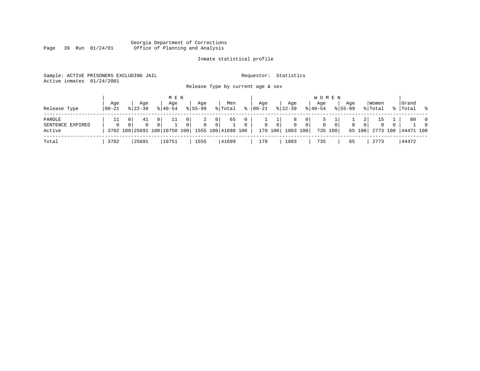#### Georgia Department of Corrections Page 39 Run 01/24/01 Office of Planning and Analysis

# Inmate statistical profile

| Sample: ACTIVE PRISONERS EXCLUDING JAIL | Requestor: Statistics             |  |
|-----------------------------------------|-----------------------------------|--|
| Active inmates 01/24/2001               |                                   |  |
|                                         | Release Type by current age & sex |  |

| Release Type                         | Age<br>  00-21 | Aqe<br>$8122 - 39$ |                            | M E N<br>Age<br>$8140 - 54$        |                     | Aqe<br>$8155 - 99$ |                                  | Men<br>% Total           | ႜ        | Aqe<br>00-21             |                | Aqe<br>$8 22-39$                  |                | <b>WOMEN</b><br>Age<br>$8 40-54$ |          | Age<br>$8155 - 99$ |                                      | Women<br>% Total  |              | Grand<br>%  Total %        |                                  |
|--------------------------------------|----------------|--------------------|----------------------------|------------------------------------|---------------------|--------------------|----------------------------------|--------------------------|----------|--------------------------|----------------|-----------------------------------|----------------|----------------------------------|----------|--------------------|--------------------------------------|-------------------|--------------|----------------------------|----------------------------------|
| PAROLE<br>SENTENCE EXPIRED<br>Active | $\Omega$       | 41<br>$\Omega$     | 0 <sup>1</sup><br>$\Omega$ | 11<br>3702 100 25691 100 10750 100 | $\overline{0}$<br>0 | 2<br>$\Omega$      | 0 <sup>1</sup><br>$\overline{0}$ | 65<br>1555 100 41698 100 | $\Omega$ | <b>T</b><br>$\mathbf{0}$ | $\overline{0}$ | 8<br>$\Omega$<br>170 100 1803 100 | 0 <sup>1</sup> | 5<br>0<br>735 100                | $\Omega$ | 0                  | $\overline{2}$<br>$\Omega$<br>65 100 | 15<br>$\mathbf 0$ | $\mathbf{0}$ | 80<br>2773 100   44471 100 | $\overline{0}$<br>$\overline{0}$ |
| Total                                | 3702           | 25691              |                            | 10751                              |                     | 1555               |                                  | 41699                    |          | 170                      |                | 1803                              |                | 735                              |          | 65                 |                                      | 2773              |              | 44472.                     |                                  |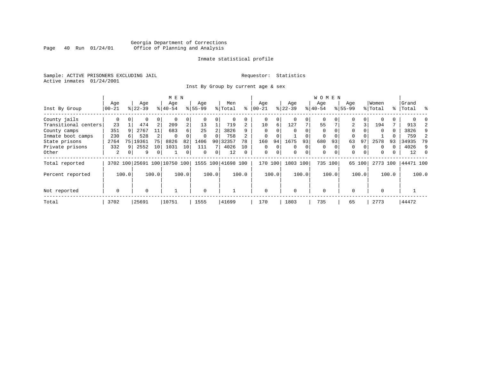# Georgia Department of Corrections Page 40 Run 01/24/01 Office of Planning and Analysis

# Inmate statistical profile

Sample: ACTIVE PRISONERS EXCLUDING JAIL **Requestor:** Statistics Active inmates 01/24/2001

Inst By Group by current age & sex

|                      |             |       |           |          | M E N                        |                |           |          |                    |          |             |          |           |          | <b>WOMEN</b> |          |             |          |          |       |           |          |
|----------------------|-------------|-------|-----------|----------|------------------------------|----------------|-----------|----------|--------------------|----------|-------------|----------|-----------|----------|--------------|----------|-------------|----------|----------|-------|-----------|----------|
|                      | Age         |       | Age       |          | Age                          |                | Age       |          | Men                |          | Age         |          | Age       |          | Age          |          | Age         |          | Women    |       | Grand     |          |
| Inst By Group        | $00 - 21$   |       | $8 22-39$ |          | $ 40-54 $                    |                | $8 55-99$ |          | % Total            | ႜ        | $ 00 - 21 $ |          | $ 22-39 $ |          | $ 40-54$     |          | $8155 - 99$ |          | % Total  |       | %   Total | ွေ       |
| County jails         | 0           |       | 0         | 0        |                              | 0              |           |          | 0                  |          | 0           | 0        |           | 0        | $\mathbf 0$  |          | $\Omega$    |          |          |       |           |          |
| Transitional centers | 23          |       | 474       | 2        | 209                          | $\overline{a}$ | 13        |          | 719                |          | 10          | 6        | 127       | 7        | 55           |          | 2           | 3        | 194      |       | 913       |          |
| County camps         | 351         | 9     | 2767      | 11       | 683                          | б.             | 25        |          | 3826               |          | $\Omega$    | O        |           | $\Omega$ | $\Omega$     |          | $\Omega$    |          | $\Omega$ | 0     | 3826      | 9        |
| Inmate boot camps    | 230         |       | 528       |          | $\Omega$                     |                | $\Omega$  | $\Omega$ | 758                |          | $\mathbf 0$ |          |           |          | 0            |          | $\Omega$    |          |          |       | 759       |          |
| State prisons        | 2764        | 75    | 19361     | 75       | 8826                         | 82             | 1406      | 90       | 32357              | 78       | 160         | 94       | 1675      | 93       | 680          | 93       | 63          | 97       | 2578     | 93    | 34935     | 79       |
| Private prisons      | 332         | 9     | 2552      | 10       | 1031                         | 10             | 111       |          | 4026               | 10       | 0           | $\Omega$ | $\Omega$  | 0        | $\Omega$     |          | 0           |          | $\Omega$ |       | 4026      | 9        |
| Other                | 2           | 0     | 9         | $\Omega$ |                              | 0              | $\Omega$  | 0        | 12                 | $\Omega$ | $\mathbf 0$ | 0        | $\Omega$  | $\Omega$ | $\mathbf 0$  | $\Omega$ | 0           | $\Omega$ | $\Omega$ |       | 12        | $\Omega$ |
| Total reported       |             |       |           |          | 3702 100 25691 100 10750 100 |                |           |          | 1555 100 41698 100 |          | 170         | 100      | 1803      | 100      | 735 100      |          | 65          | 100      | 2773 100 |       | 44471 100 |          |
| Percent reported     |             | 100.0 |           | 100.0    |                              | 100.0          |           | 100.0    |                    | 100.0    |             | 100.0    |           | 100.0    |              | 100.0    |             | 100.0    |          | 100.0 |           | 100.0    |
| Not reported         | $\mathbf 0$ |       | $\Omega$  |          |                              |                | $\Omega$  |          |                    |          | $\Omega$    |          | $\Omega$  |          | $\Omega$     |          | $\Omega$    |          | $\Omega$ |       |           |          |
| Total                | 3702        |       | 25691     |          | 10751                        |                | 1555      |          | 41699              |          | 170         |          | 1803      |          | 735          |          | 65          |          | 2773     |       | 44472     |          |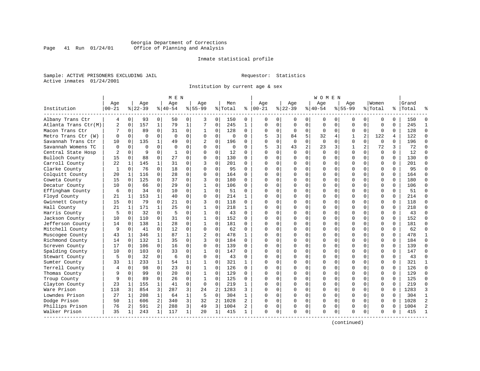# Georgia Department of Corrections Page 41 Run 01/24/01 Office of Planning and Analysis

# Inmate statistical profile

Sample: ACTIVE PRISONERS EXCLUDING JAIL **Requestor:** Statistics Active inmates 01/24/2001

Institution by current age & sex

|                      |              |              |           |                | M E N     |              |              |             |             |              |              |              |             |             | W O M E N   |             |             |                |             |          |           |                |
|----------------------|--------------|--------------|-----------|----------------|-----------|--------------|--------------|-------------|-------------|--------------|--------------|--------------|-------------|-------------|-------------|-------------|-------------|----------------|-------------|----------|-----------|----------------|
|                      | Age          |              | Age       |                | Age       |              | Age          |             | Men         |              | Age          |              | Age         |             | Aqe         |             | Aqe         |                | Women       |          | Grand     |                |
| Institution          | $00 - 21$    |              | $8 22-39$ |                | $8 40-54$ |              | $8 55-99$    |             | % Total     | နွ           | $ 00-21$     |              | $ 22-39$    |             | $ 40-54$    |             | $8155 - 99$ |                | % Total     |          | %   Total |                |
| Albany Trans Ctr     | 4            | 0            | 93        | 0              | 50        | 0            | 3            | 0           | 150         | 0            | 0            | $\Omega$     | 0           | 0           | 0           | 0           | 0           | 0              | 0           | $\Omega$ | 150       | n              |
| Atlanta Trans Ctr(M) | 2            | $\mathbf 0$  | 157       | $\mathbf{1}$   | 79        | $\mathbf 1$  | 7            | $\mathbf 0$ | 245         | $\mathbf{1}$ | $\Omega$     | $\Omega$     | $\mathbf 0$ | $\mathbf 0$ | $\Omega$    | $\mathbf 0$ | $\Omega$    | $\Omega$       | $\mathbf 0$ | $\Omega$ | 245       | $\mathbf{1}$   |
| Macon Trans Ctr      | 7            | 0            | 89        | $\Omega$       | 31        | 0            | 1            | 0           | 128         | $\Omega$     | $\Omega$     | $\mathbf{0}$ | $\Omega$    | 0           | $\Omega$    | $\mathbf 0$ | $\Omega$    | $\Omega$       | $\Omega$    | $\Omega$ | 128       | $\Omega$       |
| Metro Trans Ctr (W)  | $\Omega$     | 0            | $\Omega$  | $\Omega$       | $\Omega$  | $\mathbf 0$  | $\Omega$     | $\mathbf 0$ | $\Omega$    | $\Omega$     | 5            | 3            | 84          | 5           | 32          | 4           | 1           | $\overline{c}$ | 122         | 4        | 122       | $\Omega$       |
| Savannah Trans Ctr   | 10           | $\mathbf 0$  | 135       | $\mathbf{1}$   | 49        | $\Omega$     |              | $\Omega$    | 196         | 0            | $\cap$       | $\Omega$     | $\Omega$    | $\Omega$    | $\Omega$    | $\Omega$    | $\Omega$    | $\Omega$       | $\Omega$    | $\Omega$ | 196       | $\Omega$       |
| Savannah Womens TC   | $\Omega$     | $\Omega$     | $\Omega$  | $\Omega$       | $\Omega$  | 0            | $\Omega$     | 0           | $\mathbf 0$ | $\Omega$     | 5            | 3            | 43          | 2           | 23          | 3           | 1           | $\overline{a}$ | 72          | 3        | 72        | $\Omega$       |
| Central State Hosp   | 2            | $\mathbf 0$  | 9         | $\mathbf 0$    | 1         | 0            | $\Omega$     | $\mathbf 0$ | 12          | 0            | $\Omega$     | $\Omega$     | $\Omega$    | $\mathbf 0$ | $\mathbf 0$ | 0           | $\Omega$    | $\mathbf 0$    | $\mathbf 0$ | $\Omega$ | 12        | $\Omega$       |
| Bulloch County       | 15           | 0            | 88        | $\Omega$       | 27        | $\Omega$     | $\Omega$     | $\mathbf 0$ | 130         | $\Omega$     | $\Omega$     | $\Omega$     | $\Omega$    | 0           | C           | $\mathbf 0$ | $\Omega$    | $\Omega$       | $\mathbf 0$ | $\Omega$ | 130       | $\Omega$       |
| Carroll County       | 22           | 1            | 145       | $\mathbf{1}$   | 31        | $\Omega$     | ζ            | $\Omega$    | 201         | $\Omega$     | $\Omega$     | 0            | $\Omega$    | $\Omega$    | $\Omega$    | 0           | $\Omega$    | $\Omega$       | $\Omega$    | $\Omega$ | 201       | $\Omega$       |
| Clarke County        | $\mathbf{1}$ | 0            | 76        | $\Omega$       | 18        | $\mathbf 0$  | $\Omega$     | $\Omega$    | 95          | $\Omega$     | $\cap$       | 0            | $\Omega$    | 0           | $\Omega$    | 0           | $\Omega$    | $\Omega$       | $\Omega$    | $\Omega$ | 95        | $\Omega$       |
| Colquitt County      | 20           | 1            | 116       | 0              | 28        | $\Omega$     | $\Omega$     | $\Omega$    | 164         | $\Omega$     | ∩            | $\cap$       | $\Omega$    | 0           | $\Omega$    | $\Omega$    | $\Omega$    | $\Omega$       | $\Omega$    | $\cap$   | 164       | $\Omega$       |
| Coweta County        | 15           | 0            | 125       | $\Omega$       | 37        | 0            | 3            | $\mathbf 0$ | 180         | $\Omega$     | ∩            | 0            | $\Omega$    | $\Omega$    | $\Omega$    | 0           | $\Omega$    | $\Omega$       | $\mathbf 0$ | $\Omega$ | 180       | $\Omega$       |
| Decatur County       | 10           | 0            | 66        | $\mathbf 0$    | 29        | 0            | 1            | 0           | 106         | 0            | <sup>0</sup> | $\Omega$     | 0           | $\mathbf 0$ | C           | $\mathbf 0$ | $\Omega$    | $\Omega$       | $\mathbf 0$ | $\Omega$ | 106       | $\Omega$       |
| Effingham County     | 6            | 0            | 34        | 0              | 10        | $\Omega$     | 1            | 0           | 51          | $\Omega$     | $\cap$       | $\Omega$     | 0           | 0           | $\Omega$    | 0           | $\Omega$    | $\Omega$       | $\mathbf 0$ | $\Omega$ | 51        | $\Omega$       |
| Floyd County         | 21           | 1            | 153       | $\mathbf{1}$   | 40        | 0            | $\Omega$     | 0           | 214         | 1            | $\Omega$     | $\Omega$     | $\Omega$    | 0           | $\Omega$    | 0           | $\Omega$    | $\Omega$       | $\mathbf 0$ | $\Omega$ | 214       | $\Omega$       |
| Gwinnett County      | 15           | $\Omega$     | 79        | $\Omega$       | 21        | $\Omega$     | 3            | $\Omega$    | 118         | 0            | ∩            | 0            | $\Omega$    | 0           | $\Omega$    | $\Omega$    | $\Omega$    | $\Omega$       | $\Omega$    | $\Omega$ | 118       | $\Omega$       |
| Hall County          | 21           | $\mathbf{1}$ | 171       | $\mathbf{1}$   | 25        | $\Omega$     | 1            | $\Omega$    | 218         | $\mathbf{1}$ | ∩            | $\Omega$     | $\Omega$    | $\Omega$    | $\Omega$    | $\Omega$    | $\Omega$    | $\Omega$       | $\Omega$    | $\Omega$ | 218       | $\Omega$       |
| Harris County        | 5            | $\Omega$     | 32        | $\Omega$       | 5         | 0            | 1            | $\Omega$    | 43          | $\Omega$     | <sup>0</sup> | $\Omega$     | $\Omega$    | 0           | $\Omega$    | $\Omega$    | $\Omega$    | $\Omega$       | $\Omega$    | $\Omega$ | 43        | $\Omega$       |
| Jackson County       | 10           | 0            | 110       | $\mathbf 0$    | 31        | 0            | 1            | $\mathbf 0$ | 152         | $\Omega$     | ∩            | $\Omega$     | O           | 0           | U           | $\mathbf 0$ | $\Omega$    | $\Omega$       | $\mathbf 0$ | $\Omega$ | 152       | $\Omega$       |
| Jefferson County     | 14           | $\mathbf 0$  | 138       | $\mathbf{1}$   | 28        | $\Omega$     | $\mathbf 1$  | $\mathbf 0$ | 181         | $\Omega$     | $\cap$       | 0            | 0           | 0           | U           | 0           | $\Omega$    | $\Omega$       | $\Omega$    | $\Omega$ | 181       | $\Omega$       |
| Mitchell County      | 9            | 0            | 41        | $\Omega$       | 12        | 0            | $\Omega$     | 0           | 62          | $\Omega$     | ∩            | 0            | $\Omega$    | $\Omega$    | $\Omega$    | 0           | $\Omega$    | $\Omega$       | $\Omega$    | $\Omega$ | 62        | $\Omega$       |
| Muscogee County      | 43           | 1            | 346       | $\mathbf 1$    | 87        | 1            | 2            | $\mathbf 0$ | 478         | 1            | ∩            | 0            | $\Omega$    | 0           | $\Omega$    | 0           | $\Omega$    | $\Omega$       | $\Omega$    | $\Omega$ | 478       | $\mathbf{1}$   |
| Richmond County      | 14           | $\Omega$     | 132       | $\mathbf{1}$   | 35        | $\Omega$     | 3            | $\Omega$    | 184         | $\Omega$     | $\cap$       | $\Omega$     | $\Omega$    | 0           | $\Omega$    | $\Omega$    | $\Omega$    | $\Omega$       | $\Omega$    | $\Omega$ | 184       | $\Omega$       |
| Screven County       | 17           | $\Omega$     | 106       | $\Omega$       | 16        | $\Omega$     | $\Omega$     | $\Omega$    | 139         | $\Omega$     | $\Omega$     | $\Omega$     | $\Omega$    | $\Omega$    | $\Omega$    | $\Omega$    | $\Omega$    | $\Omega$       | $\Omega$    | $\Omega$ | 139       | $\Omega$       |
| Spalding County      | 10           | $\mathbf 0$  | 103       | $\Omega$       | 33        | $\Omega$     | 1            | $\mathbf 0$ | 147         | $\Omega$     | $\Omega$     | $\Omega$     | 0           | 0           | C           | $\mathbf 0$ | $\Omega$    | $\Omega$       | $\mathbf 0$ | $\Omega$ | 147       | $\Omega$       |
| Stewart County       | 5            | 0            | 32        | $\Omega$       | 6         | $\Omega$     | $\Omega$     | $\Omega$    | 43          | $\Omega$     | $\Omega$     | 0            | O           | 0           | U           | 0           | $\Omega$    | $\Omega$       | $\Omega$    | $\Omega$ | 43        | $\Omega$       |
| Sumter County        | 33           | 1            | 233       | $\mathbf{1}$   | 54        | 1            | $\mathbf{1}$ | $\mathbf 0$ | 321         | 1            | ∩            | 0            | $\Omega$    | $\Omega$    | $\Omega$    | 0           | $\Omega$    | $\Omega$       | $\Omega$    | $\Omega$ | 321       | 1              |
| Terrell County       | 4            | 0            | 98        | $\Omega$       | 23        | $\mathbf 0$  | 1            | $\mathbf 0$ | 126         | 0            |              | 0            | $\Omega$    | $\Omega$    | $\Omega$    | 0           | $\Omega$    | $\Omega$       | $\Omega$    | $\Omega$ | 126       | $\Omega$       |
| Thomas County        | 9            | $\Omega$     | 99        | 0              | 20        | $\Omega$     | $\mathbf{1}$ | $\Omega$    | 129         | $\Omega$     | $\cap$       | $\cap$       | $\Omega$    | O           | $\Omega$    | $\Omega$    | $\Omega$    | $\Omega$       | $\Omega$    | $\Omega$ | 129       | $\Omega$       |
| Troup County         | 9            | $\Omega$     | 89        | $\Omega$       | 26        | 0            | 1            | 0           | 125         | 0            | ∩            | 0            | $\Omega$    | $\mathbf 0$ | $\Omega$    | 0           | $\Omega$    | $\Omega$       | $\mathbf 0$ | $\Omega$ | 125       | $\Omega$       |
| Clayton County       | 23           | 1            | 155       | $\mathbf{1}$   | 41        | 0            | 0            | $\mathbf 0$ | 219         | 1            |              | $\Omega$     | 0           | 0           | C           | $\mathbf 0$ | $\Omega$    | 0              | $\mathbf 0$ | $\Omega$ | 219       | $\Omega$       |
| Ware Prison          | 118          | 3            | 854       | 3              | 287       | 3            | 2.4          | 2           | 1283        | 3            | $\cap$       | 0            | 0           | $\Omega$    | $\Omega$    | 0           | $\Omega$    | $\Omega$       | $\Omega$    | $\Omega$ | 1283      | 3              |
| Lowndes Prison       | 27           | $\mathbf 1$  | 208       | $\mathbf{1}$   | 64        | $\mathbf{1}$ | 5            | $\mathbf 0$ | 304         | 1            | ∩            | 0            | $\Omega$    | 0           | $\Omega$    | 0           | $\Omega$    | $\Omega$       | $\mathbf 0$ | $\Omega$ | 304       | 1              |
| Dodge Prison         | 50           | 1            | 606       | 2              | 340       | 3            | 32           | 2           | 1028        | 2            |              | 0            | $\Omega$    | $\Omega$    | $\Omega$    | 0           | $\Omega$    | $\Omega$       | $\mathbf 0$ | U        | 1028      | $\overline{2}$ |
| Phillips Prison      | 76           | 2            | 591       | $\overline{a}$ | 288       | 3            | 49           | 3           | 1004        | 2            | <sup>0</sup> | 0            | 0           | 0           | $\Omega$    | 0           | $\Omega$    | $\Omega$       | $\Omega$    | $\Omega$ | 1004      | $\mathcal{D}$  |
| Walker Prison        | 35           | 1            | 243       | 1              | 117       | $\mathbf 1$  | 20           | 1           | 415         | 1            | $\Omega$     | 0            | $\Omega$    | 0           | $\Omega$    | 0           | $\Omega$    | 0              | $\Omega$    | 0        | 415       |                |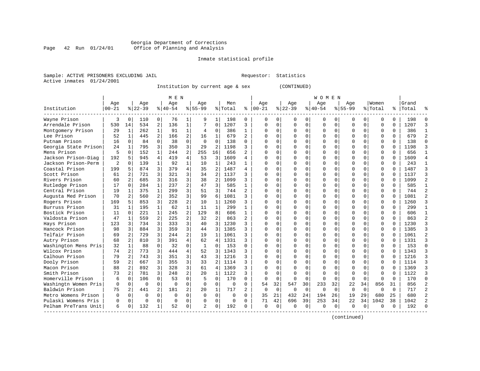#### Georgia Department of Corrections Page 42 Run 01/24/01 Office of Planning and Analysis

# Inmate statistical profile

|  | Sample: ACTIVE PRISONERS EXCLUDING JAIL |  |
|--|-----------------------------------------|--|
|  | Active inmates 01/24/2001               |  |

L Bample: Activity Requestor: Statistics

Institution by current age & sex (CONTINUED)

|                      |           |                |           |                | M E N     |                |                |                |          |                |            |          |          |             | W O M E N |          |              |          |          |          |           |            |
|----------------------|-----------|----------------|-----------|----------------|-----------|----------------|----------------|----------------|----------|----------------|------------|----------|----------|-------------|-----------|----------|--------------|----------|----------|----------|-----------|------------|
|                      | Age       |                | Age       |                | Age       |                | Aqe            |                | Men      |                | Age        |          | Age      |             | Age       |          | Aqe          |          | Women    |          | Grand     |            |
| Institution          | $00 - 21$ |                | $8 22-39$ |                | $8 40-54$ |                | $8155 - 99$    |                | % Total  | ႜ              | $ 00 - 21$ |          | $ 22-39$ |             | $8 40-54$ |          | $8155 - 99$  |          | % Total  |          | %   Total |            |
| Wayne Prison         | 3         | $\Omega$       | 110       | $\Omega$       | 76        | 1              | 9              | 1              | 198      | 0              | $\Omega$   | 0        | $\Omega$ | $\Omega$    | 0         | U        | <sup>0</sup> | $\Omega$ | O        | 0        | 198       |            |
| Arrendale Prison     | 530       | 14             | 534       | 2              | 136       | $\mathbf{1}$   | 7              | $\Omega$       | 1207     | 3              | $\Omega$   | 0        | $\Omega$ | $\Omega$    | 0         | $\Omega$ | $\Omega$     | $\Omega$ | U        | $\Omega$ | 1207      |            |
| Montgomery Prison    | 29        | 1              | 262       | $\mathbf{1}$   | 91        | $\mathbf{1}$   | 4              | $\Omega$       | 386      | $\mathbf{1}$   | $\Omega$   | 0        | $\Omega$ | $\Omega$    | $\Omega$  | $\Omega$ | $\Omega$     | $\Omega$ | $\Omega$ | $\Omega$ | 386       |            |
| Lee Prison           | 52        | $\mathbf{1}$   | 445       | 2              | 166       | 2              | 16             | 1              | 679      | 2              | O          | 0        | $\Omega$ | $\Omega$    | O         | $\Omega$ | <sup>0</sup> | $\Omega$ | $\Omega$ | $\Omega$ | 679       |            |
| Putnam Prison        | 16        | $\Omega$       | 84        | $\Omega$       | 38        | 0              | $\mathbf 0$    | $\Omega$       | 138      | $\Omega$       | O          | 0        |          | $\mathbf 0$ | U         | $\Omega$ |              | $\Omega$ | $\Omega$ | $\Omega$ | 138       |            |
| Georgia State Prison | 24        | 1              | 795       | 3              | 350       | 3              | 29             | $\overline{c}$ | 1198     | 3              | $\cap$     | 0        |          | $\Omega$    | ი         | $\Omega$ | $\Omega$     | $\Omega$ | $\Omega$ | $\Omega$ | 1198      |            |
| Mens Prison          | 5         | $\Omega$       | 152       | $\mathbf{1}$   | 244       | 2              | 255            | 16             | 656      | $\mathfrak{D}$ | $\Omega$   | 0        | ∩        | $\Omega$    | O         | $\Omega$ | $\cap$       | 0        | O        | $\Omega$ | 656       |            |
| Jackson Prison-Diag  | 192       | 5              | 945       | $\overline{4}$ | 419       | 4              | 53             | 3              | 1609     | 4              | $\cap$     | 0        | ∩        | $\Omega$    | U         | $\Omega$ | ∩            | 0        | O        | 0        | 1609      |            |
| Jackson Prison-Perm  | 2         | $\Omega$       | 139       | $\mathbf{1}$   | 92        | $\mathbf{1}$   | 10             | 1              | 243      |                | U          | 0        | $\Omega$ | $\Omega$    | 0         | $\Omega$ | <sup>0</sup> | 0        | O        | $\Omega$ | 243       |            |
| Coastal Prison       | 199       | 5              | 874       | 3              | 379       | 4              | 35             | 2              | 1487     | 4              | C          | U        | $\Omega$ | $\Omega$    | 0         | C        | <sup>0</sup> | 0        | 0        | O        | 1487      |            |
| Scott Prison         | 61        |                | 721       | 3              | 321       | 3              | 34             | $\overline{2}$ | 1137     | 3              | U          | U        | $\Omega$ | $\Omega$    | U         | C        | ∩            | 0        | $\Omega$ | $\Omega$ | 1137      |            |
| Rivers Prison        | 60        | 2              | 685       | 3              | 316       | 3              | 38             | $\mathfrak{D}$ | 1099     | 3              | U          | 0        | $\Omega$ | $\Omega$    | 0         | $\Omega$ | <sup>0</sup> | 0        | O        | $\Omega$ | 1099      |            |
| Rutledge Prison      | 17        | $\Omega$       | 284       | 1              | 237       | 2              | 47             | 3              | 585      | 1              | O          | 0        | $\Omega$ | $\Omega$    | 0         | $\Omega$ | <sup>0</sup> | $\Omega$ | $\Omega$ | $\Omega$ | 585       |            |
| Central Prison       | 19        | 1              | 375       | $\mathbf{1}$   | 299       | 3              | 51             | 3              | 744      | 2              | O          | 0        |          | $\Omega$    | U         | $\Omega$ |              | $\Omega$ | $\Omega$ | $\Omega$ | 744       |            |
| Augusta Med Prison   | 70        | 2              | 560       | $\overline{a}$ | 352       | 3              | 99             | 6              | 1081     | 3              | $\Omega$   | 0        | $\Omega$ | $\Omega$    | U         | $\Omega$ | $\Omega$     | $\Omega$ | $\Omega$ | $\Omega$ | 1081      |            |
| Rogers Prison        | 169       | 5              | 853       | 3              | 228       | 2              | 10             | 1              | 1260     | 3              | $\cap$     | 0        | $\Omega$ | $\Omega$    | U         | $\Omega$ | $\cap$       | $\Omega$ | $\Omega$ | $\Omega$ | 1260      |            |
| Burruss Prison       | 31        | $\mathbf{1}$   | 195       | $\mathbf{1}$   | 62        | $\mathbf{1}$   | 11             | $\mathbf{1}$   | 299      | 1              | $\cap$     | 0        | $\Omega$ | $\Omega$    | O         | $\Omega$ | ∩            | $\Omega$ | U        | $\Omega$ | 299       |            |
| Bostick Prison       | 11        | $\Omega$       | 221       | 1              | 245       | $\overline{2}$ | 129            | 8              | 606      | 1              | U          | 0        | $\Omega$ | $\Omega$    | 0         | $\Omega$ |              | $\Omega$ | O        | O        | 606       |            |
| Valdosta Prison      | 47        | 1              | 559       | $\overline{a}$ | 225       | $\overline{a}$ | 32             | $\overline{2}$ | 863      | 2              | $\Omega$   | U        | $\Omega$ | $\Omega$    | U         | $\Omega$ | ∩            | $\Omega$ | $\Omega$ | O        | 863       |            |
| Hays Prison          | 123       | 3              | 734       | 3              | 333       | 3              | 40             | 3              | 1230     |                | ∩          | 0        | ∩        | $\Omega$    | U         | ∩        | ∩            | 0        | $\Omega$ | $\Omega$ | 1230      |            |
| Hancock Prison       | 98        | 3              | 884       | 3              | 359       | 3              | 44             | 3              | 1385     | 3              | U          | 0        | ∩        | $\Omega$    | O         | $\Omega$ | ∩            | 0        | $\Omega$ | 0        | 1385      |            |
| Telfair Prison       | 69        | 2              | 729       | 3              | 244       | $\overline{a}$ | 19             | $\mathbf{1}$   | 1061     | 3              | O          | 0        | $\Omega$ | $\Omega$    | U         | $\Omega$ | <sup>0</sup> | $\Omega$ | $\Omega$ | $\Omega$ | 1061      |            |
| Autry Prison         | 68        | 2              | 810       | 3              | 391       | 4              | 62             | 4              | 1331     | 3              | O          | $\Omega$ | $\Omega$ | $\Omega$    | U         | $\Omega$ |              | $\Omega$ | $\Omega$ | $\Omega$ | 1331      |            |
| Washington Mens Pris | 32        | 1              | 88        | $\Omega$       | 32        | 0              | 1              | $\Omega$       | 153      | $\Omega$       | $\Omega$   | O        |          | $\Omega$    | Ω         | $\Omega$ |              | $\Omega$ | $\Omega$ | $\Omega$ | 153       | $\sqrt{ }$ |
| Wilcox Prison        | 74        | 2              | 773       | 3              | 444       | 4              | 52             | 3              | 1343     | 3              | $\cap$     | 0        | $\Omega$ | $\Omega$    | U         | $\Omega$ | $\cap$       | $\Omega$ | $\Omega$ | $\Omega$ | 1343      |            |
| Calhoun Prison       | 79        | 2              | 743       | 3              | 351       | 3              | 43             | 3              | 1216     | 3              | $\Omega$   | 0        | ∩        | $\Omega$    | U         | $\Omega$ | ∩            | $\Omega$ | $\Omega$ | $\Omega$ | 1216      |            |
| Dooly Prison         | 59        | 2              | 667       | 3              | 355       | 3              | 33             | $\overline{2}$ | 1114     | 3              | U          | 0        | $\Omega$ | $\Omega$    | 0         | $\Omega$ |              | 0        | O        | $\Omega$ | 1114      |            |
| Macon Prison         | 88        | $\mathfrak{D}$ | 892       | 3              | 328       | 3              | 61             | 4              | 1369     | 3              | n          | 0        |          | $\Omega$    | O         | U        |              |          | O        | U        | 1369      |            |
| Smith Prison         | 73        | $\mathfrak{D}$ | 781       | 3              | 248       | 2              | $20 \sigma$    | 1              | 1122     | 3              | C          | U        | $\Omega$ | $\Omega$    | U         | C        | $\cap$       | U        | $\cap$   | U        | 1122      |            |
| Homerville Prison    | 6         | $\Omega$       | 106       | $\Omega$       | 53        | 0              | 5              | $\Omega$       | 170      | 0              | $\Omega$   | $\Omega$ | $\Omega$ | $\Omega$    | U         | $\Omega$ | $\cap$       | $\Omega$ | U        | $\Omega$ | 170       | ∩          |
| Washingtn Women Pris | $\Omega$  | $\Omega$       | $\Omega$  | $\Omega$       | $\Omega$  | 0              | $\Omega$       | $\Omega$       | $\Omega$ | $\Omega$       | 54         | 32       | 547      | 30          | 233       | 32       | 22           | 34       | 856      | 31       | 856       |            |
| Baldwin Prison       | 75        | 2              | 441       | 2              | 181       | 2              | 20             | 1              | 717      | $\mathfrak{D}$ | $\Omega$   | $\Omega$ | $\Omega$ | $\Omega$    | $\Omega$  | $\Omega$ | $\Omega$     | $\Omega$ | $\Omega$ | $\Omega$ | 717       |            |
| Metro Womens Prison  | $\Omega$  | $\mathbf 0$    | $\Omega$  | $\Omega$       | $\Omega$  | 0              | $\Omega$       | $\Omega$       | $\Omega$ | $\Omega$       | 35         | 21       | 432      | 24          | 194       | 26       | 19           | 29       | 680      | 25       | 680       |            |
| Pulaski Womens Pris  | O         | 0              | $\Omega$  | $\Omega$       | $\Omega$  | 0              |                | $\mathbf 0$    | $\Omega$ | $\Omega$       | 71         | 42       | 696      | 39          | 253       | 34       | 22           | 34       | 1042     | 38       | 1042      |            |
| Pelham PreTrans Unit | 6         | 0              | 132       | 1              | 52        | 0              | $\mathfrak{D}$ | $\Omega$       | 192      | 0              | $\Omega$   | 0        | $\Omega$ | 0           | $\Omega$  | $\Omega$ | $\Omega$     | 0        | $\Omega$ | 0        | 192       |            |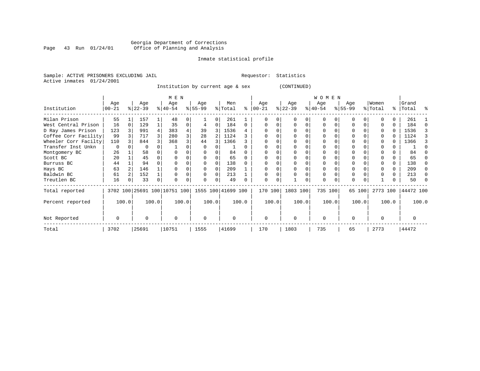# Georgia Department of Corrections Page 43 Run 01/24/01 Office of Planning and Analysis

# Inmate statistical profile

Sample: ACTIVE PRISONERS EXCLUDING JAIL **Requestor:** Statistics Active inmates 01/24/2001

Institution by current age & sex (CONTINUED)

|                      |          |   |           |          | M E N                                           |          |              |   |          |       |          |       |           |          | W O M E N |          |          |        |          |       |           |       |
|----------------------|----------|---|-----------|----------|-------------------------------------------------|----------|--------------|---|----------|-------|----------|-------|-----------|----------|-----------|----------|----------|--------|----------|-------|-----------|-------|
|                      | Age      |   | Age       |          | Age                                             |          | Age          |   | Men      |       | Age      |       | Age       |          | Age       |          | Age      |        | Women    |       | Grand     |       |
| Institution          | $ 00-21$ |   | $ 22-39 $ |          | $8 40-54$                                       |          | $ 55-99$     |   | % Total  | ႜ     | $ 00-21$ |       | $ 22-39 $ |          | $ 40-54 $ |          | $ 55-99$ |        | % Total  |       | %   Total | ႜ     |
| Milan Prison         | 55       |   | 157       |          | 48                                              |          |              | 0 | 261      |       |          |       |           |          | $\Omega$  |          | 0        |        |          | 0     | 261       |       |
| West Central Prison  | 16       | 0 | 129       |          | 35                                              | $\Omega$ |              | 0 | 184      | 0     |          |       |           | $\Omega$ | $\Omega$  | $\Omega$ | $\Omega$ |        |          | 0     | 184       |       |
| D Ray James Prison   | 123      |   | 991       | 4        | 383                                             |          | 39           | 3 | 1536     |       |          |       |           |          | 0         |          | $\Omega$ |        |          | 0     | 1536      |       |
| Coffee Corr Facility | 99       |   | 717       | 3        | 280                                             |          | 28           | 2 | 1124     |       |          |       |           |          | $\Omega$  |          |          |        |          | U     | 1124      |       |
| Wheeler Corr Facilty | 110      |   | 844       |          | 368                                             |          | 44           |   | 1366     |       |          |       |           |          | $\Omega$  |          |          |        |          | U     | 1366      |       |
| Transfer Inst Unkn   | $\Omega$ |   | 0         |          |                                                 |          | 0            |   |          |       |          |       |           |          |           |          |          |        |          |       |           |       |
| Montgomery BC        | 26       |   | 58        |          |                                                 |          |              |   | 84       |       |          |       |           |          |           |          | $\Omega$ |        |          |       | 84        |       |
| Scott BC             | 20       |   | 45        |          |                                                 |          |              |   | 65       |       |          |       |           |          |           |          |          |        |          |       | 65        |       |
| Burruss BC           | 44       |   | 94        |          |                                                 |          |              |   | 138      |       |          |       |           |          |           |          |          |        |          | 0     | 138       |       |
| Hays BC              | 63       |   | 146       |          |                                                 |          |              |   | 209      |       |          |       |           |          |           |          |          |        |          | 0     | 209       |       |
| Baldwin BC           | 61       |   | 152       |          |                                                 |          |              | 0 | 213      |       |          |       |           |          | 0         |          | $\Omega$ |        |          | 0     | 213       |       |
| Treutlen BC          | 16       | 0 | 33        | $\Omega$ |                                                 |          | <sup>0</sup> | 0 | 49       |       | ∩        | 0     |           | 0        | $\Omega$  | $\Omega$ | $\Omega$ |        |          |       | 50        |       |
| Total reported       |          |   |           |          | 3702 100 25691 100 10751 100 1555 100 41699 100 |          |              |   |          |       | 170 100  |       | 1803 100  |          | 735 100   |          |          | 65 100 | 2773 100 |       | 44472 100 |       |
| Percent reported     | 100.0    |   |           | 100.0    |                                                 | 100.0    | 100.0        |   |          | 100.0 |          | 100.0 |           | 100.0    |           | 100.0    |          | 100.0  |          | 100.0 |           | 100.0 |
| Not Reported         | 0        |   | U         |          | $\Omega$                                        |          | $\mathbf 0$  |   | $\Omega$ |       | $\Omega$ |       | $\Omega$  |          | $\Omega$  |          | $\Omega$ |        |          |       |           |       |
| Total                | 3702     |   | 25691     |          | 10751                                           |          | 1555         |   | 41699    |       | 170      |       | 1803      |          | 735       |          | 65       |        | 2773     |       | 44472     |       |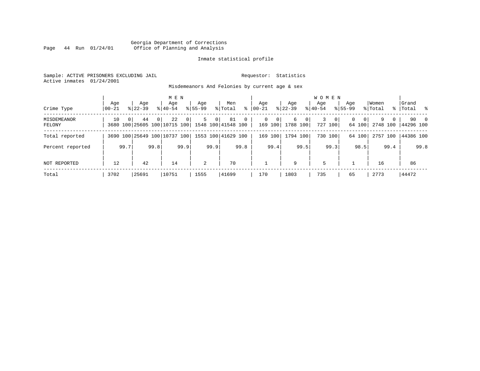# Georgia Department of Corrections Page 44 Run 01/24/01 Office of Planning and Analysis

# Inmate statistical profile

Sample: ACTIVE PRISONERS EXCLUDING JAIL **Requestor:** Statistics Active inmates 01/24/2001

Misdemeanors And Felonies by current age & sex

| Crime Type                   | Aqe<br>$ 00-21$ |                | Age<br>$8122 - 39$                                    |          | M E N<br>Aqe<br>$8140 - 54$ |                | Age<br>$8155 - 99$ |                | Men<br>% Total | ႜ              | Aqe<br>$ 00-21 $ |                           | Aqe<br>$8 22-39$ |              | <b>WOMEN</b><br>Aqe<br>$8 40-54$ |                           | Age<br>$8155 - 99$ |                    | Women<br>% Total |          | Grand<br>%   Total % |      |
|------------------------------|-----------------|----------------|-------------------------------------------------------|----------|-----------------------------|----------------|--------------------|----------------|----------------|----------------|------------------|---------------------------|------------------|--------------|----------------------------------|---------------------------|--------------------|--------------------|------------------|----------|----------------------|------|
| <b>MISDEMEANOR</b><br>FELONY | 10              | $\overline{0}$ | 44<br>3680 100 25605 100 10715 100 1548 100 41548 100 | $\Omega$ | 22                          | 0 <sup>1</sup> | 5                  | 0 <sup>1</sup> | 81             | $\overline{0}$ | 0                | $\overline{0}$<br>169 100 | 6<br>1788 100    | $\mathbf{0}$ | 3                                | $\overline{0}$<br>727 100 | 0                  | $\Omega$<br>64 100 | 9<br>2748 100    | $\Omega$ | 44296 100            | 90 0 |
| Total reported               |                 |                | 3690 100 25649 100 10737 100 1553 100 41629 100       |          |                             |                |                    |                |                |                | 169              | 1001                      | 1794 100         |              |                                  | 730 100                   |                    | 64 100             | 2757 100         |          | 44386 100            |      |
| Percent reported             |                 | 99.7           |                                                       | 99.8     |                             | 99.9           |                    | 99.9           |                | 99.8           |                  | 99.4                      |                  | 99.5         |                                  | 99.3                      |                    | 98.5               |                  | 99.4     |                      | 99.8 |
| NOT REPORTED                 | 12              |                | 42                                                    |          | 14                          |                | 2                  |                | 70             |                |                  |                           | 9                |              | 5                                |                           |                    |                    | 16               |          | 86                   |      |
| Total                        | 3702            |                | 25691                                                 |          | 10751                       |                | 1555               |                | 41699          |                | 170              |                           | 1803             |              | 735                              |                           | 65                 |                    | 2773             |          | 44472                |      |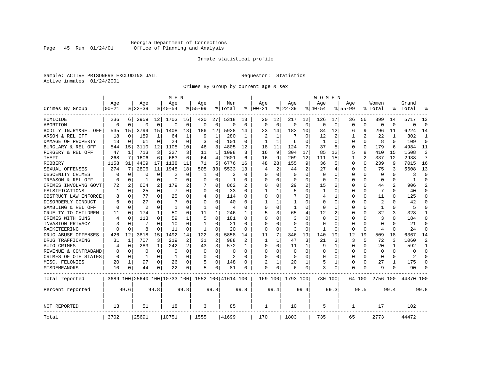# Georgia Department of Corrections Page 45 Run 01/24/01 Office of Planning and Analysis

# Inmate statistical profile

Sample: ACTIVE PRISONERS EXCLUDING JAIL **Requestor:** Statistics Active inmates 01/24/2001

Crimes By Group by current age & sex

|                      |           |             |                |              | M E N                        |             |             |              |                    |             |                |              |              |                | W O M E N   |             |             |                |              |          |           |                |
|----------------------|-----------|-------------|----------------|--------------|------------------------------|-------------|-------------|--------------|--------------------|-------------|----------------|--------------|--------------|----------------|-------------|-------------|-------------|----------------|--------------|----------|-----------|----------------|
|                      | Age       |             | Age            |              | Age                          |             | Age         |              | Men                |             | Age            |              | Age          |                | Age         |             | Aqe         |                | Women        |          | Grand     |                |
| Crimes By Group      | $00 - 21$ |             | $ 22-39$       |              | $8140 - 54$                  |             | $8155 - 99$ |              | % Total            | နွ          | $ 00 - 21$     |              | $8$   22-39  |                | $8140 - 54$ |             | $8155 - 99$ |                | % Total      | ి        | Total     |                |
| HOMICIDE             | 236       | 6           | 2959           | 12           | 1703                         | 16          | 420         | 27           | 5318               | 13          | 20             | 12           | 217          | 12             | 126         | 17          | 36          | 56             | 399          | 14       | 5717      | 13             |
| ABORTION             | $\Omega$  | $\mathbf 0$ | $\Omega$       | $\mathbf 0$  | $\Omega$                     | $\mathbf 0$ | $\Omega$    | $\mathbf 0$  | $\Omega$           | $\mathbf 0$ | $\Omega$       | $\mathbf 0$  | $\Omega$     | $\mathbf 0$    | $\Omega$    | $\mathbf 0$ | $\Omega$    | $\mathbf 0$    | $\Omega$     | $\Omega$ | O         | $\Omega$       |
| BODILY INJRY&REL OFF | 535       | 15          | 3799           | 15           | 1408                         | 13          | 186         | 12           | 5928               | 14          | 23             | 14           | 183          | 10             | 84          | 12          | 6           | 9              | 296          | 11       | 6224      | 14             |
| ARSON & REL OFF      | 18        | 0           | 189            | $\mathbf{1}$ | 64                           | 1           | 9           | $\mathbf{1}$ | 280                | 1           | $\overline{c}$ | 1            | 7            | O              | 12          | 2           | 1           | $\overline{c}$ | 22           | 1        | 302       | 1              |
| DAMAGE OF PROPERTY   | 13        | $\Omega$    | 61             | $\Omega$     | 24                           | $\Omega$    | 3           | $\Omega$     | 101                | $\Omega$    | -1             | $\mathbf{1}$ | 6            | O              | 1           | $\Omega$    | O           | $\Omega$       | 8            | $\Omega$ | 109       | $\Omega$       |
| BURGLARY & REL OFF   | 544       | 15          | 3110           | 12           | 1105                         | 10          | 46          | 3            | 4805               | 12          | 18             | 11           | 124          | 7              | 37          | .5          | 0           | $\Omega$       | 179          | 6        | 4984      | 11             |
| FORGERY & REL OFF    | 47        | 1           | 713            | 3            | 327                          | 3           | 11          | 1            | 1098               | 3           | 16             | 9            | 304          | 17             | 85          | 12          | 5           | 8              | 410          | 15       | 1508      | 3              |
| THEFT                | 268       | 7           | 1606           | 6            | 663                          | 6           | 64          | 4            | 2601               | 6           | 16             | 9            | 209          | 12             | 111         | 15          | 1           | $\overline{a}$ | 337          | 12       | 2938      | 7              |
| <b>ROBBERY</b>       | 1158      | 31          | 4409           | 17           | 1138                         | 11          | 71          | 5            | 6776               | 16          | 48             | 28           | 155          | 9              | 36          | 5           | $\Omega$    | $\Omega$       | 239          | 9        | 7015      | 16             |
| SEXUAL OFFENSES      | 274       |             | 2806           | 11           | 1948                         | 18          | 505         | 33           | 5533               | 13          | 4              | 2            | 44           | $\overline{2}$ | 27          | 4           | 0           | 0              | 75           | 3        | 5608      | 13             |
| OBSCENITY CRIMES     | $\Omega$  | $\Omega$    | $\Omega$       | $\Omega$     | 2                            | $\Omega$    | 1           | $\Omega$     | 3                  | $\Omega$    | <sup>0</sup>   | $\Omega$     | $\Omega$     | O              | $\Omega$    | $\Omega$    | $\Omega$    | O              | $\Omega$     | $\Omega$ | 3         | $\Omega$       |
| TREASON & REL OFF    | $\Omega$  | 0           | 1              | $\Omega$     | $\Omega$                     | O           | O           | 0            | 1                  | O           | <sup>0</sup>   | $\Omega$     | $\Omega$     | $\Omega$       | $\Omega$    | $\Omega$    | $\Omega$    | $\Omega$       | $\Omega$     | 0        | -1        | $\Omega$       |
| CRIMES INVOLVNG GOVT | 72        | 2           | 604            | 2            | 179                          | 2           |             | $\mathbf 0$  | 862                |             | 0              | 0            | 29           | 2              | 15          | 2           | 0           | $\Omega$       | 44           | 2        | 906       | $\mathfrak{D}$ |
| FALSIFICATIONS       | 1         | $\mathbf 0$ | 25             | $\Omega$     | 7                            | 0           | O           | 0            | 33                 | O           |                | 1            | 5            | O              | 1           | 0           | 0           | O              | 7            | 0        | 40        | $\Omega$       |
| OBSTRUCT LAW ENFORCE | 8         | 0           | 77             | 0            | 25                           | O           | 4           | 0            | 114                | 0           | <sup>0</sup>   | 0            |              | U              | 4           | 1           | 0           | 0              | 11           | O        | 125       | $\Omega$       |
| DISORDERLY CONDUCT   | 6         | 0           | 27             | U            |                              | 0           | 0           | 0            | 40                 | O           |                |              | -1           | O              | O           | 0           | 0           | O              | 2            | N        | 42        |                |
| GAMBLING & REL OFF   | $\Omega$  | $\Omega$    | $\overline{c}$ | U            | $\mathbf{1}$                 | O           | 1           | $\Omega$     | $\overline{4}$     | n           | $\cap$         | O            | $\mathbf{1}$ | O              | $\Omega$    | $\Omega$    | $\Omega$    | O              | $\mathbf{1}$ | $\Omega$ | 5         |                |
| CRUELTY TO CHILDREN  | 11        | $\Omega$    | 174            | $\mathbf{1}$ | 50                           | $\Omega$    | 11          | 1            | 246                | 1           | 5              | 3            | 65           | 4              | 12          | 2           | $\Omega$    | $\Omega$       | 82           | 3        | 328       | -1             |
| CRIMES WITH GUNS     | 4         | $\mathbf 0$ | 113            | $\Omega$     | 59                           | 1           | 5           | $\Omega$     | 181                | O           | $\Omega$       | $\Omega$     | 3            | O              | $\Omega$    | $\mathbf 0$ | $\Omega$    | $\Omega$       | 3            | $\Omega$ | 184       | $\Omega$       |
| INVASION PRIVACY     | 3         | 0           | 7              | $\Omega$     | 10                           | $\Omega$    | 1           | 0            | 21                 | $\Omega$    | $\Omega$       | $\Omega$     | $\Omega$     | U              | $\Omega$    | 0           | $\Omega$    | $\Omega$       | $\Omega$     | O        | 21        | $\Omega$       |
| RACKETEERING         | $\Omega$  | 0           | 8              | 0            | 11                           | $\Omega$    | 1           | 0            | 20                 | 0           | $\Omega$       | $\Omega$     | 3            | O              |             | 0           | O           | $\Omega$       | 4            | O        | 24        | $\Omega$       |
| DRUG ABUSE OFFENSES  | 426       | 12          | 3818           | 15           | 1492                         | 14          | 122         | 8            | 5858               | 14          | 11             | 7            | 346          | 19             | 140         | 19          | 12          | 19             | 509          | 18       | 6367      | 14             |
| DRUG TRAFFICKING     | 31        | 1           | 707            | 3            | 219                          | 2           | 31          | 2            | 988                | 2           | 1              | $\mathbf{1}$ | 47           | 3              | 21          | 3           | 3           | 5              | 72           | 3        | 1060      | 2              |
| <b>AUTO CRIMES</b>   | 4         | $\mathbf 0$ | 283            | 1            | 242                          | 2           | 43          | 3            | 572                | 1           | $\Omega$       | $\Omega$     | 11           | 1              | q           | 1           | $\Omega$    | $\Omega$       | 20           | 1        | 592       | $\mathbf{1}$   |
| REVENUE & CONTRABAND | 0         | $\mathbf 0$ | 0              | $\mathbf 0$  | $\mathbf 0$                  | $\mathbf 0$ | 0           | $\mathbf 0$  | 0                  | $\Omega$    | $\Omega$       | $\Omega$     | $\mathbf 0$  | $\mathbf 0$    | $\Omega$    | $\mathbf 0$ | $\Omega$    | 0              | $\mathbf 0$  | $\Omega$ | $\Omega$  | $\Omega$       |
| CRIMES OF OTH STATES | $\Omega$  | 0           | 1              | $\Omega$     | 1                            | $\Omega$    | O           | $\Omega$     | 2                  | $\Omega$    | $\Omega$       | $\Omega$     | $\Omega$     | $\Omega$       | $\Omega$    | $\Omega$    | 0           | $\Omega$       | $\Omega$     | $\Omega$ | 2         | $\Omega$       |
| MISC. FELONIES       | 20        | 1           | 97             | 0            | 26                           | 0           | 5           | $\mathbf 0$  | 148                | 0           | 2              |              | 20           | 1              | 5           | 1           | $\Omega$    | $\Omega$       | 27           |          | 175       | $\Omega$       |
| MISDEMEANORS         | 10        | 0           | 44             | 0            | 22                           | 0           | 5           | 0            | 81                 | 0           | $\Omega$       | 0            | 6            | 0              | 3           | 0           | 0           | 0              | q            | N        | 90        |                |
| Total reported       |           |             |                |              | 3689 100 25640 100 10733 100 |             |             |              | 1552 100 41614 100 |             | 169 100        |              | 1793 100     |                | 730 100     |             |             | 64 100         | 2756 100     |          | 44370 100 |                |
| Percent reported     |           | 99.6        |                | 99.8         |                              | 99.8        |             | 99.8         |                    | 99.8        |                | 99.4         |              | 99.4           |             | 99.3        |             | 98.5           |              | 99.4     |           | 99.8           |
| NOT REPORTED         | 13        |             | 51             |              | 18                           |             | 3           |              | 85                 |             | 1              |              | 10           |                | 5           |             | 1           |                | 17           |          | 102       |                |
| Total                | 3702      |             | 25691          |              | 10751                        |             | 1555        |              | 41699              |             | 170            |              | 1803         |                | 735         |             | 65          |                | 2773         |          | 44472     |                |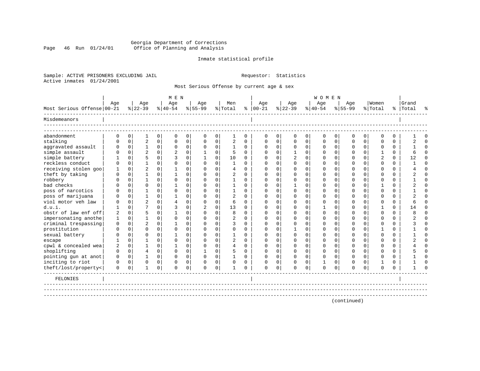# Georgia Department of Corrections Page 46 Run 01/24/01 Office of Planning and Analysis

# Inmate statistical profile

Sample: ACTIVE PRISONERS EXCLUDING JAIL **Requestor:** Statistics Active inmates 01/24/2001

Most Serious Offense by current age & sex

|                            |                |             |                |             | MEN            |             |                |             |                |             |               |                |                |                | <b>WOMEN</b> |             |             |                |              |          |           |          |
|----------------------------|----------------|-------------|----------------|-------------|----------------|-------------|----------------|-------------|----------------|-------------|---------------|----------------|----------------|----------------|--------------|-------------|-------------|----------------|--------------|----------|-----------|----------|
|                            | Age            |             | Age            |             | Age            |             | Age            |             | Men            |             | Age           |                | Age            |                | Age          |             | Age         |                | Women        |          | Grand     |          |
| Most Serious Offense 00-21 |                |             | $8 22-39$      |             | $8 40-54$      |             | $8155 - 99$    |             | % Total        |             | $8   00 - 21$ |                | $8 22-39$      |                | $ 40-54$     |             | $8 55-99$   |                | % Total      |          | %   Total | ዱ        |
| Misdemeanors               |                |             |                |             |                |             |                |             |                |             |               |                |                |                |              |             |             |                |              |          |           |          |
| abandonment                | $\Omega$       | $\mathbf 0$ | $\mathbf{1}$   | 0           | $\mathbf 0$    | 0           | $\mathbf 0$    | 0           | $\mathbf{1}$   | $\mathbf 0$ | $\Omega$      | $\overline{0}$ | $\mathbf 0$    | 0 <sup>1</sup> | $\mathbf 0$  | 0           | $\Omega$    | 0              | $\Omega$     | $\Omega$ |           | $\Omega$ |
| stalking                   | $\cap$         | $\Omega$    | $\overline{2}$ | $\mathbf 0$ | $\Omega$       | $\mathbf 0$ | $\Omega$       | $\mathbf 0$ | $\overline{a}$ | $\Omega$    | $\cap$        | $\Omega$       | $\Omega$       | $\Omega$       | $\cap$       | $\Omega$    | $\Omega$    | 0 <sup>1</sup> | $\Omega$     | $\Omega$ |           | $\Omega$ |
| aggravated assault         | $\Omega$       | $\mathbf 0$ | 1              | 0           | $\mathbf 0$    | $\mathbf 0$ | $\mathbf 0$    | $\mathbf 0$ | $\mathbf{1}$   | $\Omega$    | $\Omega$      | $\overline{0}$ | 0              | 0              | $\Omega$     | 0           | $\Omega$    | $\overline{0}$ | $\Omega$     | 0        |           | $\Omega$ |
| simple assault             | $\cap$         | $\Omega$    | $\overline{c}$ | $\Omega$    | 2              | 0           |                | $\Omega$    | 5              | $\Omega$    | $\Omega$      | $\Omega$       | -1             | $\Omega$       | ∩            | $\Omega$    | U           | $\Omega$       |              | $\Omega$ |           | $\Omega$ |
| simple battery             |                | $\Omega$    | 5              | 0           | 3              | $\mathbf 0$ | $\mathbf{1}$   | $\mathbf 0$ | 10             | $\Omega$    | ∩             | $\Omega$       | $\overline{2}$ | $\Omega$       | ∩            | $\Omega$    | U           | $\Omega$       |              | 0        | 12        | $\Omega$ |
| reckless conduct           | U              | $\Omega$    |                | $\Omega$    | $\cap$         | 0           | $\Omega$       | $\mathbf 0$ | 1              | $\Omega$    | U             | <sup>n</sup>   | <sup>0</sup>   | $\Omega$       |              | $\Omega$    | U           | $\Omega$       | ∩            | 0        |           | $\Omega$ |
| receiving stolen goo       |                | $\Omega$    | $\overline{c}$ | $\Omega$    |                | $\Omega$    | $\Omega$       | $\Omega$    | $\overline{4}$ | $\Omega$    | $\cap$        | $\cap$         | $\Omega$       | 0              |              | $\Omega$    | U           | $\Omega$       | $\cap$       | $\Omega$ |           | $\Omega$ |
| theft by taking            | n              | $\Omega$    |                | $\Omega$    |                | $\Omega$    | O              | $\Omega$    | $\overline{a}$ | $\Omega$    | O             | U              | U              | O              |              | $\Omega$    |             | $\Omega$       |              | $\Omega$ |           | $\Omega$ |
| robbery                    |                | $\Omega$    |                | $\Omega$    | $\Omega$       | $\Omega$    | U              | $\Omega$    |                | $\Omega$    | ∩             | <sup>n</sup>   | U              | U              |              | $\Omega$    |             | $\Omega$       | $\cap$       | $\Omega$ |           | $\Omega$ |
| bad checks                 |                | $\Omega$    | $\cap$         | $\Omega$    |                | $\Omega$    | $\cap$         | $\Omega$    |                | $\Omega$    | $\Omega$      | $\cap$         | $\mathbf{1}$   | U              |              | $\Omega$    | U           | 0              |              | $\Omega$ |           | $\Omega$ |
| poss of narcotics          |                | $\Omega$    |                | $\Omega$    | $\Omega$       | $\Omega$    | $\Omega$       | $\Omega$    |                | $\Omega$    | $\Omega$      | $\cap$         | $\Omega$       | 0              | ∩            | $\Omega$    | U           | $\Omega$       | $\cap$       | $\Omega$ |           | $\Omega$ |
| poss of marijuana          | n              | $\Omega$    |                | $\Omega$    |                | $\Omega$    | O              | $\Omega$    | $\overline{a}$ | $\Omega$    | ∩             | <sup>n</sup>   | $\Omega$       | 0              | ∩            | $\Omega$    | U           | 0              | $\cap$       | $\Omega$ |           | $\Omega$ |
| viol motor yeh law         | n              | $\Omega$    | $\overline{c}$ | $\Omega$    | $\overline{4}$ | $\Omega$    | $\Omega$       | $\Omega$    | 6              | $\cap$      | ∩             | $\cap$         | $\cap$         | 0              | $\Omega$     | $\Omega$    | ∩           | 0              | $\cap$       | $\Omega$ |           | $\cap$   |
| d.u.i.                     |                | $\Omega$    |                | $\Omega$    | 3              | $\Omega$    | $\mathfrak{D}$ | $\Omega$    | 13             | $\Omega$    | U             | $\cap$         | $\cap$         | U              | -1           | $\Omega$    | ∩           | $\Omega$       | $\mathbf{1}$ | $\Omega$ | 14        | $\Omega$ |
| obstr of law enf off       | $\overline{a}$ | $\Omega$    |                | $\cap$      | $\mathbf{1}$   | $\Omega$    | $\cap$         | $\Omega$    | 8              | $\cap$      | ∩             | $\cap$         | ∩              | U              | ∩            | $\Omega$    |             | 0              | $\cap$       | $\cap$   |           | $\Omega$ |
| impersonating anothe       | 1              | $\Omega$    | 1              | $\Omega$    | $\Omega$       | $\Omega$    | U              | $\Omega$    | $\overline{a}$ | $\cap$      | U             | $\cap$         | ∩              | U              | ∩            | $\Omega$    |             | $\Omega$       | $\cap$       | 0        |           | $\cap$   |
| criminal trespassing       | $\Omega$       | $\Omega$    | $\overline{c}$ | $\Omega$    |                | $\Omega$    | O              | $\Omega$    | 3              | $\Omega$    | U             | $\cap$         | $\Omega$       | 0              |              | $\Omega$    |             | 0              | $\Omega$     | $\Omega$ |           | $\Omega$ |
| prostitution               | O              | $\Omega$    | $\Omega$       | $\Omega$    | $\Omega$       | $\Omega$    | O              | $\Omega$    | $\Omega$       | $\Omega$    | O             | $\Omega$       |                | $\Omega$       |              | $\Omega$    |             | $\Omega$       |              | $\Omega$ |           | $\Omega$ |
| sexual battery             | O              | $\Omega$    | $\Omega$       | $\Omega$    | 1              | $\Omega$    |                | $\Omega$    | 1              | $\Omega$    | U             | $\cap$         | $\cap$         | 0              |              | $\Omega$    |             | $\Omega$       | $\cap$       | $\Omega$ |           | $\cap$   |
| escape                     |                | $\Omega$    |                | $\Omega$    | $\Omega$       | $\Omega$    | U              | $\Omega$    | $\overline{2}$ | $\Omega$    | O             | $\cap$         | $\Omega$       | $\Omega$       |              | $\Omega$    |             | $\Omega$       | $\Omega$     | $\Omega$ |           | $\Omega$ |
| cpwl & concealed wea       | 2              | $\mathbf 0$ |                | $\Omega$    | 1              | $\Omega$    | O              | $\Omega$    | $\overline{4}$ | $\Omega$    | O             | $\Omega$       | $\Omega$       | $\Omega$       | O            | $\Omega$    |             | $\Omega$       | $\Omega$     | $\Omega$ |           | $\Omega$ |
| shoplifting                | $\mathbf 0$    | $\mathbf 0$ | $\overline{4}$ | $\Omega$    | $\Omega$       | $\mathbf 0$ |                | $\mathbf 0$ | 5              | $\Omega$    | O             | $\Omega$       | $\mathbf 0$    | $\Omega$       | O            | $\mathbf 0$ | U           | $\Omega$       | $\Omega$     | $\Omega$ |           | $\Omega$ |
| pointing gun at anot       | $\Omega$       | $\mathbf 0$ |                | $\Omega$    | $\Omega$       | $\mathbf 0$ | $\Omega$       | $\mathbf 0$ |                | $\Omega$    | $\Omega$      | $\Omega$       | 0              | $\Omega$       | $\Omega$     | $\Omega$    | 0           | $\Omega$       | $\Omega$     | $\Omega$ |           | $\Omega$ |
| inciting to riot           | $\Omega$       | $\mathbf 0$ | $\Omega$       | $\Omega$    | $\Omega$       | 0           |                | $\mathbf 0$ | $\Omega$       | $\Omega$    |               | $\Omega$       | $\Omega$       | 0              |              | $\Omega$    | U           | $\Omega$       |              | $\Omega$ |           | $\Omega$ |
| theft/lost/property<       | 0              | $\mathbf 0$ | 1              | 0           | $\mathbf 0$    | 0           | $\Omega$       | $\mathbf 0$ |                | $\Omega$    | $\Omega$      | $\mathbf 0$    | $\Omega$       | 0              | $\mathbf 0$  | 0           | U           | 0              | $\Omega$     | O        |           | $\cap$   |
| FELONIES                   |                |             |                |             |                |             |                |             |                |             |               |                |                |                |              |             |             |                |              |          |           |          |
|                            |                |             |                |             |                |             |                |             |                |             |               |                |                |                |              |             | (continued) |                |              |          |           |          |
|                            |                |             |                |             |                |             |                |             |                |             |               |                |                |                |              |             |             |                |              |          |           |          |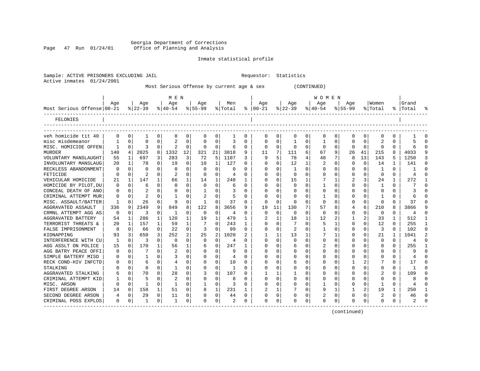Georgia Department of Corrections Page 47 Run 01/24/01 Office of Planning and Analysis

# Inmate statistical profile

| 01/24/2001<br>Active inmates |             |              |                  |          |                  |              |                |              | Most Serious Offense by current age & sex |          |                      |              |                  | (CONTINUED) |                  |             |                |             |                         |          |                    |  |
|------------------------------|-------------|--------------|------------------|----------|------------------|--------------|----------------|--------------|-------------------------------------------|----------|----------------------|--------------|------------------|-------------|------------------|-------------|----------------|-------------|-------------------------|----------|--------------------|--|
|                              |             |              |                  |          | M E N            |              |                |              |                                           |          |                      |              |                  |             | W O M E N        |             |                |             |                         |          |                    |  |
| Most Serious Offense   00-21 | Age         |              | Age<br>$ 22-39 $ |          | Age<br>$8 40-54$ |              | Age<br>% 55-99 |              | Men<br>% Total                            |          | Age<br>$8   00 - 21$ |              | Age<br>$ 22-39 $ |             | Age<br>$ 40-54 $ |             | Age<br>% 55-99 |             | Women<br>% Total        |          | Grand<br>%   Total |  |
| FELONIES                     |             |              |                  |          |                  |              |                |              |                                           |          |                      |              |                  |             |                  |             |                |             |                         |          |                    |  |
| veh homicide tit 40          | 0           | 0            | 1                | 0        | 0                | 0            | 0              | 0            | 1                                         | 0        | 0                    | 0            | 0                | 0           | 0                | 0           | 0              | 0           | 0                       | 0        |                    |  |
| misc misdemeanor             | 1           | 0            | 0                | 0        | 2                | 0            | $\Omega$       | 0            | 3                                         | 0        | 0                    | 0            | 1                | 0           | 1                | 0           | 0              | 0           | $\overline{\mathbf{c}}$ | 0        |                    |  |
| MISC. HOMICIDE OFFEN         | 1           | 0            | 3                | 0        | $\overline{2}$   | 0            | 0              | 0            | 6                                         | 0        | 0                    | 0            | $\Omega$         | 0           | 0                | 0           | 0              | 0           | $\Omega$                | 0        |                    |  |
| <b>MURDER</b>                | 140         | 4            | 2025             | 8        | 1332             | 12           | 321            | 21           | 3818                                      | 9        | 11                   | 7            | 111              | 6           | 67               | 9           | 26             | 41          | 215                     | 8        | 4033               |  |
| VOLUNTARY MANSLAUGHT         | 55          | 1            | 697              | 3        | 283              | 3            | 72             | 5            | 1107                                      | 3        | 9                    | 5            | 78               | 4           | 48               | 7           | 8              | 13          | 143                     | 5        | 1250               |  |
| INVOLUNTARY MANSLAUG         | 20          | 1            | 78               | $\Omega$ | 19               | 0            | 10             | 1            | 127                                       | 0        | 0                    | $\mathbf 0$  | 12               | 1           | 2                | $\mathbf 0$ | $\Omega$       | $\mathbf 0$ | 14                      | 1        | 141                |  |
| RECKLESS ABANDONMENT         | $\Omega$    | $\Omega$     | C                | $\Omega$ | $\Omega$         | $\Omega$     | $\Omega$       | $\Omega$     | $\Omega$                                  | $\Omega$ | 0                    | $\Omega$     | $\mathbf{1}$     | $\Omega$    | $\Omega$         | $\Omega$    | 0              | $\Omega$    | $\mathbf{1}$            | $\Omega$ | 1                  |  |
| FETICIDE                     | $\Omega$    | $\Omega$     | $\mathfrak{D}$   | $\Omega$ | 2                | $\Omega$     | $\Omega$       | $\Omega$     | 4                                         | 0        | O                    | $\Omega$     | $\Omega$         | $\Omega$    | $\Omega$         | $\Omega$    | U              | 0           | $\Omega$                | $\Omega$ | 4                  |  |
| VEHICULAR HOMICIDE           | 21          |              | 147              | 1        | 66               | $\mathbf 1$  | 14             |              | 248                                       | 1        | U                    | $\Omega$     | 15               |             |                  | 1           | 2              | 3           | 24                      | 1        | 272                |  |
| HOMICIDE BY PILOT, DU        | $\Omega$    | <sup>0</sup> | 6                | U        | $\Omega$         | $\Omega$     | $\Omega$       | O            | 6                                         | 0        | $\Omega$             | $\Omega$     | ∩                | 0           | $\mathbf{1}$     | $\Omega$    | U              | $\Omega$    |                         | 0        |                    |  |
| CONCEAL DEATH OF ANO         | 0           | $\Omega$     | $\overline{c}$   | 0        | $\Omega$         | 0            | 1              | 0            | 3                                         | 0        | 0                    | $\Omega$     | $\Omega$         | $\Omega$    | 0                | $\Omega$    | 0              | 0           | $\Omega$                | 0        | 3                  |  |
| CRIMINAL ATTEMPT MUR         | $\Omega$    | $\Omega$     | $\overline{2}$   | $\Omega$ |                  | $\Omega$     | $\overline{2}$ | $\Omega$     | 5                                         | 0        | 0                    | $\Omega$     | $\Omega$         | $\Omega$    | -1               | $\Omega$    | 0              | $\Omega$    | 1                       | 0        | 6                  |  |
| MISC. ASSAULT/BATTER         | 1           | O            | 26               | 0        | 9                | $\mathbf 0$  | $\mathbf{1}$   | 0            | 37                                        | 0        | Ω                    | $\Omega$     | $\Omega$         | $\Omega$    | $\Omega$         | $\Omega$    | 0              | 0           | 0                       | $\Omega$ | 37                 |  |
| AGGRAVATED ASSAULT           | 336         | 9            | 2349             | 9        | 849              | 8            | 122            | 8            | 3656                                      | 9        | 19                   | 11           | 130              |             | 57               | 8           | 4              | 6           | 210                     | 8        | 3866               |  |
| CRMNL ATTEMPT AGG AS         | $\mathbf 0$ | 0            | 3                | 0        | -1               | $\mathbf 0$  | 0              | 0            | 4                                         | 0        | $\mathbf 0$          | 0            | 0                | $\Omega$    | $\mathbf 0$      | 0           | 0              | $\mathbf 0$ | 0                       | 0        | 4                  |  |
| AGGRAVATED BATTERY           | 54          |              | 286              | 1        | 120              | 1            | 19             |              | 479                                       | 1        |                      | $\mathbf{1}$ | 18               |             | 12               | 2           |                | 2           | 33                      | 1        | 512                |  |
| TERRORIST THREATS &          | 20          | 1            | 157              | 1        | 59               | $\mathbf{1}$ | 7              | <sup>0</sup> | 243                                       | 1        | $\Omega$             | $\Omega$     |                  | 0           | 5                | 1           | U              | $\Omega$    | 12                      | $\Omega$ | 255                |  |
| FALSE IMPRISONMENT           | 8           | $\Omega$     | 66               | 0        | 22               | $\mathbf{0}$ | 3              | $\Omega$     | 99                                        | 0        | $\Omega$             | 0            | 2                | $\Omega$    | 1                | 0           | 0              | 0           | 3                       | 0        | 102                |  |
| KIDNAPPING                   | 93          | 3            | 650              | 3        | 252              | 2            | 25             | 2            | 1020                                      | 2        |                      | 1            | 13               | 1           |                  | 1           | 0              | $\mathbf 0$ | 21                      | 1        | 1041               |  |
| INTERFERENCE WITH CU         | 1           | $\Omega$     | 3                | $\Omega$ | $\Omega$         | $\Omega$     | $\Omega$       | $\Omega$     | 4                                         | $\Omega$ | O                    | $\Omega$     | $\Omega$         | 0           | $\Omega$         | $\Omega$    | U              | $\Omega$    | 0                       | $\Omega$ | 4                  |  |
| AGG ASSLT ON POLICE          | 15          | 0            | 170              | 1        | 56               | $\mathbf 1$  | 6              | 0            | 247                                       | 1        | U                    | 0            | 6                | 0           |                  | 0           | 0              | 0           | 8                       | $\Omega$ | 255                |  |
| AGG BATRY PEACE OFFI         | 0           | O            |                  | 0        |                  | $\Omega$     | O              | O            | 9                                         | 0        | U                    | $\Omega$     |                  | 0           | 0                | 0           | 0              | 0           |                         | 0        | 9                  |  |
| SIMPLE BATTERY MISD          | O           | 0            | 1                | 0        | 3                | 0            | 0              | 0            | 4                                         | 0        | U                    | $\Omega$     | $\Omega$         | 0           | $\Omega$         | O           | U              | $\Omega$    | <sup>0</sup>            | $\Omega$ | 4                  |  |
| RECK COND-HIV INFCTD         | 0           | $\Omega$     | 6                | $\Omega$ | $\overline{4}$   | $\Omega$     | $\Omega$       | $\Omega$     | 10                                        | 0        | 0                    | $\Omega$     | 6                | 0           | $\Omega$         | $\Omega$    | 1              | 2           |                         | $\Omega$ | 17                 |  |
| STALKING                     | O           | 0            | $\Omega$         | $\Omega$ | -1               | 0            | $\Omega$       | $\Omega$     | -1                                        | 0        | Ω                    | 0            | $\Omega$         | $\Omega$    | $\Omega$         | 0           | Ω              | 0           | <sup>0</sup>            | 0        | 1                  |  |
| AGGRAVATED STALKING          | 6           | 0            | 70               | 0        | 28               | $\mathbf 0$  | 3              | 0            | 107                                       | 0        |                      | 1            | 1                | $\Omega$    | 0                | $\Omega$    | U              | 0           |                         | $\Omega$ | 109                |  |
| CRIMINAL ATTEMPT KID         | 1           | $\Omega$     | 5                | 0        | 2                | $\mathbf 0$  | $\Omega$       | 0            | 8                                         | 0        | O                    | 0            | $\Omega$         | 0           | $\Omega$         | 0           | 0              | 0           | 0                       | $\Omega$ | 8                  |  |
| MISC. ARSON                  | $\Omega$    | 0            | -1               | $\Omega$ |                  | 0            | 1              | 0            | 3                                         | 0        | 0                    | $\Omega$     |                  | $\Omega$    | 1                | $\Omega$    | 0              | 0           |                         | 0        |                    |  |
| FIRST DEGREE ARSON           | 14          | 0            | 158              | 1        | 51               | $\Omega$     | 8              | 1            | 231                                       | 1        | 2                    | 1            |                  | $\Omega$    | 9                | 1           |                | 2           | 19                      | 1        | 250                |  |
| SECOND DEGREE ARSON          | 4           | 0            | 29               | 0        | 11               | 0            | O              | 0            | 44                                        | 0        | 0                    | 0            | $\Omega$         | 0           |                  | 0           | 0              | $\Omega$    | 2                       | 0        | 46                 |  |
| CRIMINAL POSS EXPLOS         | $\Omega$    | $\Omega$     | $\mathbf{1}$     | $\Omega$ |                  | $\Omega$     | $\Omega$       | $\Omega$     | $\mathfrak{D}$                            | $\Omega$ | O                    | $\Omega$     | $\Omega$         | $\Omega$    | $\Omega$         | $\Omega$    | O              | $\Omega$    | $\Omega$                | $\Omega$ | 2                  |  |

------------------------------------------------------------------------------------------------------------------------------------

(continued)

Sample: ACTIVE PRISONERS EXCLUDING JAIL **Requestor:** Statistics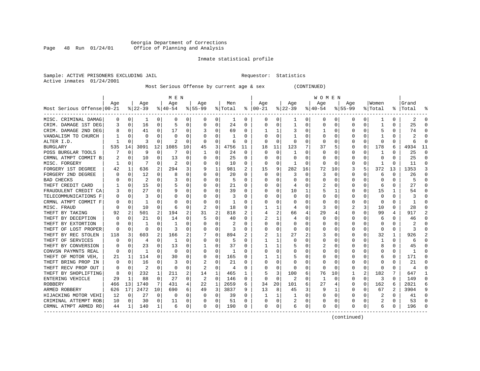# Georgia Department of Corrections Page 48 Run 01/24/01 Office of Planning and Analysis

# Inmate statistical profile

Sample: ACTIVE PRISONERS EXCLUDING JAIL **Requestor:** Statistics Active inmates 01/24/2001

Most Serious Offense by current age & sex (CONTINUED)

|                            |     |             |           |          | M E N     |          |              |          |         |    |          |          |                |          | W O M E N |             |             |          |          |          |           |          |
|----------------------------|-----|-------------|-----------|----------|-----------|----------|--------------|----------|---------|----|----------|----------|----------------|----------|-----------|-------------|-------------|----------|----------|----------|-----------|----------|
|                            | Age |             | Age       |          | Age       |          | Aqe          |          | Men     |    | Aqe      |          | Aqe            |          | Age       |             | Aqe         |          | Women    |          | Grand     |          |
| Most Serious Offense 00-21 |     |             | $8 22-39$ |          | $8 40-54$ |          | $8 55-99$    |          | % Total | ႜ  | $ 00-21$ |          | $ 22-39$       |          | $ 40-54$  |             | $8155 - 99$ |          | % Total  |          | %   Total |          |
| MISC. CRIMINAL DAMAG       | 0   | 0           | 1         | 0        | 0         | 0        | 0            | 0        | 1       | 0  | 0        | 0        | 1              | 0        | 0         | 0           | 0           | 0        | -1       | 0        | 2         | ∩        |
| CRIM. DAMAGE 1ST DEG       | 3   | 0           | 16        | 0        | 5         | 0        | 0            | 0        | 24      | 0  | O        | 0        | -1             | 0        | 0         | 0           | 0           | O        | -1       | 0        | 25        |          |
| CRIM. DAMAGE 2ND DEG       | 8   | $\Omega$    | 41        | 0        | 17        | 0        |              | 0        | 69      | 0  |          | 1        |                | 0        |           | $\Omega$    | 0           | O        |          | 0        | 74        |          |
| VANDALISM TO CHURCH        |     | $\Omega$    | O         | O        | 0         | 0        |              | 0        |         | 0  |          | $\Omega$ |                | 0        |           | $\Omega$    | 0           | 0        |          | O        |           |          |
| ALTER I.D.                 |     | n           | 3         | O        |           | 0        |              | 0        | б       | U  | O        | $\Omega$ | $\Omega$       | 0        | O         | 0           | O           | $\Omega$ | $\Omega$ | O        |           |          |
| <b>BURGLARY</b>            | 535 | 14          | 3091      | 12       | 1085      | 10       | 45           | 3        | 4756    | 11 | 18       | 11       | 123            | 7        | 37        | 5           | O           | $\Omega$ | 178      | 6        | 4934      | 11       |
| POSS BURGLAR TOOLS         |     | $\Omega$    | 9         | $\Omega$ | 7         | $\Omega$ | -1           | 0        | 24      | 0  | $\Omega$ | $\Omega$ | -1             | $\Omega$ | $\Omega$  | $\Omega$    | O           | O        | 1        | 0        | 25        | $\Omega$ |
| CRMNL ATMPT COMMIT B       |     | 0           | 10        | O        | 13        | 0        | O            | 0        | 25      | 0  | O        | 0        | O              | 0        | 0         | 0           | 0           | $\Omega$ | 0        | $\Omega$ | 25        | $\Omega$ |
| MISC. FORGERY              |     | 0           |           | 0        | 2         | 0        | $\left($     | 0        | 10      | 0  | 0        | 0        | -1             | $\Omega$ | 0         | 0           | 0           | $\Omega$ |          | O        | 11        | ∩        |
| FORGERY 1ST DEGREE         | 42  |             | 636       | 2        | 294       | 3        | 9            | 1        | 981     | 2  | 15       | 9        | 282            | 16       | 72        | 10          | 3           | 5        | 372      | 13       | 1353      | 3        |
| FORGERY 2ND DEGREE         |     | n           | 12        | O        | 8         | 0        |              | O        | 20      | U  | $\cap$   | 0        | 3              | O        | 3         | C           | O           | O        | 6        | O        | 26        |          |
| <b>BAD CHECKS</b>          |     | n           | 2         | 0        |           | 0        |              | O        | 5       | U  |          | 0        | O              | 0        | O         | 0           | O           | O        | O        | 0        |           |          |
| THEFT CREDIT CARD          |     | 0           | 15        | 0        | 5         | 0        |              | 0        | 21      | U  |          | $\Omega$ | 4              | 0        | 2         | 0           | O           | $\Omega$ | 6        | 0        | 27        |          |
| FRAUDULENT CREDIT CA       |     | 0           | 27        | 0        | 9         | 0        |              | 0        | 39      | 0  |          | 0        | 10             | 1        |           | 1           | 0           | 0        | 15       | 1        | 54        |          |
| TELECOMMUNICATIONS F       | O   | 0           | 3         | 0        | 0         | 0        |              | 0        | 3       | U  |          | 0        | $\Omega$       | 0        | O         | 0           | O           | O        | 0        | 0        |           |          |
| CRMNL ATMPT COMMIT F       |     | $\Omega$    | 1         | O        | C         | 0        |              | 0        | 1       | U  |          | $\Omega$ |                | 0        | $\Omega$  | $\Omega$    | 0           | O        | $\Omega$ | 0        |           |          |
| MISC. FRAUD                |     | $\Omega$    | 10        | 0        | 6         | 0        |              | 0        | 18      | 0  |          | 1        | 4              | $\Omega$ | 3         | $\Omega$    |             | 3        | 10       | 0        | 28        |          |
| THEFT BY TAKING            | 92  | 2           | 501       | 2        | 194       | 2        | 31           | 2        | 818     | 2  |          | 2        | 66             | 4        | 29        | 4           | 0           | O        | 99       | 4        | 917       |          |
| THEFT BY DECEPTION         |     | 0           | 21        |          | 14        | 0        |              | 0        | 40      | 0  |          | 1        | 4              | 0        |           | C           | 0           |          | 6        | 0        | 46        |          |
| THEFT BY EXTORTION         |     | $\Omega$    |           | O        |           | 0        |              | 0        |         | U  | C        | $\Omega$ | $\Omega$       | 0        |           | $\Omega$    | O           | O        | $\Omega$ | O        |           |          |
| THEFT OF LOST PROPER       | O   | $\Omega$    | $\Omega$  | 0        | 3         | U        | O            | $\Omega$ | ς       | U  | C        | $\Omega$ | $\Omega$       | O        |           | O           | O           | 0        | $\Omega$ | 0        | κ         |          |
| THEFT BY REC STOLEN        | 118 | 3           | 603       | 2        | 166       | 2        |              | $\Omega$ | 894     | 2  |          | 1        | 27             | 2        | 3         | $\Omega$    | O           | 0        | 32       | 1        | 926       |          |
| THEFT OF SERVICES          |     | $\Omega$    | 4         | 0        | -1        | 0        |              | 0        | 5       | U  |          | 1        |                | 0        |           | 0           | 0           | 0        | -1       | O        | 6         |          |
| THEFT BY CONVERSION        |     | $\Omega$    | 23        | O        | 13        | 0        |              | 0        | 37      | U  |          | 1        |                | 0        |           | 0           | O           | U        | 8        | 0        | 45        |          |
| CONVSN PAYMNTS REAL        | n   | $\Omega$    | -1        | 0        | 0         | 0        |              | 0        | 1       | U  |          | 0        |                | O        | O         | 0           | O           | U        | C        | 0        | -1        |          |
| THEFT OF MOTOR VEH,        | 21  | 1           | 114       | 0        | 30        | 0        | O            | 0        | 165     | 0  |          | 1        |                | 0        | $\left($  | 0           | 0           | 0        | 6        | 0        | 171       |          |
| THEFT BRING PROP IN        | 0   | 0           | 16        | O        | 3         | 0        | 2            | 0        | 21      | U  | O        | 0        |                | 0        | 0         | 0           | 0           | O        | O        | Ω        | 21        |          |
| THEFT RECV PROP OUT        | 0   | 0           |           | 0        | 0         | 0        |              | 0        | 4       | 0  |          | 0        | O              | 0        | 0         | 0           | 0           | 0        | -0       | U        |           |          |
| THEFT BY SHOPLIFTING       | 8   | $\Omega$    | 232       | 1        | 211       | 2        | 14           | 1        | 465     | 1  |          | 3        | 100            | 6        | 76        | 10          |             |          | 182      |          | 647       |          |
| ENTERING VEHICLE           | 29  | -1          | 88        | 0        | 27        | 0        | 2            | 0        | 146     | 0  | $\Omega$ | $\Omega$ | $\overline{2}$ | 0        | -1        | $\Omega$    | 0           | $\Omega$ | 3        | 0        | 149       | $\cap$   |
| <b>ROBBERY</b>             | 466 | 13          | 1740      | 7        | 431       | 4        | 22           | 1        | 2659    | 6  | 34       | 20       | 101            | 6        | 27        | 4           | 0           | $\Omega$ | 162      | 6        | 2821      |          |
| ARMED ROBBERY              | 626 | 17          | 2472      | 10       | 690       | 6        | 49           | 3        | 3837    | 9  | 13       | 8        | 45             | 3        | 9         | 1           | 0           | 0        | 67       | 2        | 3904      | 9        |
| HIJACKING MOTOR VEHI       | 12  | $\mathbf 0$ | 27        | 0        | $\Omega$  | 0        |              | 0        | 39      | U  |          | 1        | $\mathbf{1}$   | $\Omega$ |           | $\mathbf 0$ | 0           | $\Omega$ | 2        | $\Omega$ | 41        |          |
| CRIMINAL ATTEMPT ROB       | 10  | 0           | 30        | $\Omega$ | 11        | 0        |              | 0        | 51      | U  | C        | 0        |                | 0        | U         | 0           | O           | $\Omega$ | 2        | 0        | 53        | ∩        |
| CRMNL ATMPT ARMED RO       | 44  | 1           | 140       | 1        | 6         | 0        | <sup>0</sup> | 0        | 190     | 0  | $\Omega$ | 0        | 6              | 0        | $\Omega$  | 0           | O           | 0        | 6        | 0        | 196       |          |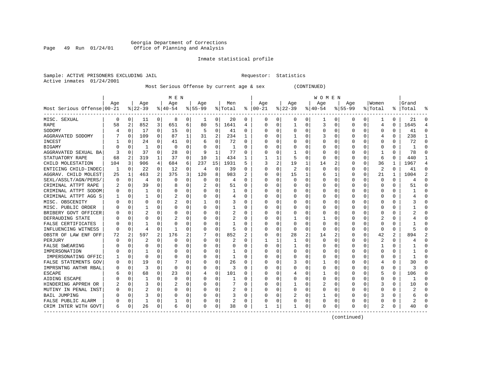#### Georgia Department of Corrections Page 49 Run 01/24/01 Office of Planning and Analysis

# Inmate statistical profile

| Sample: ACTIVE PRISONERS EXCLUDING JAIL | Requestor: Statistics |  |
|-----------------------------------------|-----------------------|--|
| Active inmates 01/24/2001               |                       |  |

# Most Serious Offense by current age & sex (CONTINUED)

|                            |     |             |              |                         | M E N       |                |           |                |                |          |          |          |              |   | W O M E N |          |             |          |                |          |              |                |
|----------------------------|-----|-------------|--------------|-------------------------|-------------|----------------|-----------|----------------|----------------|----------|----------|----------|--------------|---|-----------|----------|-------------|----------|----------------|----------|--------------|----------------|
|                            | Age |             | Age          |                         | Age         |                | Age       |                | Men            |          | Age      |          | Age          |   | Age       |          | Age         |          | Women          |          | Grand        |                |
| Most Serious Offense 00-21 |     |             | $ 22-39$     |                         | $8 40-54$   |                | $8 55-99$ |                | % Total        | ະ        | $ 00-21$ |          | $ 22-39$     |   | $ 40-54$  |          | $8155 - 99$ |          | % Total        |          | %   Total    | ႜ              |
| MISC. SEXUAL               | 0   | 0           | 11           | 0                       | 8           | $\overline{0}$ | 1         | 0              | 20             | 0        | 0        | 0        | 0            | 0 |           | 0        | 0           | 0        |                | 0        | 21           | 0              |
| RAPE                       | 58  | 2           | 852          | $\overline{\mathbf{3}}$ | 651         | 6              | 80        | 5              | 1641           | 4        | $\Omega$ | $\Omega$ | $\mathbf{1}$ | 0 | 3         | $\Omega$ | 0           | 0        | 4              | $\Omega$ | 1645         | 4              |
| SODOMY                     |     | $\Omega$    | 17           | 0                       | 15          | 0              | 5         | 0              | 41             | O        | $\Omega$ | $\Omega$ | $\Omega$     | 0 |           | $\Omega$ | Ω           | $\Omega$ | $\Omega$       | $\Omega$ | 41           | $\Omega$       |
| AGGRAVATED SODOMY          |     | $\Omega$    | 109          | 0                       | 87          | 1              | 31        | $\overline{a}$ | 234            | 1        |          | $\Omega$ |              | 0 |           | $\Omega$ | Ω           | $\Omega$ | 4              | $\Omega$ | 238          | $\mathbf{1}$   |
| INCEST                     |     | 0           | 24           | 0                       | 41          | 0              | 6         | 0              | 72             | 0        |          | $\Omega$ | 0            | 0 |           | 0        | C           | 0        | $\Omega$       | $\Omega$ | 72           | $\mathbf 0$    |
| <b>BIGAMY</b>              |     | 0           | $\mathbf{1}$ | 0                       | $\mathbf 0$ | 0              |           | 0              | $\mathbf{1}$   | $\Omega$ |          | $\Omega$ | 0            | 0 |           | $\Omega$ | C           | $\Omega$ | $\Omega$       | 0        | $\mathbf{1}$ | $\mathbf 0$    |
| AGGRAVATED SEXUAL BA       |     | 0           | 37           | 0                       | 28          | 0              | 9         | 1              | 77             | $\Omega$ | O        | $\Omega$ | 1            | 0 |           | $\Omega$ | C           | $\Omega$ | 1              | $\Omega$ | 78           | $\mathbf 0$    |
| STATUATORY RAPE            | 68  | 2           | 319          | 1                       | 37          | 0              | 10        | 1              | 434            | 1        |          |          | 5            | 0 | $\Omega$  | $\Omega$ | C           | $\Omega$ | 6              | $\Omega$ | 440          | $\mathbf{1}$   |
| CHILD MOLESTATION          | 104 | 3           | 906          | 4                       | 684         | 6              | 237       | 15             | 1931           | 5        | 3        | 2        | 19           | 1 | 14        | 2        | C           | $\Omega$ | 36             | 1        | 1967         | 4              |
| ENTICING CHILD-INDEC       | 1   | 0           | 22           | 0                       | 12          | 0              | 4         | 0              | 39             | 0        | $\Omega$ | $\Omega$ | 2            | 0 | $\Omega$  | $\Omega$ | C           | $\Omega$ | $\overline{2}$ | $\Omega$ | 41           | $\Omega$       |
| AGGRAV. CHILD MOLEST       | 25  | 1           | 463          | 2                       | 375         | 3              | 120       | 8              | 983            |          | $\Omega$ | $\Omega$ | 15           |   | 6         | 1        | C           | $\Omega$ | 21             |          | 1004         | $\overline{2}$ |
| SEXL/ASSLT/AGN/PERS/       | O   | $\Omega$    | 4            | 0                       | $\Omega$    | 0              | $\Omega$  | 0              | 4              | O        | $\Omega$ | $\Omega$ | $\Omega$     | 0 |           | $\Omega$ | Ω           | $\Omega$ | $\Omega$       | $\Omega$ | 4            | $\Omega$       |
| CRIMINAL ATTPT RAPE        | 2   | 0           | 39           | $\Omega$                | 8           | 0              |           | 0              | 51             | O        | O        | $\Omega$ | 0            | 0 |           | 0        | C           | $\Omega$ | $\Omega$       | 0        | 51           | $\Omega$       |
| CRIMINAL ATTPT SODOM       |     | 0           | 1            | 0                       | 0           | 0              |           | 0              |                | O        |          | 0        | 0            | 0 |           | 0        | C           | 0        | $\Omega$       | 0        |              | $\mathbf 0$    |
| CRIMINAL ATTPT AGG S       |     | 0           |              | U                       | 2           | 0              |           | 0              | 4              | U        | $\Omega$ | $\Omega$ | 0            | 0 |           | 0        | C           | 0        | $\Omega$       | $\Omega$ |              | $\Omega$       |
| MISC. OBSCENITY            |     | $\Omega$    | 0            | U                       | 2           | 0              | 1         | 0              | 3              | O        | $\Omega$ | $\Omega$ | 0            | 0 |           | $\Omega$ | Ω           | $\Omega$ | $\Omega$       | $\Omega$ |              | $\Omega$       |
| MISC. PUBLIC ORDER         |     | $\Omega$    |              | U                       | 0           | 0              | U         | 0              |                | 0        | $\Omega$ | $\Omega$ | 0            | 0 | O         | $\Omega$ | C           | $\Omega$ | $\Omega$       | $\Omega$ |              | $\Omega$       |
| BRIBERY GOVT OFFICER       |     | $\Omega$    | 2            | U                       | $\Omega$    | 0              | U         | 0              | 2              | 0        | $\Omega$ | $\Omega$ | 0            | 0 | O         | $\Omega$ | C           | $\Omega$ | $\Omega$       | $\Omega$ |              | $\Omega$       |
| DEFRAUDING STATE           |     | $\Omega$    | 0            | 0                       |             | 0              | 0         | 0              | 2              | 0        | $\Omega$ |          |              | 0 |           | $\Omega$ |             | $\Omega$ |                | $\Omega$ |              | $\Omega$       |
| FALSE CERTIFICATES         |     | $\Omega$    |              | U                       | $\Omega$    | 0              | 0         | 0              |                | U        | $\Omega$ | $\Omega$ | $\Omega$     | 0 | $\Omega$  | $\Omega$ | Ω           | $\Omega$ | $\Omega$       | $\Omega$ |              | O              |
| INFLUENCING WITNESS        |     | $\Omega$    | 4            | 0                       | -1          | 0              | 0         | 0              | 5              | O        |          | $\Omega$ | $\Omega$     | 0 | 0         | $\Omega$ | C           | $\Omega$ | $\Omega$       | 0        |              | $\Omega$       |
| OBSTR OF LAW ENF OFF       | 72  | 2           | 597          | 2                       | 176         | 2              |           | 0              | 852            | 2        |          | $\Omega$ | 28           | 2 | 14        | 2        | C           | $\Omega$ | 42             | 2        | 894          | $\overline{a}$ |
| PERJURY                    |     | $\Omega$    | 2            | 0                       | $\Omega$    | 0              | 0         | 0              | 2              | $\Omega$ |          |          |              | 0 | $\Omega$  | $\Omega$ | Ω           | $\Omega$ | $\overline{2}$ | $\Omega$ |              | $\Omega$       |
| <b>FALSE SWEARING</b>      |     | $\Omega$    | 0            | 0                       | 0           | 0              | U         | $\Omega$       | 0              | O        | $\Omega$ | $\Omega$ | $\mathbf{1}$ | 0 |           | $\Omega$ | Ω           | $\Omega$ | $\mathbf{1}$   | $\Omega$ |              | $\Omega$       |
| IMPERSONATION              |     | $\Omega$    |              | U                       | $\Omega$    | 0              | U         | 0              |                | O        | $\Omega$ | $\Omega$ | 0            | 0 |           | $\Omega$ | Ω           | $\Omega$ | $\Omega$       | $\Omega$ |              | $\Omega$       |
| IMPERSONATING OFFIC        |     | $\Omega$    | 0            | U                       | $\Omega$    | 0              | U         | 0              |                | O        | $\Omega$ | $\Omega$ | 0            | 0 |           | $\Omega$ | C           | $\Omega$ | $\Omega$       | $\Omega$ |              | $\Omega$       |
| FALSE STATEMENTS GOV       |     | 0           | 19           | 0                       |             | 0              | 0         | 0              | 26             |          |          |          | 3            | 0 |           | $\Omega$ |             | 0        |                | $\Omega$ | 30           | $\Omega$       |
| IMPRSNTNG ANTHR RBAL       |     | $\mathbf 0$ | 3            | O                       | $\Omega$    | $\Omega$       | U         | 0              | 3              | $\Omega$ |          |          | <sup>0</sup> | U |           | $\Omega$ |             | $\Omega$ | $\Omega$       | $\Omega$ |              | $\Omega$       |
| <b>ESCAPE</b>              |     | $\Omega$    | 68           | 0                       | 23          | 0              | 4         | $\Omega$       | 101            | U        | $\Omega$ | $\Omega$ | 4            | 0 |           | $\Omega$ | Λ           | $\Omega$ | 5              | $\Omega$ | 106          | O              |
| AIDING ESCAPE              |     | $\Omega$    | 1            | 0                       | $\Omega$    | $\Omega$       | 0         | $\Omega$       |                | O        |          | $\Omega$ | 0            | 0 | $\Omega$  | $\Omega$ | Ω           | $\Omega$ | $\Omega$       | $\Omega$ | ำ            | O              |
| HINDERING APPREH OR        |     | $\Omega$    | 3            | 0                       | 2           | $\Omega$       | 0         | $\Omega$       |                | O        | $\Omega$ | $\Omega$ |              | 0 | 2         | $\Omega$ | C           | $\Omega$ | 3              | $\Omega$ | 10           | $\Omega$       |
| MUTINY IN PENAL INST       |     | 0           | 2            | 0                       | 0           | 0              |           | 0              | 2              | 0        |          | $\Omega$ | 0            | 0 |           | 0        |             | $\Omega$ | $\Omega$       | $\Omega$ |              | $\Omega$       |
| <b>BAIL JUMPING</b>        |     | $\Omega$    | 3            | 0                       | $\Omega$    | 0              |           | 0              | 3              | $\Omega$ |          | $\Omega$ |              | 0 |           | 0        | Λ           | $\Omega$ | 3              | $\Omega$ | 6            | $\Omega$       |
| FALSE PUBLIC ALARM         |     | $\Omega$    | 1            | U                       | 1           | 0              |           | 0              | $\overline{2}$ | O        | $\Omega$ | $\Omega$ | <sup>0</sup> | 0 | $\Omega$  | 0        | Ω           | $\Omega$ | $\Omega$       | $\Omega$ |              | $\Omega$       |
| CRIM INTER WITH GOVT       | 6   | 0           | 26           | 0                       | 6           | 0              | O         | 0              | 38             | 0        | 1        |          |              | 0 | $\Omega$  | 0        | U           | 0        | $\mathfrak{D}$ | $\Omega$ | 40           | $\Omega$       |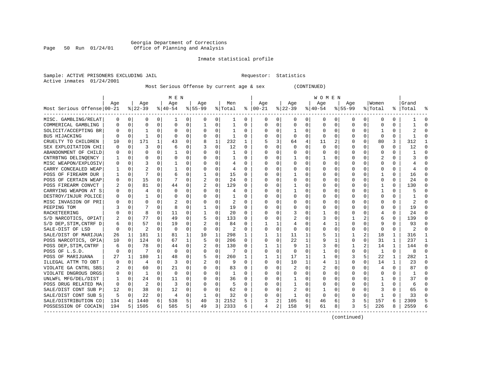# Georgia Department of Corrections<br>Page 50 Run 01/24/01 office of Planning and Analysis Page 50 Run 01/24/01 Office of Planning and Analysis

# Inmate statistical profile

Sample: ACTIVE PRISONERS EXCLUDING JAIL **Requestor:** Statistics Active inmates 01/24/2001

Most Serious Offense by current age & sex (CONTINUED)

|                            |     |             |          |              | M E N     |          |           |             |                |          |          |          |              |          | W O M E N |             |             |          |              |              |                |          |
|----------------------------|-----|-------------|----------|--------------|-----------|----------|-----------|-------------|----------------|----------|----------|----------|--------------|----------|-----------|-------------|-------------|----------|--------------|--------------|----------------|----------|
|                            | Age |             | Age      |              | Age       |          | Age       |             | Men            |          | Age      |          | Age          |          | Age       |             | Aqe         |          | Women        |              | Grand          |          |
| Most Serious Offense 00-21 |     |             | $ 22-39$ |              | $8 40-54$ |          | $8 55-99$ |             | % Total        | ႜ        | $ 00-21$ |          | $ 22-39$     |          | $ 40-54$  |             | $8155 - 99$ |          | % Total      |              | %   Total      |          |
| MISC. GAMBLING/RELAT       | 0   | 0           | 0        | 0            | -1        | 0        | 0         | 0           | 1              | 0        | 0        | 0        | 0            | 0        | 0         | 0           | 0           | 0        | 0            | 0            |                |          |
| COMMERICAL GAMBLING        |     | $\Omega$    | U        | 0            | $\Omega$  | 0        | 1         | 0           | 1              | $\Omega$ | $\Omega$ | 0        | 0            | 0        | U         | 0           | 0           | $\Omega$ | 0            | $\Omega$     |                |          |
| SOLICIT/ACCEPTING BR       |     | $\Omega$    |          | 0            | $\Omega$  | 0        | $\Omega$  | $\Omega$    | 1              | $\Omega$ | $\Omega$ | 0        |              | 0        |           | $\Omega$    | 0           | $\Omega$ |              | $\Omega$     |                |          |
| <b>BUS HIJACKING</b>       |     | $\Omega$    | 1        | 0            | $\Omega$  | $\Omega$ | 0         | 0           | 1              | $\Omega$ |          | 0        | $\Omega$     | $\Omega$ |           | $\Omega$    | 0           | $\Omega$ | $\Omega$     | $\Omega$     |                |          |
| CRUELTY TO CHILDREN        | 10  | 0           | 171      | $\mathbf{1}$ | 43        | 0        |           | $\mathbf 1$ | 232            | 1        |          | 3        | 64           | 4        | 11        | 2           | O           | 0        | 80           | 3            | 312            |          |
| SEX EXPLOITATION CHI       |     | $\Omega$    | 3        | 0            | 6         | 0        |           | 0           | 12             | $\Omega$ |          | $\Omega$ | U            | O        |           | $\Omega$    | U           | O        | $\Omega$     | $\Omega$     | 12             | ∩        |
| ABANDONMENT OF CHILD       |     | $\Omega$    | U        | 0            |           | 0        | U         | 0           | 1              | $\Omega$ | $\Omega$ | 0        | O            | U        |           | $\Omega$    | U           | 0        | $\Omega$     | $\Omega$     |                | $\Omega$ |
| CNTRBTNG DELINOENCY        |     | $\Omega$    | O        | 0            | O         | 0        | U         | 0           | 1              | 0        |          | 0        |              | U        |           | 0           | O           | 0        |              | 0            |                | ∩        |
| MISC WEAPON/EXPLOSIV       |     | $\Omega$    | 3        | U            |           | 0        | U         | 0           | 4              | 0        |          |          | O            | U        |           | 0           | O           | 0        | O            | 0            |                |          |
| CARRY CONCEALED WEAP       |     | $\Omega$    |          |              |           | 0        |           | 0           | 4              |          |          |          |              | U        |           | 0           |             | O        |              | O            |                |          |
| POSS OF FIREARM DUR        |     | $\Omega$    |          | U            | 6         | 0        |           | O           | 15             | $\Omega$ |          |          |              | U        |           | $\Omega$    |             |          |              | 0            | 16             |          |
| POSS OF CERTAIN WEAP       |     | $\Omega$    | 15       | 0            | 7         | 0        |           | 0           | 24             | $\Omega$ | O        | 0        | O            | U        |           | $\Omega$    | O           | 0        | $\Omega$     | 0            | 24             |          |
| POSS FIREARM CONVCT        |     | $\Omega$    | 81       | $\Omega$     | 44        | 0        |           | $\mathbf 0$ | 129            | $\Omega$ |          | 0        |              | 0        |           | $\Omega$    | O           | 0        | 1            | 0            | 130            |          |
| CARRYING WEAPON AT S       |     | 0           | 4        | 0            | $\Omega$  | 0        |           | 0           | 4              | 0        |          |          |              | 0        |           | 0           |             | 0        |              | 0            |                |          |
| DESTROY/INJUR POLICE       |     | $\Omega$    |          | 0            | O         | 0        | U         | 0           | 1              | $\Omega$ |          |          |              | U        |           | 0           | U           | 0        | $\Omega$     | $\Omega$     |                |          |
| MISC INVASION OF PRI       |     | $\Omega$    | 0        | 0            | 2         | 0        |           | $\Omega$    | 2              | $\Omega$ |          | O        |              | U        |           | $\Omega$    | U           | 0        | $\Omega$     | $\Omega$     |                |          |
| PEEPING TOM                |     | 0           |          | U            | 8         | 0        | -1        | 0           | 19             | $\Omega$ |          | 0        | 0            | 0        | Ω         | $\Omega$    | 0           | 0        | C            | $\Omega$     | 19             | ∩        |
| RACKETEERING               |     | $\Omega$    | 8        | 0            | 11        | 0        | 1         | 0           | 20             | $\Omega$ |          |          | 3            | 0        |           | $\Omega$    |             | U        |              | O            | 24             |          |
| S/D NARCOTICS, OPIAT       |     | $\Omega$    | 77       | 0            | 49        | 0        | 5         | 0           | 133            | $\Omega$ |          |          |              | 0        |           | 0           |             |          | 6            | 0            | 139            |          |
| S/D DEP, STIM, CNTRF D     | 6   | $\Omega$    | 57       | 0            | 19        | 0        |           | $\Omega$    | 84             | $\Omega$ |          | 1        |              | 0        |           | 1           | U           | U        | q            | $\Omega$     | 93             |          |
| SALE-DIST OF LSD           |     | $\Omega$    | 2        | U            | $\Omega$  | 0        | $\Omega$  | 0           | $\overline{c}$ | $\Omega$ | $\Omega$ | $\Omega$ | U            | U        |           | $\Omega$    | O           | 0        | $\Omega$     | $\Omega$     | $\mathfrak{D}$ |          |
| SALE/DIST OF MARIJUA       | 26  | 1           | 181      | $\mathbf{1}$ | 81        | 1        | 10        | 1           | 298            | 1        |          | 1        | 11           | 1        |           | 1           |             | 2        | 18           | 1            | 316            |          |
| POSS NARCOTICS, OPIA       | 10  | $\mathbf 0$ | 124      | 0            | 67        | 1        | 5         | $\mathbf 0$ | 206            | 0        | 0        | $\Omega$ | 22           | 1        |           | 1           | 0           | 0        | 31           | $\mathbf{1}$ | 237            | -1       |
| POSS DEP, STIM, CNTRF      |     | 0           | 78       | 0            | 44        | 0        |           | $\mathbf 0$ | 130            | $\Omega$ |          | 1        | 9            | 1        |           | $\mathbf 0$ | 1           | 2        | 14           | $\mathbf{1}$ | 144            | $\Omega$ |
| POSS OF L.S.D.             |     | $\Omega$    | 7        | 0            | $\Omega$  | 0        | U         | 0           | 7              | $\Omega$ | $\Omega$ | $\Omega$ | $\Omega$     | U        |           | $\Omega$    | U           | U        | $\mathbf{1}$ | $\Omega$     | 8              | $\Omega$ |
| POSS OF MARIJUANA          | 27  | 1           | 180      | 1            | 48        | 0        | 5         | 0           | 260            | 1        |          | 1        | 17           | 1        |           | 0           | 3           | 5        | 22           | 1            | 282            | -1       |
| ILLEGAL ATTM TO OBT        |     | 0           | 4        | 0            | 3         | 0        | 2         | 0           | 9              | $\Omega$ |          | 0        | 10           | 1        |           |             | 0           | 0        | 14           | 1            | 23             | ∩        |
| VIOLATE GA CNTRL SBS       |     | 0           | 60       | 0            | 21        | 0        | 0         | 0           | 83             | 0        |          |          | 2            | 0        |           | 0           | C           |          |              | 0            | 87             | ∩        |
| VIOLATE DNGROUS DRGS       |     | $\Omega$    |          | U            | $\Omega$  | 0        |           | U           |                | $\Omega$ |          |          | U            | U        |           | $\Omega$    | U           |          | $\cap$       | 0            |                |          |
| UNLWFL MFG/DEL/DIST        |     | $\Omega$    | 24       | 0            | 11        | 0        | 0         | 0           | 36             | $\Omega$ | O        |          |              | U        |           | $\Omega$    | U           | 0        |              | $\Omega$     | 37             | $\cap$   |
| POSS DRUG RELATED MA       | 0   | $\Omega$    | 2        | 0            | 3         | $\Omega$ |           | $\Omega$    | 5              | $\Omega$ |          | 0        |              | 0        |           | $\Omega$    |             | 0        |              | 0            | 6              |          |
| SALE/DIST CONT SUB P       | 12  | 0           | 38       | 0            | 12        | 0        | 0         | 0           | 62             | $\Omega$ |          | O        | 2            | 0        |           | 0           |             | $\Omega$ |              | O            | 65             |          |
| SALE/DIST CONT SUB S       | 5   | $\Omega$    | 22       | 0            | 4         | 0        | 1         | 0           | 32             | $\Omega$ |          | $\Omega$ | $\mathbf{1}$ | O        | $\Omega$  | 0           | $\Omega$    | $\Omega$ | $\mathbf{1}$ | O            | 33             |          |
| SALE/DISTRIBUTION CO       | 134 | 4           | 1440     | 6            | 538       | 5        | 40        | 3           | 2152           | 5        |          | 2        | 105          | 6        | 46        | 6           | 3           | 5        | 157          | 6            | 2309           |          |
| POSSESSION OF COCAIN       | 194 | 5 I         | 1505     | 6            | 585       | 5        | 49        | 3           | 2333           | 6        | 4        | 2        | 158          | 9        | 61        | 8           | ζ           | 5        | 226          | 8            | 2559           |          |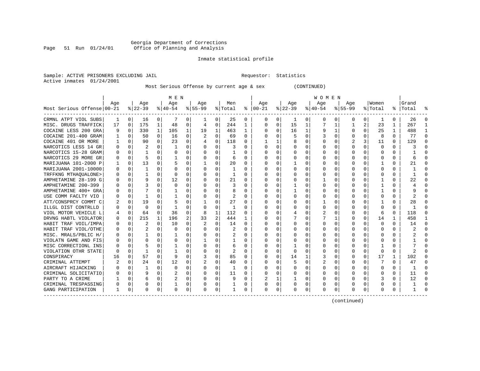# Georgia Department of Corrections Page 51 Run 01/24/01 Office of Planning and Analysis

# Inmate statistical profile

Sample: ACTIVE PRISONERS EXCLUDING JAIL **Requestor:** Statistics Active inmates 01/24/2001

Most Serious Offense by current age & sex (CONTINUED)

|                            |     |          |          |              | M E N          |             |          |                |         |              |               |          |          |              | W O M E N |                |           |          |             |              |           |          |
|----------------------------|-----|----------|----------|--------------|----------------|-------------|----------|----------------|---------|--------------|---------------|----------|----------|--------------|-----------|----------------|-----------|----------|-------------|--------------|-----------|----------|
|                            | Age |          | Age      |              | Aqe            |             | Age      |                | Men     |              | Age           |          | Aqe      |              | Aqe       |                | Aqe       |          | Women       |              | Grand     |          |
| Most Serious Offense 00-21 |     |          | $ 22-39$ |              | $ 40-54 $      |             | $ 55-99$ |                | % Total |              | $8   00 - 21$ |          | $ 22-39$ |              | $ 40-54$  |                | $8 55-99$ |          | % Total     |              | %   Total |          |
| CRMNL ATPT VIOL SUBS       | 1   | $\Omega$ | 16       | 0            |                | 0           | 1        | $\Omega$       | 25      | $\Omega$     | n             | 0        | -1       | 0            | $\Omega$  | $\Omega$       | 0         | $\Omega$ | -1          | $\Omega$     | 26        | ∩        |
| MISC. DRUGS TRAFFICK       | 17  | $\Omega$ | 175      | 1            | 48             | 0           | 4        | 0              | 244     | $\mathbf{1}$ | $\Omega$      | $\Omega$ | 15       | 1            | 7         | 1              | 1         | 2        | 23          | $\mathbf{1}$ | 267       | -1       |
| COCAINE LESS 200 GRA       |     | $\Omega$ | 330      | $\mathbf{1}$ | 105            | $\mathbf 1$ | 19       | 1              | 463     | $\mathbf{1}$ |               | $\Omega$ | 16       | $\mathbf{1}$ | 9         | 1              | 0         | 0        | 25          | 1            | 488       | -1       |
| COCAINE 201-400 GRAM       |     | $\Omega$ | 50       | $\Omega$     | 16             | 0           |          | $\Omega$       | 69      | $\Omega$     | ∩             |          | 5        | O            |           | $\Omega$       | $\Omega$  | 0        | 8           | $\Omega$     | 77        | $\cap$   |
| COCAINE 401 OR MORE        |     | $\Omega$ | 90       | 0            | 23             | 0           | 4        | 0              | 118     | $\Omega$     |               |          |          | 0            |           | $\Omega$       | 2         | 3        | 11          | $\Omega$     | 129       | $\cap$   |
| NARCOTICS LESS 14 GR       |     | $\Omega$ |          | U            |                | 0           | U        | 0              | 3       | $\Omega$     | $\Omega$      | $\Omega$ | U        | O            |           | 0              | $\Omega$  | 0        | $\Omega$    | 0            |           |          |
| NARCOTICS 15-28 GRAM       |     | $\Omega$ |          | 0            | $\mathbf 0$    | 0           | U        | 0              |         | <sup>0</sup> | $\Omega$      | 0        | U        | 0            |           | 0              | $\Omega$  | 0        | 0           | $\Omega$     |           |          |
| NARCOTICS 29 MORE GR       |     | $\Omega$ | 5        | 0            |                | 0           | 0        | 0              | 6       | $\Omega$     |               |          | 0        | U            |           | $\Omega$       | 0         | 0        | $\Omega$    | 0            |           |          |
| MARIJUANA 101-2000 P       |     | $\Omega$ | 13       | 0            |                | 0           | -1       | 0              | 20      | 0            |               |          |          | U            |           | 0              | 0         | 0        |             |              | 21        |          |
| MARIJUANA 2001-10000       |     | $\Omega$ | -1       | U            | O              | 0           | U        | O              | 1       | 0            |               |          | O        | O            |           | 0              |           | 0        | 0           | O            |           |          |
| TRFFKNG MTHAOUALONE>       |     | 0        |          | U            | $\Omega$       | $\Omega$    | U        | 0              | 1       | 0            |               |          |          | U            |           | 0              |           | 0        | 0           | 0            |           |          |
| AMPHETAMINE 28-199 G       |     | $\Omega$ | 9        | 0            | 12             | 0           | U        | 0              | 21      | 0            |               |          | O        | U            |           | 0              |           | 0        |             | 0            | 22        |          |
| AMPHETAMINE 200-399        |     | 0        | 3        | U            | $\Omega$       | O           | O        | 0              | 3       | 0            |               |          |          | U            |           | $\Omega$       |           | 0        |             | 0            |           |          |
| AMPHETAMINE 400+ GRA       |     | $\Omega$ |          | U            |                | 0           | U        | 0              | 8       | 0            |               |          |          | U            |           | $\Omega$       | 0         | 0        |             | 0            |           |          |
| USE COMM FACLTY VIO        |     | $\Omega$ | 1        |              |                | 0           | U        | 0              | 2       | $\Omega$     |               | 0        | O        | U            |           | $\Omega$       | U         | 0        | $\Omega$    | 0            |           | ∩        |
| ATT/CONSPRCY COMMT C       |     | $\Omega$ | 19       | 0            | 5              | 0           | -1       | 0              | 27      | $\Omega$     | ∩             | 0        | O        | U            |           | 0              | 0         | 0        |             | 0            | 28        | ∩        |
| ILLGL DIST CONTRLLD        |     | $\Omega$ | 0        | 0            | -1             | 0           | $\Omega$ | $\Omega$       | 1       | $\Omega$     | ∩             | 0        | U        | U            |           | $\Omega$       | U         | $\Omega$ | $\Omega$    | $\Omega$     | -1        | ∩        |
| VIOL MOTOR VEHICLE L       |     | $\Omega$ | 64       | 0            | 36             | 0           | 8        | $\mathbf{1}$   | 112     | $\Omega$     | ∩             | 0        |          | U            |           | $\Omega$       | 0         | $\Omega$ | 6           | $\Omega$     | 118       | ∩        |
| DRVNG HABTL VIOLATOR       | O   | $\Omega$ | 215      | $\mathbf{1}$ | 196            | 2           | 33       | $\overline{2}$ | 444     | -1           | ∩             | $\Omega$ |          | O            |           | 1              | U         | $\Omega$ | 14          | 1            | 458       | -1       |
| HABIT TRAF VOIL/IMPA       |     | $\Omega$ | 2        | 0            | 10             | 0           | 2        | $\Omega$       | 14      | $\Omega$     | $\Omega$      | 0        | O        | 0            | O         | 0              | U         | $\Omega$ | $\mathbf 0$ | $\Omega$     | 14        | $\Omega$ |
| HABIT TRAF VIOL/OTHE       |     | $\Omega$ | 2        | 0            | $\Omega$       | 0           | 0        | 0              | 2       | $\Omega$     | n             | 0        | O        | U            | n         | 0              | O         | $\Omega$ | $\Omega$    | 0            |           | $\Omega$ |
| MISC. MRALS/PBLIC H/       |     | $\Omega$ |          | 0            |                | 0           | U        | $\Omega$       | 2       | $\Omega$     |               | 0        |          | U            |           | $\Omega$       | 0         | 0        | $\Omega$    | $\Omega$     |           | $\cap$   |
| VIOLATN GAME AND FIS       |     | $\Omega$ | U        | 0            | $\Omega$       | 0           | 1        | $\Omega$       |         | $\Omega$     |               | 0        |          | U            |           | $\Omega$       | U         | 0        | $\Omega$    | $\Omega$     |           |          |
| MISC CORRECTIONL INS       |     | $\Omega$ | 5        | 0            |                | 0           | U        | $\Omega$       | 6       | $\Omega$     |               | 0        |          | U            |           | $\Omega$       | U         | 0        | -1          | $\Omega$     |           |          |
| VIOLATION OTHR STATE       |     | $\Omega$ | 1        | U            |                | 0           |          | 0              | 2       | $\Omega$     |               | $\Omega$ | $\Omega$ | U            |           | 0              | 0         | $\Omega$ | $\Omega$    | $\Omega$     |           |          |
| CONSPIRACY                 | 16  | $\Omega$ | 57       | 0            | 9              | $\Omega$    |          | 0              | 85      | $\Omega$     |               | $\Omega$ | 14       | 1            |           | 0              | 0         | 0        | 17          | 1            | 102       |          |
| CRIMINAL ATTEMPT           |     | $\Omega$ | 24       | $\Omega$     | 12             | 0           |          | 0              | 40      | $\Omega$     |               | 0        | 5        | 0            |           | 0              | 0         | 0        |             | $\Omega$     | 47        | ∩        |
| AIRCRAFT HIJACKING         |     | 0        |          | $\Omega$     | $\mathbf 0$    | 0           | U        | 0              | 1       | $\Omega$     |               | $\Omega$ | 0        | U            |           | $\mathbf 0$    | 0         | $\Omega$ | 0           | O            |           | $\Omega$ |
| CRIMINAL SOLICITATIO       |     | $\Omega$ | 9        | $\Omega$     | $\overline{2}$ | 0           | 0        | $\mathbf 0$    | 11      | 0            |               | $\Omega$ |          | 0            |           | $\mathbf 0$    | 0         | $\Omega$ | 0           | 0            | 11        |          |
| PARTY TO A CRIME           |     | $\Omega$ | 6        | 0            | $\overline{2}$ | 0           | 0        | $\Omega$       | 9       | $\Omega$     | 2             | 1        |          | 0            |           | 0              | 0         | 0        | 3           | $\Omega$     | 12        | $\Omega$ |
| CRIMINAL TRESPASSING       |     | $\Omega$ | 0        | 0            |                | 0           | 0        | 0              | 1       | 0            | 0             | $\Omega$ | 0        | 0            |           | 0              | 0         | 0        | $\Omega$    | 0            |           | $\Omega$ |
| GANG PARTICIPATION         | 1   | 0        | U        | 0            | $\Omega$       | 0           | U        | 0              |         | $\Omega$     | $\Omega$      | 0        | U        | 0            |           | $\overline{0}$ | U         | 0        | $\Omega$    | N            |           |          |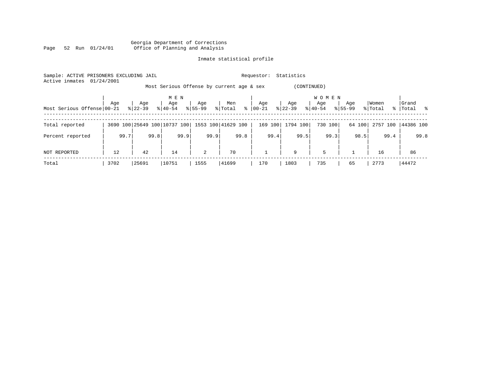|      |  |                 |  | Georgia Department of Corrections |  |  |
|------|--|-----------------|--|-----------------------------------|--|--|
| Page |  | 52 Run 01/24/01 |  | Office of Planning and Analysis   |  |  |

| Sample: ACTIVE PRISONERS EXCLUDING JAIL<br>01/24/2001<br>Active inmates |      |           |              |                |                                                 | Requestor:    | Statistics  |                  |             |          |                         |
|-------------------------------------------------------------------------|------|-----------|--------------|----------------|-------------------------------------------------|---------------|-------------|------------------|-------------|----------|-------------------------|
|                                                                         |      |           |              |                | Most Serious Offense by current age & sex       |               | (CONTINUED) |                  |             |          |                         |
|                                                                         | Age  | Age       | M E N<br>Age | Age            | Men                                             | Age           | Age         | W O M E N<br>Age | Age         | Women    | Grand                   |
| Most Serious Offense 00-21                                              |      | $8 22-39$ | $8140 - 54$  | $8155 - 99$    | % Total                                         | $8   00 - 21$ | $ 22-39 $   | $8 40-54$        | $8155 - 99$ | % Total  | $^{\circ}$<br>%   Total |
| Total reported                                                          |      |           |              |                | 3690 100 25649 100 10737 100 1553 100 41629 100 | 169 100       | 1794 100    | 730 100          | 64 100      | 2757 100 | 44386 100               |
| Percent reported                                                        | 99.7 | 99.8      | 99.9         | 99.9           | 99.8                                            | 99.4          | 99.5        | 99.3             | 98.5        | 99.4     | 99.8                    |
| NOT REPORTED                                                            | 12   | 42        | 14           | $\overline{a}$ | 70                                              |               | 9           | 5                |             | 16       | 86                      |
| Total                                                                   | 3702 | 25691     | 10751        | 1555           | 41699                                           | 170           | 1803        | 735              | 65          | 2773     | 44472                   |